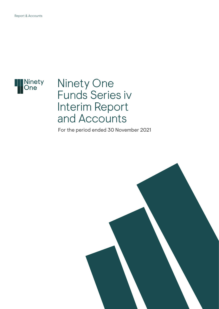

Ninety One Funds Series iv Interim Report and Accounts

For the period ended 30 November 2021

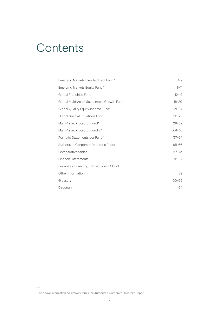# **Contents**

| Emerging Markets Blended Debt Fund*         | $3 - 7$   |
|---------------------------------------------|-----------|
| Emerging Markets Equity Fund*               | $8 - 11$  |
| Global Franchise Fund*                      | $12 - 15$ |
| Global Multi-Asset Sustainable Growth Fund* | $16 - 20$ |
| Global Quality Equity Income Fund*          | $21 - 24$ |
| Global Special Situations Fund*             | $25 - 28$ |
| Multi-Asset Protector Fund*                 | $29 - 32$ |
| Multi-Asset Protector Fund 2*               | 331-36    |
| Portfolio Statements per Fund*              | $37 - 64$ |
| Authorised Corporate Director's Report*     | 65-66     |
| Comparative tables                          | $67 - 75$ |
| Financial statements                        | 76-87     |
| Securities Financing Transactions ('SFTs')  | 88        |
| Other information                           | 89        |
| Glossary                                    | 90-93     |
| Directory                                   | 94        |

<sup>\*</sup>The above information collectively forms the Authorised Corporate Director's Report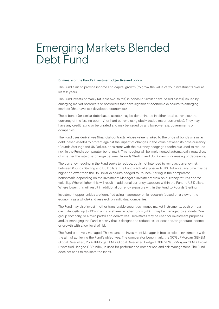# Emerging Markets Blended Debt Fund

#### Summary of the Fund's investment objective and policy

The Fund aims to provide income and capital growth (to grow the value of your investment) over at least 5 years.

The Fund invests primarily (at least two-thirds) in bonds (or similar debt-based assets) issued by emerging market borrowers or borrowers that have significant economic exposure to emerging markets (that have less developed economies).

These bonds (or similar debt-based assets) may be denominated in either local currencies (the currency of the issuing country) or hard currencies (globally traded major currencies). They may have any credit rating or be unrated and may be issued by any borrower e.g. governments or companies.

The Fund uses derivatives (financial contracts whose value is linked to the price of bonds or similar debt-based assets) to protect against the impact of changes in the value between its base currency (Pounds Sterling) and US Dollars, consistent with the currency hedging (a technique used to reduce risk) in the Fund's comparator benchmark. This hedging will be implemented automatically regardless of whether the rate of exchange between Pounds Sterling and US Dollars is increasing or decreasing.

The currency hedging in the Fund seeks to reduce, but is not intended to remove, currency risk between Pounds Sterling and US Dollars. The Fund's actual exposure to US Dollars at any time may be higher or lower than the US Dollar exposure hedged to Pounds Sterling in the comparator benchmark, depending on the Investment Manager's investment view on currency returns and/or volatility. Where higher, this will result in additional currency exposure within the Fund to US Dollars. Where lower, this will result in additional currency exposure within the Fund to Pounds Sterling.

Investment opportunities are identified using macroeconomic research (based on a view of the economy as a whole) and research on individual companies.

The Fund may also invest in other transferable securities, money market instruments, cash or near cash, deposits, up to 10% in units or shares in other funds (which may be managed by a Ninety One group company, or a third party) and derivatives. Derivatives may be used for investment purposes and/or managing the Fund in a way that is designed to reduce risk or cost and/or generate income or growth with a low level of risk.

The Fund is actively managed. This means the Investment Manager is free to select investments with the aim of achieving the Fund's objectives. The comparator benchmark, the 50% JPMorgan GBI-EM Global Diversified, 25% JPMorgan EMBI Global Diversified Hedged GBP, 25% JPMorgan CEMBI Broad Diversified Hedged GBP Index, is used for performance comparison and risk management. The Fund does not seek to replicate the index.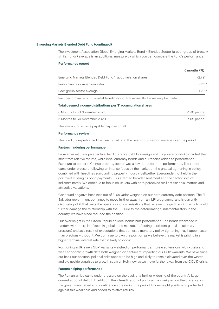The Investment Association Global Emerging Markets Bond – Blended Sector (a peer group of broadly similar funds) average is an additional measure by which you can compare the Fund's performance.

#### Performance record

|                                                            | $6$ months $(\%)$ |
|------------------------------------------------------------|-------------------|
| Emerging Markets Blended Debt Fund 'I' accumulation shares | $-2.79*$          |
| Performance comparison index                               | $-111**$          |
| Peer group sector average                                  | $-1.29**$         |
|                                                            |                   |

Past performance is not a reliable indicator of future results, losses may be made.

#### Total deemed income distributions per 'I' accumulation shares

| 6 Months to 30 November 2021 | 3.30 pence |
|------------------------------|------------|
| 6 Months to 30 November 2020 | 3.09 pence |

The amount of income payable may rise or fall.

#### Performance review

The Fund underperformed the benchmark and the peer group sector average over the period.

#### Factors hindering performance

From an asset class perspective, hard currency debt (sovereign and corporate bonds) detracted the most from relative returns, while local currency bonds and currencies added to performance. Exposure to bonds in China's property sector was a key detractor from performance. The sector came under pressure following an intense focus by the market on the gradual tightening in policy, combined with headlines surrounding property industry bellwether Evergrande (not held in the portfolio) missing its bond payments. This affected broader sentiment and the sector sold off indiscriminately. We continue to focus on issuers with both perceived resilient financial metrics and attractive valuations.

Continued negative headlines out of El Salvador weighed on our hard currency debt position. The El Salvador government continues to move further away from an IMF programme, and is currently discussing a bill that limits the operations of organisations that receive foreign financing, which would further damage the relationship with the US. Due to the deteriorating fundamental story in the country, we have since reduced the position.

Our overweight in the Czech Republic's local bonds hurt performance. The bonds weakened in tandem with the sell-off seen in global bond markets (reflecting persistent global inflationary pressure) and as a result of expectations that domestic monetary policy tightening may happen faster than previously thought. We continue to own the position as we believe the market is pricing in a higher terminal interest rate than is likely to occur.

Positioning in Ukraine's GDP warrants weighed on performance. Increased tensions with Russia and weak economic growth data both weighed on sentiment, impacting our GDP warrants. We have since cut back our position; political risks appear to be high and likely to remain elevated over the winter, and big upside surprises to growth seem unlikely now as we move further away from the COVID crisis.

#### Factors helping performance

The Romanian leu came under pressure on the back of a further widening of the country's large current account deficit. In addition, the intensification of political risks weighed on the currency as the government faced a no confidence vote during the period. Underweight positioning protected against this weakness and added to relative returns.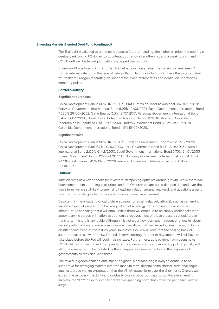The Thai baht weakened over the period due to factors including: the higher oil price; the country's central bank buying US dollars to counteract currency strengthening; and a weak tourism and COVID outlook. Underweight positioning helped the portfolio.

Underweight positioning in the Turkish lira helped cushion against the currency's weakness. A further interest rate cut in the face of rising inflation led to a sell-off, which was then exacerbated by President Erdogan reiterating his support for lower interest rates and continued unorthodox monetary policy.

#### Portfolio activity

#### Significant purchases

China Development Bank 3.66% 01/03/2031, Brazil Letras do Tesouro Nacional 0% 01/01/2025, Peruvian Government International Bond 6.95% 12/08/2031, Egypt Government International Bond 7.625% 29/05/2032, Qatar Energy 3.3% 12/07/2051, Paraguay Government International Bond 5.4% 30/03/2050, Brazil Notas do Tesouro Nacional Serie F 10% 01/01/2025, Bonos de la Tesoreria de la Republica 1.9% 01/09/2030, Turkey Government Bond 6.125% 24/10/2028, Colombia Government International Bond 4.5% 15/03/2029.

## Significant sales

China Development Bank 3.66% 01/03/2031, Thailand Government Bond 2.125% 17/12/2026, China Development Bank 3.7% 20/10/2030, Peru Government Bond 5.4% 12/08/2034, Serbia International Bond 2.125% 01/12/2030, Saudi Government International Bond 3.75% 21/01/2055, Turkey Government Bond 6.125% 24/10/2028, Uruguay Government International Bond 4.375% 23/01/2031, Eskom 8.45% 10/08/2028, Peruvian Government International Bond 6.95% 12/08/2031.

#### **Outlook**

Inflation remains a key concern for investors, dampening optimism around growth. While there has been some recent softening in oil prices and the Omicron variant could dampen demand over the short term, we are still likely to see rising headline inflation around year-end, and questions around whether this is a largely temporary phenomenon remain unanswered.

Despite this, the broader cyclical picture appears to remain relatively attractive across emerging markets, especially against the backdrop of a global energy transition and the associated infrastructure spending that it will entail. While there will continue to be supply bottlenecks with accompanying surges in inflation as economies recover, most of these pressures should prove transitory, if history is any guide. Although it is not clear how permanent recent changes in labour market participation and wage pressures are, they should still be viewed against the much longer disinflationary trend of the last 25 years. Investors should also note that the scaling back of support measures – with the US Federal Reserve starting to taper in November – will still have to take place before the Fed will begin raising rates. Furthermore, as is evident from recent news, COVID-19 has not yet moved from pandemic to endemic status and monetary policy globally will still – to some extent – be dictated by the emergence of new variants and the response of governments as they deal with these.

The revival in goods demand and impact on global manufacturing is likely to continue to be supportive for emerging markets over the medium term, despite some shorter-term challenges, against a broad market expectation that the US will outperform over the short term. Overall, we expect the recovery in activity and gradually closing of output gaps to continue in emerging markets into 2022, despite some fiscal drag as spending normalises after the pandemic-related surge.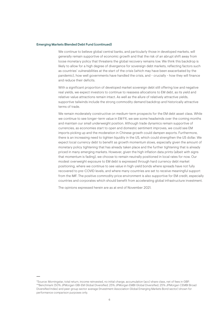We continue to believe global central banks, and particularly those in developed markets, will generally remain supportive of economic growth and that the risk of an abrupt shift away from loose monetary policy that threatens the global recovery remains low. We think this backdrop is likely to allow for a high degree of divergence for sovereign debt markets, reflecting factors such as countries' vulnerabilities at the start of the crisis (which may have been exacerbated by the pandemic), how well governments have handled the crisis, and - crucially - how they will finance and reduce their deficits.

With a significant proportion of developed market sovereign debt still offering low and negative real yields, we expect investors to continue to reassess allocations to EM debt, as its yield and relative-value attractions remain intact. As well as the allure of relatively attractive yields, supportive tailwinds include the strong commodity demand backdrop and historically attractive terms of trade.

We remain moderately constructive on medium-term prospects for the EM debt asset class. While we continue to see longer-term value in EM FX, we see some headwinds over the coming months and maintain our small underweight position. Although trade dynamics remain supportive of currencies, as economies start to open and domestic sentiment improves, we could see EM imports picking up and the moderation in Chinese growth could dampen exports. Furthermore, there is an increasing need to tighten liquidity in the US, which could strengthen the US dollar. We expect local currency debt to benefit as growth momentum slows, especially given the amount of monetary policy tightening that has already taken place and the further tightening that is already priced in many emerging markets. However, given the high inflation data prints (albeit with signs that momentum is fading), we choose to remain neutrally positioned in local rates for now. Our modest overweight exposure to EM debt is expressed through hard currency debt market positioning, where we continue to see value in high-yield bonds where spreads have not fully recovered to pre-COVID levels, and where many countries are set to receive meaningful support from the IMF. The positive commodity price environment is also supportive for EM credit, especially countries and corporates which should benefit from accelerating global infrastructure investment.

<sup>\*</sup>Source: Morningstar, total return, income reinvested, no initial charge, accumulation (acc) share class, net of fees in GBP. \*\*Benchmark (50% JPMorgan GBI-EM Global Diversified; 25% JPMorgan EMBI Global Diversified; 25% JPMorgan CEMBI Broad Diversified Index) and peer group sector average (Investment Association Global Emerging Markets Bond sector) shown for performance comparison purposes only.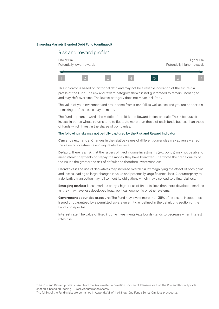## Risk and reward profile\*

Lower risk the controller of the controller of the controller of the controller of the controller of the controller of the controller of the controller of the controller of the controller of the controller of the controlle Potentially lower rewards extending the potentially higher rewards



This indicator is based on historical data and may not be a reliable indication of the future risk profile of the Fund. The risk and reward category shown is not guaranteed to remain unchanged and may shift over time. The lowest category does not mean 'risk free'.

The value of your investment and any income from it can fall as well as rise and you are not certain of making profits; losses may be made.

The Fund appears towards the middle of the Risk and Reward Indicator scale. This is because it invests in bonds whose returns tend to fluctuate more than those of cash funds but less than those of funds which invest in the shares of companies.

#### The following risks may not be fully captured by the Risk and Reward Indicator:

Currency exchange: Changes in the relative values of different currencies may adversely affect the value of investments and any related income.

Default: There is a risk that the issuers of fixed income investments (e.g. bonds) may not be able to meet interest payments nor repay the money they have borrowed. The worse the credit quality of the issuer, the greater the risk of default and therefore investment loss.

Derivatives: The use of derivatives may increase overall risk by magnifying the effect of both gains and losses leading to large changes in value and potentially large financial loss. A counterparty to a derivative transaction may fail to meet its obligations which may also lead to a financial loss.

Emerging market: These markets carry a higher risk of financial loss than more developed markets as they may have less developed legal, political, economic or other systems.

Government securities exposure: The Fund may invest more than 35% of its assets in securities issued or guaranteed by a permitted sovereign entity, as defined in the definitions section of the Fund's prospectus.

Interest rate: The value of fixed income investments (e.g. bonds) tends to decrease when interest rates rise.

<sup>\*</sup>The Risk and Reward profile is taken from the Key Investor Information Document. Please note that, the Risk and Reward profile section is based on Sterling 'I' Class Accumulation shares.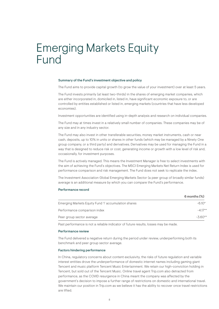# Emerging Markets Equity Fund

#### Summary of the Fund's investment objective and policy

The Fund aims to provide capital growth (to grow the value of your investment) over at least 5 years.

The Fund invests primarily (at least two-thirds) in the shares of emerging market companies, which are either incorporated in, domiciled in, listed in, have significant economic exposure to, or are controlled by entities established or listed in, emerging markets (countries that have less developed economies).

Investment opportunities are identified using in-depth analysis and research on individual companies.

The Fund may at times invest in a relatively small number of companies. These companies may be of any size and in any industry sector.

The Fund may also invest in other transferable securities, money market instruments, cash or near cash, deposits, up to 10% in units or shares in other funds (which may be managed by a Ninety One group company, or a third party) and derivatives. Derivatives may be used for managing the Fund in a way that is designed to reduce risk or cost, generating income or growth with a low level of risk and, occasionally, for investment purposes.

The Fund is actively managed. This means the Investment Manager is free to select investments with the aim of achieving the Fund's objectives. The MSCI Emerging Markets Net Return Index is used for performance comparison and risk management. The Fund does not seek to replicate the index.

The Investment Association Global Emerging Markets Sector (a peer group of broadly similar funds) average is an additional measure by which you can compare the Fund's performance.

#### Performance record

|                                                      | $6$ months $(\%)$ |
|------------------------------------------------------|-------------------|
| Emerging Markets Equity Fund 'I' accumulation shares | $-6.10*$          |
| Performance comparison index                         | $-4.17**$         |
| Peer group sector average                            | $-3.60**$         |
|                                                      |                   |

Past performance is not a reliable indicator of future results, losses may be made.

#### Performance review

The Fund delivered a negative return during the period under review, underperforming both its benchmark and peer group sector average.

#### Factors hindering performance

In China, regulatory concerns about content exclusivity, the risks of future regulation and variable interest entities drove the underperformance of domestic internet names including gaming giant Tencent and music platform Tencent Music Entertainment. We retain our high-conviction holding in Tencent, but sold out of the Tencent Music. Online travel agent Trip.com also detracted from performance, as the COVID resurgence in China meant the company was affected by the government's decision to impose a further range of restrictions on domestic and international travel. We maintain our position in Trip.com as we believe it has the ability to recover once travel restrictions are lifted.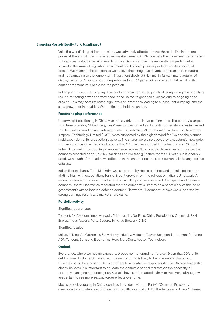#### Emerging Markets Equity Fund (continued)

Vale, the world's largest iron ore miner, was adversely affected by the sharp decline in iron ore prices at the end of July. This reflected weaker demand in China where the government is targeting to keep steel output at 2020's level to curb emissions and as the residential property market slowed in the wake of regulatory adjustments and property developer Evergrande's potential default. We maintain the position as we believe these negative drivers to be transitory in nature, and not damaging to the longer-term investment thesis at this time. In Taiwan, manufacturer of display products Au Optronics underperformed as LCD panel prices started to fall, eroding its earnings momentum. We closed the position.

Indian pharmaceutical company Aurobindo Pharma performed poorly after reporting disappointing results, reflecting a weak performance in the US for its generics business due to ongoing price erosion. This may have reflected high levels of inventories leading to subsequent dumping, and the slow growth for injectables. We continue to hold the shares.

#### Factors helping performance

Underweight positioning in China was the key driver of relative performance. The country's largest wind farm operator, China Longyuan Power, outperformed as domestic power shortages increased the demand for wind power. Returns for electric vehicle (EV) battery manufacturer Contemporary Amperex Technology Limited (CATL) were supported by the high demand for EVs and the planned rapid expansion of its production capacity. The shares were also buoyed by a substantial new order from existing customer Tesla and reports that CATL will be included in the benchmark CSI 300 Index. Underweight positioning in e-commerce retailer Alibaba added to relative returns after the company reported poor Q2 2022 earnings and lowered guidance for the full year. While cheaply rated, with much of the bad news reflected in the share price, the stock currently lacks any positive catalysts.

Indian IT consultancy Tech Mahindra was supported by strong earnings and a deal pipeline at an all-time high, with expectations for significant growth from the roll-out of India's 5G network. A recent presentation to investment analysts was also positively received. Aerospace and defence company Bharat Electronics reiterated that the company is likely to be a beneficiary of the Indian government's aim to localise defence content. Elsewhere, IT company Infosys was supported by strong earnings results and market share gains.

#### Portfolio activity

#### Significant purchases

Tencent, SK Telecom, Inner Mongolia Yili Industrial, NetEase, China Petroleum & Chemical, ENN Energy, Indus Towers, Porto Seguro, Tsingtao Brewery, CITIC.

#### Significant sales

Kakao, Li Ning, AU Optronics, Sany Heavy Industry, Meituan, Taiwan Semiconductor Manufacturing ADR, Tencent, Samsung Electronics, Hero MotoCorp, Accton Technology.

## Outlook

Evergrande, where we had no exposure, proved neither grand nor forever. Given that 90% of its debt is owed to domestic financiers, the restructuring is likely to be opaque and drawn out. Ultimately, it will be a political decision where to allocate the responsibility. The Chinese leadership clearly believes it is important to educate the domestic capital markets on the necessity of correctly managing and pricing risk. Markets have so far reacted calmly to the event, although we are certain to see more second-order effects over time.

Moves on deleveraging in China continue in tandem with the Party's 'Common Prosperity' campaign to regulate areas of the economy with potentially difficult effects on ordinary Chinese,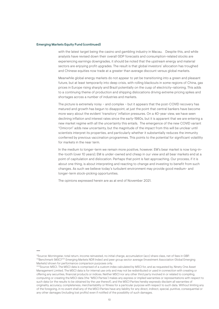#### Emerging Markets Equity Fund (continued)

with the latest target being the casino and gambling industry in Macau. Despite this, and while analysts have revised down their overall GDP forecasts and consumption-related stocks are experiencing earnings downgrades, it should be noted that the upstream energy and material sectors are enjoying profit upgrades. The result is that global investors' allocation has troughed and Chinese equities now trade at a greater than average discount versus global markets.

Meanwhile global energy markets do not appear to yet be transitioning into a green and pleasant future, but at least temporarily into deep crisis, with rolling blackouts in some regions of China, gas prices in Europe rising sharply and Brazil potentially on the cusp of electricity-rationing. This adds to a continuing theme of production and shipping dislocations driving extreme pricing spikes and shortages across a number of industries and markets.

The picture is extremely noisy – and complex – but it appears that the post-COVID recovery has matured and growth has begun to disappoint, at just the point that central bankers have become more wary about the evident 'transitory' inflation pressures. On a 40-year view, we have seen declining inflation and interest rates since the early-1980s, but it is apparent that we are entering a new market regime with all the uncertainty this entails. The emergence of the new COVID variant "Omicron" adds new uncertainty, but the magnitude of the impact from this will be unclear until scientists interpret its properties, and particularly whether it substantially reduces the immunity conferred by previous vaccination programmes. This points to the potential for significant volatility for markets in the near term.

In the medium to longer-term we remain more positive, however. EM's bear market is now long-inthe-tooth (over 10 years); EM is under-owned and cheap in our view and all bear markets end at a point of capitulation and dislocation. Perhaps that point is fast approaching. Our process, if it is about one thing, is about interpreting and reacting to change and investing to benefit from such changes. As such we believe today's turbulent environment may provide good medium- and longer-term stock-picking opportunities.

<sup>\*</sup>Source: Morningstar, total return, income reinvested, no initial charge, accumulation (acc) share class, net of fees in GBP. \*\*Benchmark (MSCI\*\*\* Emerging Markets NDR Index) and peer group sector average (Investment Association Global Emerging Markets) shown for performance comparison purposes only.

<sup>\*\*\*</sup>Source: MSCI. The MSCI data is comprised of a custom index calculated by MSCI for, and as requested by, Ninety One Asset Management Limited. The MSCI data is for internal use only and may not be redistributed or used in connection with creating or offering any securities, financial products or indices. Neither MSCI nor any other third party involved in or related to compiling, computing or creating the MSCI data (the "MSCI Parties') makes any express or implied warranties or representations with respect to such data (or the results to be obtained by the use thereof), and the MSCI Parties hereby expressly disclaim all warranties of originality, accuracy, completeness, merchantability or fitness for a particular purpose with respect to such data. Without limiting any of the foregoing, in no event shall any of the MSCI Parties have any liability for any direct, indirect, special, punitive, consequential or any other damages (including lost profits) even if notified of the possibility of such damages.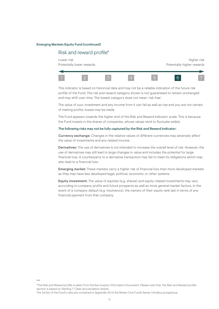## Emerging Markets Equity Fund (continued)

## Risk and reward profile\*

Lower risk the controller of the controller of the controller of the controller of the controller of the controller of the controller of the controller of the controller of the controller of the controller of the controlle Potentially lower rewards **Potentially lower rewards** Potentially higher rewards



This indicator is based on historical data and may not be a reliable indication of the future risk profile of the Fund. The risk and reward category shown is not guaranteed to remain unchanged and may shift over time. The lowest category does not mean 'risk free'.

The value of your investment and any income from it can fall as well as rise and you are not certain of making profits; losses may be made.

The Fund appears towards the higher end of the Risk and Reward Indicator scale. This is because the Fund invests in the shares of companies, whose values tend to fluctuate widely.

## The following risks may not be fully captured by the Risk and Reward Indicator:

Currency exchange: Changes in the relative values of different currencies may adversely affect the value of investments and any related income.

Derivatives: The use of derivatives is not intended to increase the overall level of risk. However, the use of derivatives may still lead to large changes in value and includes the potential for large financial loss. A counterparty to a derivative transaction may fail to meet its obligations which may also lead to a financial loss.

Emerging market: These markets carry a higher risk of financial loss than more developed markets as they may have less developed legal, political, economic or other systems.

Equity investment: The value of equities (e.g. shares) and equity-related investments may vary according to company profits and future prospects as well as more general market factors. In the event of a company default (e.g. insolvency), the owners of their equity rank last in terms of any financial payment from that company.

<sup>\*</sup>The Risk and Reward profile is taken from the Key Investor Information Document. Please note that, the Risk and Reward profile section is based on Sterling 'I' Class Accumulation shares.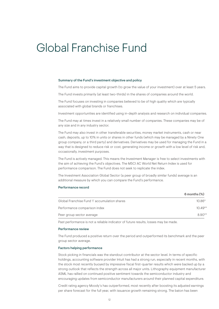# Global Franchise Fund

#### Summary of the Fund's investment objective and policy

The Fund aims to provide capital growth (to grow the value of your investment) over at least 5 years.

The Fund invests primarily (at least two-thirds) in the shares of companies around the world.

The Fund focuses on investing in companies believed to be of high quality which are typically associated with global brands or franchises.

Investment opportunities are identified using in-depth analysis and research on individual companies.

The Fund may at times invest in a relatively small number of companies. These companies may be of any size and in any industry sector.

The Fund may also invest in other transferable securities, money market instruments, cash or near cash, deposits, up to 10% in units or shares in other funds (which may be managed by a Ninety One group company, or a third party) and derivatives. Derivatives may be used for managing the Fund in a way that is designed to reduce risk or cost, generating income or growth with a low level of risk and, occasionally, investment purposes.

The Fund is actively managed. This means the Investment Manager is free to select investments with the aim of achieving the Fund's objectives. The MSCI AC World Net Return Index is used for performance comparison. The Fund does not seek to replicate the index.

The Investment Association Global Sector (a peer group of broadly similar funds) average is an additional measure by which you can compare the Fund's performance.

### Performance record

|                                               | $6$ months $(\%)$ |
|-----------------------------------------------|-------------------|
| Global Franchise Fund 'l' accumulation shares | $10.86*$          |
| Performance comparison index                  | $10.49**$         |
| Peer group sector average                     | $8.90**$          |
|                                               |                   |

Past performance is not a reliable indicator of future results, losses may be made.

#### Performance review

The Fund produced a positive return over the period and outperformed its benchmark and the peer group sector average.

#### Factors helping performance

Stock picking in financials was the standout contributor at the sector level. In terms of specific holdings, accounting software provider Intuit has had a strong run, especially in recent months, with the stock most recently buoyed by impressive fiscal first-quarter results which were backed up by a strong outlook that reflects the strength across all major units. Lithography equipment manufacturer ASML has rallied on continued positive sentiment towards the semiconductor industry and encouraging updates from semiconductor manufacturers around their planned capital expenditure.

Credit rating agency Moody's has outperformed, most recently after boosting its adjusted earnings per share forecast for the full year, with issuance growth remaining strong. The baton has been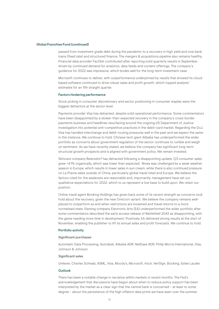## Global Franchise Fund (continued)

passed from investment grade debt during the pandemic to a recovery in high yield and now bank loans (fixed rate) and structured finance. The mergers & acquisitions pipeline also remains healthy. Financial data provider FactSet contributed after reporting solid quarterly results in September, driven by continued demand for analytics, data feeds and content offerings. The company's guidance for 2022 was impressive, which bodes well for the long-term investment case.

Microsoft continues to deliver, with outperformance underpinned by results that showed its cloudbased software continued to drive robust sales and profit growth, which topped analysts' estimates for an 11th straight quarter.

#### Factors hindering performance

Stock picking in consumer discretionary and sector positioning in consumer staples were the biggest detractors at the sector level.

Payments provider Visa has detracted, despite solid operational performance. Some commentators have been disappointed by a slower-than-expected recovery in the company's cross-border payments business and headlines resurfacing around the ongoing US Department of Justice investigation into potential anti-competitive practices in the debit-card market. Regarding the DoJ, Visa has handled interchange and debit-routing pressures well in the past and we expect the same in this instance. We continue to hold. Chinese tech giant Alibaba has underperformed the wider portfolio as concerns about government regulation of the sector continues to rumble and weigh on sentiment. As we have recently stated, we believe the company has significant long-term structural growth prospects and is aligned with government policy. We remain invested.

Skincare company Beiersdorf has detracted following a disappointing update. Q3 consumer sales grew +4.1% organically, which was lower than expected. Nivea was challenged by a weak weather season in Europe, which results in lower sales in sun cream, while there is also continued pressure on La Prairie sales outside of China, particularly global travel retail and Europe. We believe the factors cited for the weakness are reasonable and, importantly, management have set out qualitative expectations for 2022, which to us represent a low base to build upon. We retain our position.

Online travel agent Booking Holdings has given back some of its recent strength as concerns took hold about the recovery, given the new Omicron variant. We believe the company remains wellplaced to outperform as and when restrictions are loosened and travel returns to a more normalised state. Gaming company Electronic Arts (EA) underperformed the wider portfolio after some commentators described the early access release of Battlefield 2042 as disappointing, with the game needing more time in development. Positively, EA delivered strong results at the start of November, enabling the publisher to lift its annual sales and profit forecasts. We continue to hold.

#### Portfolio activity

#### Significant purchases

Automatic Data Processing, Autodesk, Alibaba ADR, NetEase ADR, Philip Morris International, Visa, Johnson & Johnson.

#### Significant sales

Unilever, Charles Schwab, ASML, Visa, Moody's, Microsoft, Intuit, VeriSign, Booking, Estee Lauder.

#### **Outlook**

There has been a notable change in narrative within markets in recent months. The Fed's acknowledgement that discussions have begun about when to reduce policy support has been interpreted by the market as a clear sign that the central bank is concerned – at least to some degree – about the persistence of the high inflation data prints we have seen over the summer.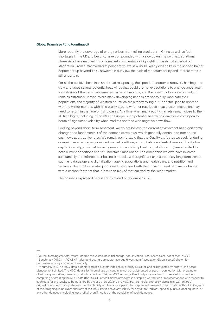## Global Franchise Fund (continued)

More recently the coverage of energy crises, from rolling blackouts in China as well as fuel shortages in the UK and beyond, have compounded with a slowdown in growth expectations. These risks have resulted in some market commentators highlighting the risk of a period of stagflation. From a macro/market perspective, we saw US 10-year yields spike in the second half of September up beyond 1.5%, however in our view, the path of monetary policy and interest rates is still uncertain.

For all the positive headlines and broad re-opening, the speed of economic recovery has begun to slow and faces several potential headwinds that could prompt expectations to change once again. New strains of the virus have emerged in recent months, and the breadth of vaccination rollout remains extremely uneven; While many developing nations are yet to fully vaccinate their populations, the majority of Western countries are already rolling out "booster" jabs to contend with the winter months, with little clarity around whether restrictive measures on movement may need to return in the face of rising cases. At a time when many equity markets remain close to their all-time highs, including in the US and Europe, such potential headwinds leave investors open to bouts of significant volatility when markets contend with negative news flow.

Looking beyond short-term sentiment, we do not believe the current environment has significantly changed the fundamentals of the companies we own, which generally continue to compound cashflows at attractive rates. We remain comfortable that the Quality attributes we seek (enduring competitive advantages, dominant market positions, strong balance sheets, lower cyclicality, low capital intensity, sustainable cash generation and disciplined capital allocation) are all suited to both current conditions and for uncertain times ahead. The companies we own have invested substantially to reinforce their business models, with significant exposure to key long-term trends such as data usage and digitalisation, ageing populations and health care, and nutrition and wellness. The portfolio is also positioned to contend with the growing threat of climate change, with a carbon footprint that is less than 10% of that emitted by the wider market.

<sup>\*</sup>Source: Morningstar, total return, income reinvested, no initial charge, accumulation (Acc) share class, net of fees in GBP. \*\*Benchmark (MSCI\*\*\* ACWI NR Index) and peer group sector average (Investment Association Global sector) shown for performance comparison purposes only.

<sup>\*\*\*</sup>Source: MSCI. The MSCI data is comprised of a custom index calculated by MSCI for, and as requested by, Ninety One Asset Management Limited. The MSCI data is for internal use only and may not be redistributed or used in connection with creating or offering any securities, financial products or indices. Neither MSCI nor any other third party involved in or related to compiling, computing or creating the MSCI data (the "MSCI Parties') makes any express or implied warranties or representations with respect to such data (or the results to be obtained by the use thereof), and the MSCI Parties hereby expressly disclaim all warranties of originality, accuracy, completeness, merchantability or fitness for a particular purpose with respect to such data. Without limiting any of the foregoing, in no event shall any of the MSCI Parties have any liability for any direct, indirect, special, punitive, consequential or any other damages (including lost profits) even if notified of the possibility of such damages.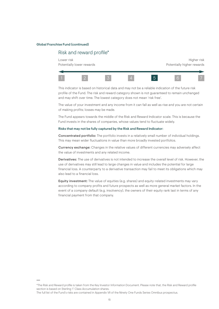## Global Franchise Fund (continued)

## Risk and reward profile\*

Lower risk the controller of the controller of the controller of the controller of the controller of the controller of the controller of the controller of the controller of the controller of the controller of the controlle Potentially lower rewards **Potentially lower rewards** Potentially higher rewards



This indicator is based on historical data and may not be a reliable indication of the future risk profile of the Fund. The risk and reward category shown is not guaranteed to remain unchanged and may shift over time. The lowest category does not mean 'risk free'.

The value of your investment and any income from it can fall as well as rise and you are not certain of making profits; losses may be made.

The Fund appears towards the middle of the Risk and Reward Indicator scale. This is because the Fund invests in the shares of companies, whose values tend to fluctuate widely.

### Risks that may not be fully captured by the Risk and Reward Indicator:

Concentrated portfolio: The portfolio invests in a relatively small number of individual holdings. This may mean wider fluctuations in value than more broadly invested portfolios.

Currency exchange: Changes in the relative values of different currencies may adversely affect the value of investments and any related income.

Derivatives: The use of derivatives is not intended to increase the overall level of risk. However, the use of derivatives may still lead to large changes in value and includes the potential for large financial loss. A counterparty to a derivative transaction may fail to meet its obligations which may also lead to a financial loss.

Equity investment: The value of equities (e.g. shares) and equity-related investments may vary according to company profits and future prospects as well as more general market factors. In the event of a company default (e.g. insolvency), the owners of their equity rank last in terms of any financial payment from that company.

<sup>\*</sup>The Risk and Reward profile is taken from the Key Investor Information Document. Please note that, the Risk and Reward profile section is based on Sterling 'I' Class Accumulation shares.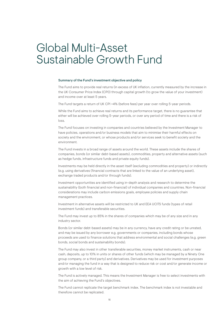## Global Multi-Asset Sustainable Growth Fund

#### Summary of the Fund's investment objective and policy

The Fund aims to provide real returns (in excess of UK inflation, currently measured by the increase in the UK Consumer Price Index (CPI)) through capital growth (to grow the value of your investment) and income over at least 5 years.

The Fund targets a return of UK CPI +4% (before fees) per year over rolling 5-year periods.

While the Fund aims to achieve real returns and its performance target, there is no guarantee that either will be achieved over rolling 5-year periods, or over any period of time and there is a risk of loss.

The Fund focuses on investing in companies and countries believed by the Investment Manager to have policies, operations and/or business models that aim to minimise their harmful effects on society and the environment, or whose products and/or services seek to benefit society and the environment.

The Fund invests in a broad range of assets around the world. These assets include the shares of companies, bonds (or similar debt-based assets), commodities, property and alternative assets (such as hedge funds, infrastructure funds and private equity funds).

Investments may be held directly in the asset itself (excluding commodities and property) or indirectly (e.g. using derivatives (financial contracts that are linked to the value of an underlying asset), exchange traded products and/or through funds).

Investment opportunities are identified using in-depth analysis and research to determine the sustainability (both financial and non-financial) of individual companies and countries. Non-financial considerations may include carbon emissions goals, employee policies and supply chain management practices.

Investment in alternative assets will be restricted to UK and EEA UCITS funds (types of retail investment funds) and transferable securities.

The Fund may invest up to 85% in the shares of companies which may be of any size and in any industry sector.

Bonds (or similar debt-based assets) may be in any currency, have any credit rating or be unrated, and may be issued by any borrower e.g. governments or companies, including bonds whose proceeds are used to finance solutions that address environmental and social challenges (e.g. green bonds, social bonds and sustainability bonds).

The Fund may also invest in other transferable securities, money market instruments, cash or near cash, deposits, up to 10% in units or shares of other funds (which may be managed by a Ninety One group company, or a third party) and derivatives. Derivatives may be used for investment purposes and/or managing the fund in a way that is designed to reduce risk or cost and/or generate income or growth with a low level of risk.

The Fund is actively managed. This means the Investment Manager is free to select investments with the aim of achieving the Fund's objectives.

The Fund cannot replicate the target benchmark index. The benchmark index is not investable and therefore cannot be replicated.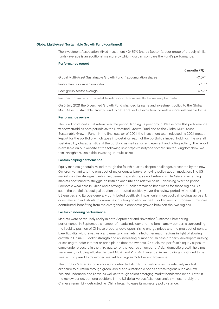The Investment Association Mixed Investment 40-85% Shares Sector (a peer group of broadly similar funds) average is an additional measure by which you can compare the Fund's performance.

#### Performance record

| $6$ months $(\%)$ |
|-------------------|
| $-0.07*$          |
| $5.35**$          |
| $4.52**$          |
|                   |

Past performance is not a reliable indicator of future results, losses may be made.

On 5 July 2021 the Diversified Growth Fund changed its name and investment policy to the Global Multi-Asset Sustainable Growth Fund to better reflect its evolution towards a more sustainable focus.

### Performance review

The Fund produced a flat return over the period, lagging its peer group. Please note this performance window straddles both periods as the Diversified Growth Fund and as the Global Multi-Asset Sustainable Growth Fund. In the final quarter of 2021, the investment team released its 2021 Impact Report for the portfolio, which goes into detail on each of the portfolio's impact holdings, the overall sustainability characteristics of the portfolio as well as our engagement and voting activity. The report is available on our website at the following link: https://ninetyone.com/en/united-kingdom/how-wethink/insights/sustainable-investing-in-multi-asset

## Factors helping performance

Equity markets generally rallied through the fourth quarter, despite challenges presented by the new Omicron variant and the prospect of major central banks removing policy accommodation. The US market was the strongest performer, cementing a strong year of returns, while Asia and emerging markets continued to struggle on both an absolute and relative basis – declining over the period. Economic weakness in China and a stronger US dollar remained headwinds for these regions. As such, the portfolio's equity allocation contributed positively over the review period, with holdings in US equities and Europe generally contributed positively, in particular more cyclical holdings across IT, consumer and industrials. In currencies, our long position in the US dollar versus European currencies contributed, benefiting from the divergence in economic growth between the two regions.

#### Factors hindering performance

Markets were particularly rocky in both September and November (Omicron), hampering performance. In September, a number of headwinds came to the fore, namely concerns surrounding the liquidity position of Chinese property developers, rising energy prices and the prospect of central bank liquidity withdrawal. Asia and emerging markets trailed other major regions in light of slowing growth in China, US dollar strength and an increasing number of Chinese property developers missing or seeking to defer interest or principle on debt repayments. As such, the portfolio's equity exposure came under pressure in the third quarter of the year as a number of Asian domestic growth holdings were weak, including Alibaba, Tencent Music and Ping An Insurance. Asian holdings continued to be weaker compared to developed market holdings in October and November.

The portfolio's fixed income allocation detracted slightly from returns, as the relatively modest exposure to duration through green, social and sustainable bonds across regions such as New Zealand, Indonesia and Kenya as well as through select emerging market bonds weakened. Later in the review period, our long positions in the US dollar versus Asian currencies – most notably the Chinese renminbi – detracted, as China began to ease its monetary policy stance.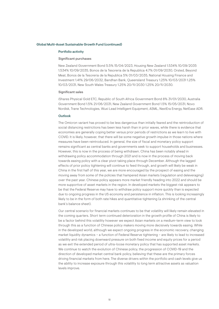#### Portfolio activity

#### Significant purchases

New Zealand Government Bond 5.5% 15/04/2023, Housing New Zealand 1.534% 10/09/2035 1.534% 10/09/2035, Bonos de la Tesoreria de la Republica 4.7% 01/09/2030, Orsted, Beyond Meat, Bonos de la Tesoreria de la Republica 5% 01/03/2035, National Housing Finance and Investment 1.41% 29/06/2032, Bandhan Bank, Queensland Treasury 1.25% 10/03/2031 1.25% 10/03/2031, New South Wales Treasury 1.25% 20/11/2030 1.25% 20/11/2030.

#### Significant sales

iShares Physical Gold ETC, Republic of South Africa Government Bond 8% 31/01/2030, Australia Government Bond 1.5% 21/06/2031, New Zealand Government Bond 1.5% 15/05/2031, Novo Nordisk, Trane Technologies, Wuxi Lead Intelligent Equipment, ASML, NextEra Energy, NetEase ADR.

### Outlook

The Omicron variant has proved to be less dangerous than initially feared and the reintroduction of social distancing restrictions has been less harsh than in prior waves, while there is evidence that economies are generally coping better versus prior periods of restrictions as we learn to live with COVID. It is likely, however, that there will be some negative growth impulse in those nations where measures have been reintroduced. In general, the size of fiscal and monetary policy support remains significant as central banks and governments seek to support households and businesses. However, this is now in the process of being withdrawn. China has been notably ahead in withdrawing policy accommodation through 2021 and is now in the process of moving back towards easing policy with a clear pivot taking place through December. Although the lagged effects of prior policy tightening will continue to feed through, and growth will likely be weak in China in the first half of this year, we are more encouraged by the prospect of easing and the moving away from some of the policies that hampered Asian markets (regulation and deleveraging) over the past year. Chinese policy appears more market friendly heading into 2022 and should be more supportive of asset markets in the region. In developed markets the biggest risk appears to be that the Federal Reserve may have to withdraw policy support more quickly than is expected due to ongoing progress in the US economy and persistence in inflation. This is looking increasingly likely to be in the form of both rate hikes and quantitative tightening (a shrinking of the central bank's balance sheet).

Our central scenario for financial markets continues to be that volatility will likely remain elevated in the coming quarters. Short term continued deterioration in the growth profile of China is likely to be a factor behind this volatility however we expect Asian markets on a medium-term view to look through this as a function of Chinese policy makers moving more decisively towards easing. While in the developed world, although we expect ongoing progress in the economic recovery, changing market liquidity dynamics – a function of Federal Reserve tightening – are likely to lead to increased volatility and risk placing downward pressure on both fixed income and equity prices for a period as we exit the extended period of ultra-loose monetary policy that has supported asset markets. We continue to watch the evolution of Chinese policy, the progression of COVID-19 and the direction of developed market central bank policy, believing that these are the primary forces driving financial markets from here. The diverse drivers within the portfolio and cash levels give us the ability to increase exposure through this volatility to long term attractive assets as valuation levels improve.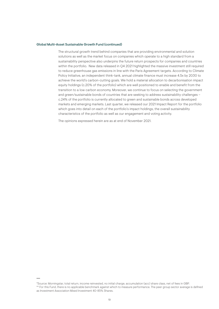The structural growth trend behind companies that are providing environmental and solution solutions as well as the market focus on companies which operate to a high standard from a sustainability perspective also underpins the future return prospects for companies and countries within the portfolio. New data released in O4 2021 highlighted the massive investment still required to reduce greenhouse gas emissions in line with the Paris Agreement targets. According to Climate Policy Initiative, an independent think-tank, annual climate finance must increase 4.5x by 2030 to achieve the world's carbon-cutting goals. We hold a material allocation to decarbonisation impact equity holdings (c.20% of the portfolio) which are well positioned to enable and benefit from the transition to a low carbon economy. Moreover, we continue to focus on selecting the government and green/sustainable bonds of countries that are seeking to address sustainability challenges – c.24% of the portfolio is currently allocated to green and sustainable bonds across developed markets and emerging markets. Last quarter, we released our 2021 Impact Report for the portfolio which goes into detail on each of the portfolio's impact holdings, the overall sustainability characteristics of the portfolio as well as our engagement and voting activity.

<sup>\*</sup>Source: Morningstar, total return, income reinvested, no initial charge, accumulation (acc) share class, net of fees in GBP. \*\* For this Fund, there is no applicable benchmark against which to measure performance. The peer group sector average is defined as Investment Association Mixed Investment 40-85% Shares.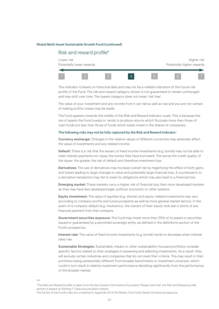## Risk and reward profile\*

| Lower risk                | Higher risk                |
|---------------------------|----------------------------|
| Potentially lower rewards | Potentially higher rewards |
|                           |                            |
|                           |                            |

1 2 3 4 5 6 7

This indicator is based on historical data and may not be a reliable indication of the future risk profile of the Fund. The risk and reward category shown is not guaranteed to remain unchanged and may shift over time. The lowest category does not mean 'risk free'.

The value of your investment and any income from it can fall as well as rise and you are not certain of making profits; losses may be made.

The Fund appears towards the middle of the Risk and Reward Indicator scale. This is because the mix of assets the Fund invests in, tends to produce returns which fluctuate more than those of cash funds but less than those of funds which solely invest in the shares of companies.

#### The following risks may not be fully captured by the Risk and Reward Indicator:

Currency exchange: Changes in the relative values of different currencies may adversely affect the value of investments and any related income.

Default: There is a risk that the issuers of fixed income investments (e.g. bonds) may not be able to meet interest payments nor repay the money they have borrowed. The worse the credit quality of the issuer, the greater the risk of default and therefore investment loss.

Derivatives: The use of derivatives may increase overall risk by magnifying the effect of both gains and losses leading to large changes in value and potentially large financial loss. A counterparty to a derivative transaction may fail to meet its obligations which may also lead to a financial loss.

Emerging market: These markets carry a higher risk of financial loss than more developed markets as they may have less developed legal, political, economic or other systems.

Equity investment: The value of equities (e.g. shares) and equity-related investments may vary according to company profits and future prospects as well as more general market factors. In the event of a company default (e.g. insolvency), the owners of their equity rank last in terms of any financial payment from that company.

Government securities exposure: The Fund may invest more than 35% of its assets in securities issued or guaranteed by a permitted sovereign entity, as defined in the definitions section of the Fund's prospectus.

Interest rate: The value of fixed income investments (e.g. bonds) tends to decrease when interest rates rise.

Sustainable Strategies: Sustainable, impact or other sustainability-focused portfolios consider specific factors related to their strategies in assessing and selecting investments. As a result, they will exclude certain industries and companies that do not meet their criteria. This may result in their portfolios being substantially different from broader benchmarks or investment universes, which could in turn result in relative investment performance deviating significantly from the performance of the broader market.

<sup>\*</sup>The Risk and Reward profile is taken from the Key Investor Information Document. Please note that, the Risk and Reward profile section is based on Sterling 'I' Class Accumulation shares.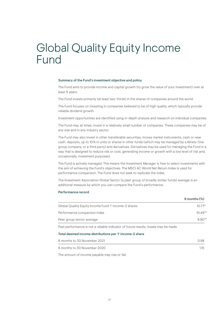# Global Quality Equity Income Fund

#### Summary of the Fund's investment objective and policy

The Fund aims to provide income and capital growth (to grow the value of your investment) over at least 5 years.

The Fund invests primarily (at least two-thirds) in the shares of companies around the world.

The Fund focuses on investing in companies believed to be of high quality, which typically provide reliable dividend growth.

Investment opportunities are identified using in-depth analysis and research on individual companies.

The Fund may, at times, invest in a relatively small number of companies. These companies may be of any size and in any industry sector.

The Fund may also invest in other transferable securities, money market instruments, cash or near cash, deposits, up to 10% in units or shares in other funds (which may be managed by a Ninety One group company, or a third party) and derivatives. Derivatives may be used for managing the Fund in a way that is designed to reduce risk or cost, generating income or growth with a low level of risk and, occasionally, investment purposes).

The Fund is actively managed. This means the Investment Manager is free to select investments with the aim of achieving the Fund's objectives. The MSCI AC World Net Return Index is used for performance comparison. The Fund does not seek to replicate the index.

The Investment Association Global Sector (a peer group of broadly similar funds) average is an additional measure by which you can compare the Fund's performance.

## Performance record

|                                                       | $6$ months $(\%)$ |
|-------------------------------------------------------|-------------------|
| Global Quality Equity Income Fund 'I' income-2 shares | $10.77*$          |
| Performance comparison index                          | $10.49**$         |
| Peer group sector average                             | $8.90**$          |
|                                                       |                   |

Past performance is not a reliable indicator of future results, losses may be made.

#### Total deemed income distributions per 'I' income-2 share

| 6 months to 30 November 2021 | 0.98 |
|------------------------------|------|
| 6 months to 30 November 2020 | 1.15 |

The amount of income payable may rise or fall.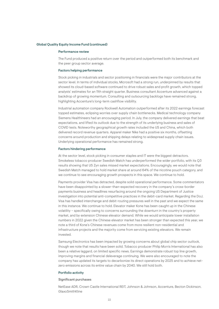#### Global Quality Equity Income Fund (continued)

### Performance review

The Fund produced a positive return over the period and outperformed both its benchmark and the peer group sector average.

### Factors helping performance

Stock picking in industrials and sector positioning in financials were the major contributors at the sector level. In terms of individual stocks, Microsoft had a strong run, underpinned by results that showed its cloud-based software continued to drive robust sales and profit growth, which topped analysts' estimates for an 11th straight quarter. Business consultant Accenture advanced against a backdrop of growing momentum. Consulting and outsourcing backlogs have remained strong, highlighting Accenture's long-term cashflow visibility.

Industrial automation company Rockwell Automation outperformed after its 2022 earnings forecast topped estimates, eclipsing worries over supply chain bottlenecks. Medical technology company Siemens Healthineers had an encouraging period. In July, the company delivered earnings that beat expectations, and lifted its outlook due to the strength of its underlying business and sales of COVID tests. Noteworthy geographical growth rates included the US and China, which both delivered record revenue quarters. Apparel maker Nike had a positive six months, offsetting concerns around production and shipping delays relating to widespread supply chain issues. Underlying operational performance has remained strong.

#### Factors hindering performance

At the sector level, stock picking in consumer staples and IT were the biggest detractors. Smokeless tobacco producer Swedish Match has underperformed the wider portfolio, with its Q3 results showing that US Zyn sales missed market expectations. Encouragingly, we would note that Swedish Match managed to hold market share at around 64% of the nicotine pouch category, and we continue to see encouraging growth prospects in this space. We continue to hold.

Payments provider Visa has detracted, despite solid operational performance. Some commentators have been disappointed by a slower-than-expected recovery in the company's cross-border payments business and headlines resurfacing around the ongoing US Department of Justice investigation into potential anti-competitive practices in the debit-card market. Regarding the DoJ, Visa has handled interchange and debit-routing pressures well in the past and we expect the same in this instance. We continue to hold. Elevator maker Kone has been caught up in the Chinese volatility – specifically owing to concerns surrounding the downturn in the country's property market, and by extension Chinese elevator demand. While we would anticipate lower installation numbers in 2022 given the Chinese elevator market has been stronger than expected this year, we note a third of Kone's Chinese revenues come from more resilient non-residential and infrastructure projects and the majority come from servicing existing elevators. We remain invested.

Samsung Electronics has been impacted by growing concerns about global chip sector outlook, though we note that results have been solid. Tobacco producer Philip Morris International has also been a relative laggard, on limited specific news. Earnings demonstrate robust top line growth, improving margins and financial deleverage continuing. We were also encouraged to note the company has updated its targets to decarbonize its direct operations by 2025 and to achieve netzero emissions across its entire value chain by 2040. We still hold both.

#### Portfolio activity

#### Significant purchases

NetEase ADR, Crown Castle International REIT, Johnson & Johnson, Accenture, Becton Dickinson, GlaxoSmithKline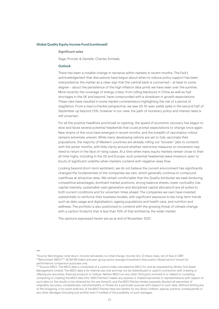#### Global Quality Equity Income Fund (continued)

Significant sales

Sage, Procter & Gamble, Charles Schwab.

## **Outlook**

There has been a notable change in narrative within markets in recent months. The Fed's acknowledgement that discussions have begun about when to reduce policy support has been interpreted by the market as a clear sign that the central bank is concerned – at least to some degree – about the persistence of the high inflation data prints we have seen over the summer. More recently the coverage of energy crises, from rolling blackouts in China as well as fuel shortages in the UK and beyond, have compounded with a slowdown in growth expectations. These risks have resulted in some market commentators highlighting the risk of a period of stagflation. From a macro/market perspective, we saw US 10-year yields spike in the second half of September up beyond 1.5%, however in our view, the path of monetary policy and interest rates is still uncertain.

For all the positive headlines and broad re-opening, the speed of economic recovery has begun to slow and faces several potential headwinds that could prompt expectations to change once again. New strains of the virus have emerged in recent months, and the breadth of vaccination rollout remains extremely uneven; While many developing nations are yet to fully vaccinate their populations, the majority of Western countries are already rolling out "booster" jabs to contend with the winter months, with little clarity around whether restrictive measures on movement may need to return in the face of rising cases. At a time when many equity markets remain close to their all-time highs, including in the US and Europe, such potential headwinds leave investors open to bouts of significant volatility when markets contend with negative news flow.

Looking beyond short-term sentiment, we do not believe the current environment has significantly changed the fundamentals of the companies we own, which generally continue to compound cashflows at attractive rates. We remain comfortable that the Quality attributes we seek (enduring competitive advantages, dominant market positions, strong balance sheets, lower cyclicality, low capital intensity, sustainable cash generation and disciplined capital allocation) are all suited to both current conditions and for uncertain times ahead. The companies we own have invested substantially to reinforce their business models, with significant exposure to key long-term trends such as data usage and digitalisation, ageing populations and health care, and nutrition and wellness. The portfolio is also positioned to contend with the growing threat of climate change, with a carbon footprint that is less than 10% of that emitted by the wider market.

<sup>\*</sup>Source: Morningstar, total return, income reinvested, no initial charge, income (inc-2) share class, net of fees in GBP. \*\*Benchmark (MSCI\*\*\* ACWI NR Index) and peer group sector average (Investment Association Global sector) shown for performance comparison purposes only.

<sup>\*\*\*</sup>Source: MSCI. The MSCI data is comprised of a custom index calculated by MSCI for, and as requested by, Ninety One Asset Management Limited. The MSCI data is for internal use only and may not be redistributed or used in connection with creating or offering any securities, financial products or indices. Neither MSCI nor any other third party involved in or related to compiling, computing or creating the MSCI data (the "MSCI Parties') makes any express or implied warranties or representations with respect to such data (or the results to be obtained by the use thereof), and the MSCI Parties hereby expressly disclaim all warranties of originality, accuracy, completeness, merchantability or fitness for a particular purpose with respect to such data. Without limiting any of the foregoing, in no event shall any of the MSCI Parties have any liability for any direct, indirect, special, punitive, consequential or any other damages (including lost profits) even if notified of the possibility of such damages.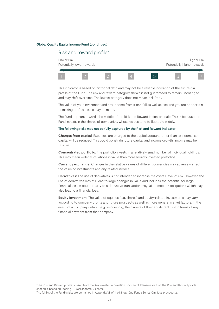#### Global Quality Equity Income Fund (continued)

## Risk and reward profile\*

| Lower risk                | Higher risk                |
|---------------------------|----------------------------|
| Potentially lower rewards | Potentially higher rewards |
|                           |                            |
|                           |                            |

1 2 3 4 5 6 7

This indicator is based on historical data and may not be a reliable indication of the future risk profile of the Fund. The risk and reward category shown is not guaranteed to remain unchanged and may shift over time. The lowest category does not mean 'risk free'.

The value of your investment and any income from it can fall as well as rise and you are not certain of making profits; losses may be made.

The Fund appears towards the middle of the Risk and Reward Indicator scale. This is because the Fund invests in the shares of companies, whose values tend to fluctuate widely.

#### The following risks may not be fully captured by the Risk and Reward Indicator:

Charges from capital: Expenses are charged to the capital account rather than to income, so capital will be reduced. This could constrain future capital and income growth. Income may be taxable.

Concentrated portfolio: The portfolio invests in a relatively small number of individual holdings. This may mean wider fluctuations in value than more broadly invested portfolios.

Currency exchange: Changes in the relative values of different currencies may adversely affect the value of investments and any related income.

Derivatives: The use of derivatives is not intended to increase the overall level of risk. However, the use of derivatives may still lead to large changes in value and includes the potential for large financial loss. A counterparty to a derivative transaction may fail to meet its obligations which may also lead to a financial loss.

Equity investment: The value of equities (e.g. shares) and equity-related investments may vary according to company profits and future prospects as well as more general market factors. In the event of a company default (e.g. insolvency), the owners of their equity rank last in terms of any financial payment from that company.

<sup>\*</sup>The Risk and Reward profile is taken from the Key Investor Information Document. Please note that, the Risk and Reward profile section is based on Sterling 'I' Class income-2 shares.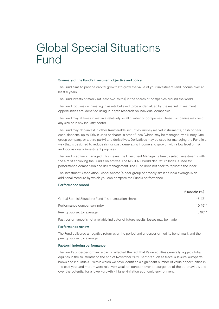# Global Special Situations Fund

#### Summary of the Fund's investment objective and policy

The Fund aims to provide capital growth (to grow the value of your investment) and income over at least 5 years.

The Fund invests primarily (at least two-thirds) in the shares of companies around the world.

The Fund focuses on investing in assets believed to be undervalued by the market. Investment opportunities are identified using in-depth research on individual companies.

The Fund may at times invest in a relatively small number of companies. These companies may be of any size or in any industry sector.

The Fund may also invest in other transferable securities, money market instruments, cash or near cash, deposits, up to 10% in units or shares in other funds (which may be managed by a Ninety One group company, or a third party) and derivatives. Derivatives may be used for managing the Fund in a way that is designed to reduce risk or cost, generating income and growth with a low level of risk and, occasionally, investment purposes.

The Fund is actively managed. This means the Investment Manager is free to select investments with the aim of achieving the Fund's objectives. The MSCI AC World Net Return Index is used for performance comparison and risk management. The Fund does not seek to replicate the index.

The Investment Association Global Sector (a peer group of broadly similar funds) average is an additional measure by which you can compare the Fund's performance.

#### Performance record

|                                                        | $6$ months $(\%)$ |
|--------------------------------------------------------|-------------------|
| Global Special Situations Fund 'I' accumulation shares | $-6.43*$          |
| Performance comparison index                           | $10.49**$         |
| Peer group sector average                              | $8.90**$          |
|                                                        |                   |

Past performance is not a reliable indicator of future results, losses may be made.

## Performance review

The Fund delivered a negative return over the period and underperformed its benchmark and the peer group sector average.

### Factors hindering performance

The Fund's underperformance partly reflected the fact that Value equities generally lagged global equities in the six months to the end of November 2021. Sectors such as travel & leisure, autoparts, banks and industrials – within which we have identified a significant number of value opportunities in the past year and more – were relatively weak on concern over a resurgence of the coronavirus, and over the potential for a lower-growth / higher-inflation economic environment.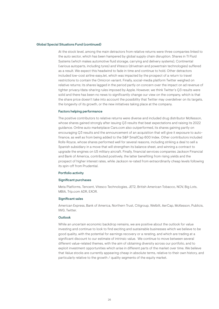#### Global Special Situations Fund (continued)

At the stock level, among the main detractors from relative returns were three companies linked to the auto sector, which has been hampered by global supply chain disruption. Shares in TI Fluid Systems (which makes automotive fluid storage, carrying and delivery systems), Continental (various autoparts, including tyres) and Vitesco (drivetrain and powertrain technologies) suffered as a result. We expect this headwind to fade in time and continue to hold. Other detractors included low-cost airline easyJet, which was impacted by the prospect of a return to travel restrictions to contain the Omicron variant. Finally, social-media platform Twitter weighed on relative returns; its shares lagged in the period partly on concern over the impact on ad revenue of tighter privacy/data-sharing rules imposed by Apple. However, we think Twitter's Q3 results were solid and there has been no news to significantly change our view on the company, which is that the share price doesn't take into account the possibility that Twitter may overdeliver on its targets, the longevity of its growth, or the new initiatives taking place at the company.

## Factors helping performance

The positive contributors to relative returns were diverse and included drug distributor McKesson, whose shares gained strongly after issuing Q3 results that beat expectations and raising its 2022 guidance. Online auto marketplace Cars.com also outperformed, its shares gaining partly on encouraging Q3 results and the announcement of an acquisition that will give it exposure to autofinance, as well as from being added to the S&P SmallCap 600 Index. Other contributors included Rolls-Royce, whose shares performed well for several reasons, including striking a deal to sell a Spanish subsidiary in a move that will strengthen its balance sheet, and winning a contract to upgrade the engines on US military aircraft. Finally, financial services companies Jackson Financial and Bank of America, contributed positively, the latter benefiting from rising yields and the prospect of higher interest rates, while Jackson re-rated from extraordinarily cheap levels following its spin-off from Prudential.

#### Portfolio activity

#### Significant purchases

Meta Platforms, Tencent, Vitesco Technologies, JET2, British American Tobacco, NOV, Big Lots, MBIA, Trip.com ADR, EXOR.

#### Significant sales

American Express, Bank of America, Northern Trust, Citigroup, Welbilt, AerCap, McKesson, Publicis, IWG, Twitter.

#### **Outlook**

While an uncertain economic backdrop remains, we are positive about the outlook for value investing and continue to look to find exciting and sustainable businesses which we believe to be good quality, with the potential for earnings recovery or a rerating, and which are trading at a significant discount to our estimate of intrinsic value. We continue to move between several different value-related themes, with the aim of obtaining diversity across our portfolio, and to exploit investment opportunities which arise in different parts of the market over time. We believe that Value stocks are currently appearing cheap in absolute terms, relative to their own history, and particularly relative to the growth / quality segments of the equity market.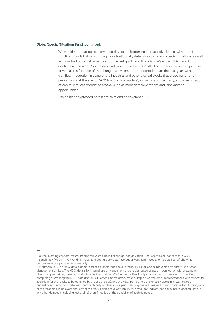## Global Special Situations Fund (continued)

We would note that our performance drivers are becoming increasingly diverse, with recent significant contributors including more traditionally defensive stocks and special situations, as well as more traditional Value sectors such as autoparts and financials. We expect this trend to continue as the world 'normalises' and learns to live with COVID. This wider dispersion of positive drivers also a function of the changes we've made to the portfolio over the past year, with a significant reduction in some of the industrial and other cyclical stocks that drove our strong performance at the start of 2021 (our 'cyclical leaders', as we categorise them), and a reallocation of capital into less correlated stocks, such as more defensive stocks and idiosyncratic opportunities.

<sup>\*</sup>Source: Morningstar, total return, income reinvested, no initial charge, accumulation (Acc) share class, net of fees in GBP. \*\*Benchmark (MSCI\*\*\* AC World NR Index) and peer group sector average (Investment Association Global sector) shown for performance comparison purposes only.

<sup>\*\*\*</sup>Source: MSCI. The MSCI data is comprised of a custom index calculated by MSCI for, and as requested by, Ninety One Asset Management Limited. The MSCI data is for internal use only and may not be redistributed or used in connection with creating or offering any securities, financial products or indices. Neither MSCI nor any other third party involved in or related to compiling, computing or creating the MSCI data (the "MSCI Parties') makes any express or implied warranties or representations with respect to such data (or the results to be obtained by the use thereof), and the MSCI Parties hereby expressly disclaim all warranties of originality, accuracy, completeness, merchantability or fitness for a particular purpose with respect to such data. Without limiting any of the foregoing, in no event shall any of the MSCI Parties have any liability for any direct, indirect, special, punitive, consequential or any other damages (including lost profits) even if notified of the possibility of such damages.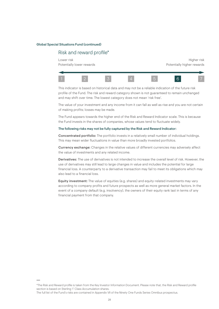## Global Special Situations Fund (continued)

## Risk and reward profile\*

Lower risk the controller of the controller of the controller of the controller of the controller of the controller of the controller of the controller of the controller of the controller of the controller of the controlle Potentially lower rewards extending the potentially higher rewards



This indicator is based on historical data and may not be a reliable indication of the future risk profile of the Fund. The risk and reward category shown is not guaranteed to remain unchanged and may shift over time. The lowest category does not mean 'risk free'.

The value of your investment and any income from it can fall as well as rise and you are not certain of making profits; losses may be made.

The Fund appears towards the higher end of the Risk and Reward Indicator scale. This is because the Fund invests in the shares of companies, whose values tend to fluctuate widely.

## The following risks may not be fully captured by the Risk and Reward Indicator:

Concentrated portfolio: The portfolio invests in a relatively small number of individual holdings. This may mean wider fluctuations in value than more broadly invested portfolios.

Currency exchange: Changes in the relative values of different currencies may adversely affect the value of investments and any related income.

Derivatives: The use of derivatives is not intended to increase the overall level of risk. However, the use of derivatives may still lead to large changes in value and includes the potential for large financial loss. A counterparty to a derivative transaction may fail to meet its obligations which may also lead to a financial loss.

Equity investment: The value of equities (e.g. shares) and equity-related investments may vary according to company profits and future prospects as well as more general market factors. In the event of a company default (e.g. insolvency), the owners of their equity rank last in terms of any financial payment from that company.

<sup>\*</sup>The Risk and Reward profile is taken from the Key Investor Information Document. Please note that, the Risk and Reward profile section is based on Sterling 'I' Class Accumulation shares.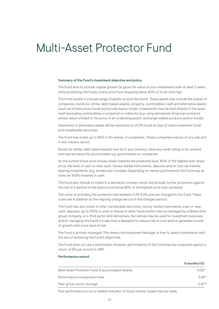# Multi-Asset Protector Fund

#### Summary of the Fund's investment objective and policy

The Fund aims to provide capital growth (to grow the value of your investment) over at least 5 years, while protecting the Fund's share price from dropping below 80% of its all-time high.

The Fund invests in a broad range of assets around the world. These assets may include the shares of companies, bonds (or similar debt-based assets), property, commodities, cash and alternative assets (such as infrastructure funds and private equity funds). Investments may be held directly in the asset itself (excluding commodities or property) or indirectly (e.g. using derivatives (financial contracts whose value is linked to the price of an underlying asset), exchange traded products and/or funds).

Investment in alternative assets will be restricted to UCITS funds (a type of retail investment fund) and transferable securities.

The Fund may invest up to 85% in the shares of companies. These companies may be of any size and in any industry sector.

Bonds (or similar debt-based assets) may be in any currency, have any credit rating or be unrated, and may be issued by any borrower e.g. governments or companies.

As the current share price moves closer towards the protected level, 80% of the highest ever share price, the level of cash or near cash, money market instruments, deposits and/or low risk interest bearing investments (e.g. bonds) may increase. Depending on market performance the Fund may at times be 100% invested in cash.

The Fund also intends to invest in a derivative contract which will provide further protection against the risk of a decline in the share price below 80% of the highest price ever achieved.

The costs of providing the protection are between 0.15-0.5% and are charged to the Fund. These costs are in addition to the ongoing charge set out in the charges section.

The Fund may also invest in other transferable securities, money market instruments, cash or near cash, deposits, up to 100% in units or shares in other funds (which may be managed by a Ninety One group company, or a third party) and derivatives. Derivatives may be used for investment purposes and/or managing the Fund in a way that is designed to reduce risk or cost and/or generate income or growth with a low level of risk.

The Fund is actively managed. This means the Investment Manager is free to select investments with the aim of achieving the Fund's objectives.

The Fund does not use a benchmark. However, performance of the Fund may be compared against a return of 5% per annum in GBP.

#### Performance record

| $6$ months $(\%)$ |
|-------------------|
| $-0.50*$          |
| $5.91**$          |
| $2.47**$          |
|                   |

Past performance is not a reliable indicator of future results, losses may be made.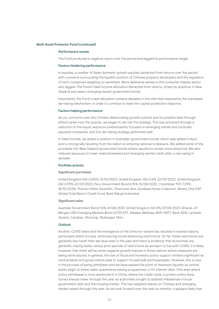## Multi-Asset Protector Fund (continued)

## Performance review

The Fund produced a negative return over the period and lagged its performance target.

#### Factors hindering performance

In equities, a number of Asian domestic growth equities detracted from returns over the period, with concerns surrounding the liquidity position of Chinese property developers and the regulation of tech companies weighing on sentiment. More defensive names in the consumer staples sector also lagged. The Fund's fixed income allocation detracted from returns, driven by positions in New Zealand and select emerging market government bonds.

Importantly, the Fund's cash allocation remains elevated in line with that required by the mandated de-risking mechanism, in order to continue to meet the capital protection objective.

### Factors helping performance

As our concerns over the Chinese deteriorating growth outlook and its possible feed through effects grew over the quarter, we began to de-risk the strategy. This was achieved through a reduction in the equity exposure predominantly focused on emerging market and cyclically exposed companies, and this de-risking strategy performed well.

In fixed income, we exited a position in Australian government bonds, which was added in April, post a strong rally resulting from the nation re-entering national lockdowns. We added some of the proceeds into New Zealand government bonds where valuations remain more attractive. We also reduced exposure to lower rated developed and emerging market credit after a narrowing in spreads.

#### Portfolio activity

## Significant purchases

United Kingdom Gilt 0.125% 31/01/2023, United Kingdom Gilt 0.5% 22/07/2022, United Kingdom Gilt 0.75% 22/07/2023, Peru Government Bond 6.15% 12/08/2032, Colombian TES 7.25% 18/10/2034, Thermo Fisher Scientific, Electronic Arts, Suofeiya Home Collection, Ninety One GSF Global Total Return Credit Fund, Bank Rakyat Indonesia.

#### Significant sales

Australia Government Bond 1.5% 21/06/2031, United Kingdom Gilt 8% 07/06/2021, iShares J.P. Morgan USD Emerging Markets Bond UCITS ETF, Alibaba, NetEase ADR, HDFC Bank ADR, Landstar System, Carabao, Shionogi, Wuliangye Yibin.

## **Outlook**

Another COVID wave and the emergence of the Omicron variant has resulted in several nations, particularly within Europe, reintroducing social distancing restrictions. So far, these restrictions are generally less harsh than we have seen in the past and there is evidence that economies are generally coping better versus prior periods of restrictions as we learn to live with COVID. It is likely, however, that there will be some negative growth impulse in those nations where measures are being reintroduced. In general, the size of fiscal and monetary policy support remains significant as central banks and governments seek to support households and businesses. However, this is now in the process of being withdrawn and we have passed the point of maximum liquidity as central banks begin to either taper quantitative easing programmes or lift interest rates. One area where policy withdrawal is more advanced is in China, where the credit cycle, a primary policy lever, turned sharply lower through this year as authorities sought to address imbalances in local government debt and the housing market. This has weighed heavily on Chinese and emerging market assets through this year. As we look forward over the next six months, it appears likely that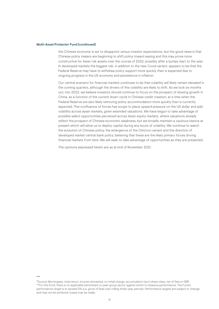## Multi-Asset Protector Fund (continued)

the Chinese economy is set to disappoint versus investor expectations, but the good news is that Chinese policy makers are beginning to shift policy toward easing and this may prove more constructive for Asian risk assets over the course of 2022, possibly after a bumpy start to the year. In developed markets the biggest risk, in addition to the new Covid variant, appears to be that the Federal Reserve may have to withdraw policy support more quickly than is expected due to ongoing progress in the US economy and persistence in inflation.

Our central scenario for financial markets continues to be that volatility will likely remain elevated in the coming quarters, although the drivers of this volatility are likely to shift. As we look six months out, into 2022, we believe investors should continue to focus on the prospect of slowing growth in China, as a function of the current down-cycle in Chinese credit creation, at a time when the Federal Reserve are also likely removing policy accommodation more quickly than is currently expected. This confluence of forces has scope to place upward pressure on the US dollar and add volatility across asset markets, given extended valuations. We have begun to take advantage of possible select opportunities perceived across Asian equity markets, where valuations already reflect the prospect of Chinese economic weakness, but we broadly maintain a cautious stance at present which will allow us to deploy capital during any bouts of volatility. We continue to watch the evolution of Chinese policy, the emergence of the Omicron variant and the direction of developed market central bank policy, believing that these are the likely primary forces driving financial markets from here. We will seek to take advantage of opportunities as they are presented.

<sup>\*</sup>Source: Morningstar, total return, income reinvested, no initial charge, accumulation (acc) share class, net of fees in GBP. \*\*For this Fund, there is no applicable benchmark or peer group sector against which to measure performance. The Fund's performance target is to exceed 5% p.a. gross of fees over rolling three-year periods. Performance targets are subject to change and may not be achieved, losses may be made.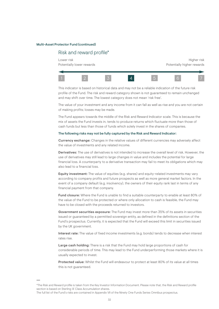## Multi-Asset Protector Fund (continued)

## Risk and reward profile\*

Lower risk the controller of the controller of the controller of the controller of the controller of the controller of the controller of the controller of the controller of the controller of the controller of the controlle Potentially lower rewards **Potentially lower rewards** Potentially higher rewards



This indicator is based on historical data and may not be a reliable indication of the future risk profile of the Fund. The risk and reward category shown is not guaranteed to remain unchanged and may shift over time. The lowest category does not mean 'risk free'.

The value of your investment and any income from it can fall as well as rise and you are not certain of making profits; losses may be made.

The Fund appears towards the middle of the Risk and Reward Indicator scale. This is because the mix of assets the Fund invests in, tends to produce returns which fluctuate more than those of cash funds but less than those of funds which solely invest in the shares of companies.

#### The following risks may not be fully captured by the Risk and Reward Indicator:

Currency exchange: Changes in the relative values of different currencies may adversely affect the value of investments and any related income.

Derivatives: The use of derivatives is not intended to increase the overall level of risk. However, the use of derivatives may still lead to large changes in value and includes the potential for large financial loss. A counterparty to a derivative transaction may fail to meet its obligations which may also lead to a financial loss.

Equity investment: The value of equities (e.g. shares) and equity-related investments may vary according to company profits and future prospects as well as more general market factors. In the event of a company default (e.g. insolvency), the owners of their equity rank last in terms of any financial payment from that company.

Fund closure: Where the Fund is unable to find a suitable counterparty to enable at least 80% of the value of the Fund to be protected or where only allocation to cash is feasible, the Fund may have to be closed with the proceeds returned to investors.

Government securities exposure: The Fund may invest more than 35% of its assets in securities issued or guaranteed by a permitted sovereign entity, as defined in the definitions section of the Fund's prospectus. Currently, it is expected that the Fund will exceed this limit in securities issued by the UK government.

Interest rate: The value of fixed income investments (e.g. bonds) tends to decrease when interest rates rise.

Large cash holding: There is a risk that the Fund may hold large proportions of cash for considerable periods of time. This may lead to the Fund underperforming those markets where it is usually expected to invest.

Protected value: Whilst the Fund will endeavour to protect at least 80% of its value at all times this is not guaranteed.

<sup>\*</sup>The Risk and Reward profile is taken from the Key Investor Information Document. Please note that, the Risk and Reward profile section is based on Sterling 'A' Class Accumulation shares.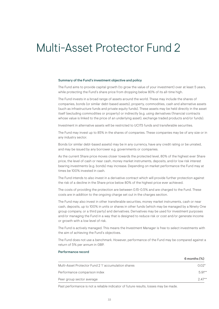# Multi-Asset Protector Fund 2

#### Summary of the Fund's investment objective and policy

The Fund aims to provide capital growth (to grow the value of your investment) over at least 5 years, while protecting the Fund's share price from dropping below 80% of its all-time high.

The Fund invests in a broad range of assets around the world. These may include the shares of companies, bonds (or similar debt-based assets), property, commodities, cash and alternative assets (such as infrastructure funds and private equity funds). These assets may be held directly in the asset itself (excluding commodities or property) or indirectly (e.g. using derivatives (financial contracts whose value is linked to the price of an underlying asset), exchange traded products and/or funds).

Investment in alternative assets will be restricted to UCITS funds and transferable securities.

The Fund may invest up to 85% in the shares of companies. These companies may be of any size or in any industry sector.

Bonds (or similar debt-based assets) may be in any currency, have any credit rating or be unrated, and may be issued by any borrower e.g. governments or companies.

As the current Share price moves closer towards the protected level, 80% of the highest ever Share price, the level of cash or near cash, money market instruments, deposits, and/or low risk interest bearing investments (e.g. bonds) may increase. Depending on market performance the Fund may at times be 100% invested in cash.

The Fund intends to also invest in a derivative contract which will provide further protection against the risk of a decline in the Share price below 80% of the highest price ever achieved.

The costs of providing the protection are between 0.15-0.5% and are charged to the Fund. These costs are in addition to the ongoing charge set out in the charges section.

The Fund may also invest in other transferable securities, money market instruments, cash or near cash, deposits, up to 100% in units or shares in other funds (which may be managed by a Ninety One group company, or a third party) and derivatives. Derivatives may be used for investment purposes and/or managing the Fund in a way that is designed to reduce risk or cost and/or generate income or growth with a low level of risk.

The Fund is actively managed. This means the Investment Manager is free to select investments with the aim of achieving the Fund's objectives.

The Fund does not use a benchmark. However, performance of the Fund may be compared against a return of 5% per annum in GBP.

## Performance record

| $6$ months $(\%)$ |
|-------------------|
| $0.02*$           |
| $5.91**$          |
| $2.47**$          |
|                   |

Past performance is not a reliable indicator of future results, losses may be made.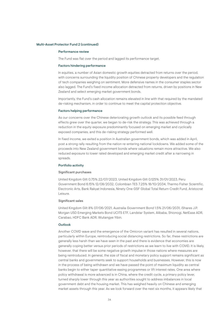## Multi-Asset Protector Fund 2 (continued)

## Performance review

The Fund was flat over the period and lagged its performance target.

#### Factors hindering performance

In equities, a number of Asian domestic growth equities detracted from returns over the period, with concerns surrounding the liquidity position of Chinese property developers and the regulation of tech companies weighing on sentiment. More defensive names in the consumer staples sector also lagged. The Fund's fixed income allocation detracted from returns, driven by positions in New Zealand and select emerging market government bonds.

Importantly, the Fund's cash allocation remains elevated in line with that required by the mandated de-risking mechanism, in order to continue to meet the capital protection objective.

### Factors helping performance

As our concerns over the Chinese deteriorating growth outlook and its possible feed through effects grew over the quarter, we began to de-risk the strategy. This was achieved through a reduction in the equity exposure predominantly focused on emerging market and cyclically exposed companies, and this de-risking strategy performed well.

In fixed income, we exited a position in Australian government bonds, which was added in April, post a strong rally resulting from the nation re-entering national lockdowns. We added some of the proceeds into New Zealand government bonds where valuations remain more attractive. We also reduced exposure to lower rated developed and emerging market credit after a narrowing in spreads.

#### Portfolio activity

#### Significant purchases

United Kingdom Gilt 0.75% 22/07/2023, United Kingdom Gilt 0.125% 31/01/2023, Peru Government Bond 6.15% 12/08/2032, Colombian TES 7.25% 18/10/2034, Thermo Fisher Scientific, Electronic Arts, Bank Rakyat Indonesia, Ninety One GSF Global Total Return Credit Fund, Aristocrat Leisure.

#### Significant sales

United Kingdom Gilt 8% 07/06/2021, Australia Government Bond 1.5% 21/06/2031, iShares J.P. Morgan USD Emerging Markets Bond UCITS ETF, Landstar System, Alibaba, Shionogi, NetEase ADR, Carabao, HDFC Bank ADR, Wuliangye Yibin.

## **Outlook**

Another COVID wave and the emergence of the Omicron variant has resulted in several nations, particularly within Europe, reintroducing social distancing restrictions. So far, these restrictions are generally less harsh than we have seen in the past and there is evidence that economies are generally coping better versus prior periods of restrictions as we learn to live with COVID. It is likely, however, that there will be some negative growth impulse in those nations where measures are being reintroduced. In general, the size of fiscal and monetary policy support remains significant as central banks and governments seek to support households and businesses. However, this is now in the process of being withdrawn and we have passed the point of maximum liquidity as central banks begin to either taper quantitative easing programmes or lift interest rates. One area where policy withdrawal is more advanced is in China, where the credit cycle, a primary policy lever, turned sharply lower through this year as authorities sought to address imbalances in local government debt and the housing market. This has weighed heavily on Chinese and emerging market assets through this year. As we look forward over the next six months, it appears likely that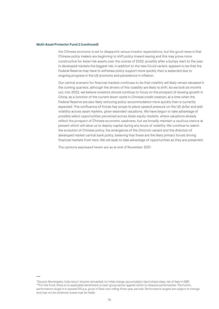## Multi-Asset Protector Fund 2 (continued)

the Chinese economy is set to disappoint versus investor expectations, but the good news is that Chinese policy makers are beginning to shift policy toward easing and this may prove more constructive for Asian risk assets over the course of 2022, possibly after a bumpy start to the year. In developed markets the biggest risk, in addition to the new Covid variant, appears to be that the Federal Reserve may have to withdraw policy support more quickly than is expected due to ongoing progress in the US economy and persistence in inflation.

Our central scenario for financial markets continues to be that volatility will likely remain elevated in the coming quarters, although the drivers of this volatility are likely to shift. As we look six months out, into 2022, we believe investors should continue to focus on the prospect of slowing growth in China, as a function of the current down-cycle in Chinese credit creation, at a time when the Federal Reserve are also likely removing policy accommodation more quickly than is currently expected. This confluence of forces has scope to place upward pressure on the US dollar and add volatility across asset markets, given extended valuations. We have begun to take advantage of possible select opportunities perceived across Asian equity markets, where valuations already reflect the prospect of Chinese economic weakness, but we broadly maintain a cautious stance at present which will allow us to deploy capital during any bouts of volatility. We continue to watch the evolution of Chinese policy, the emergence of the Omicron variant and the direction of developed market central bank policy, believing that these are the likely primary forces driving financial markets from here. We will seek to take advantage of opportunities as they are presented.

<sup>\*</sup>Source: Morningstar, total return, income reinvested, no initial charge, accumulation (acc) share class, net of fees in GBP. \*\*For this Fund, there is no applicable benchmark or peer group sector against which to measure performance. The Fund's performance target is to exceed 5% p.a. gross of fees over rolling three-year periods. Performance targets are subject to change and may not be achieved, losses may be made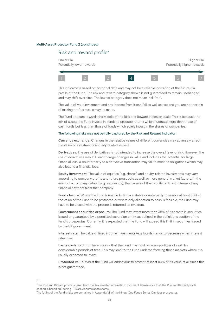## Multi-Asset Protector Fund 2 (continued)

## Risk and reward profile\*

Lower risk the controller of the controller of the controller of the controller of the controller of the controller of the controller of the controller of the controller of the controller of the controller of the controlle Potentially lower rewards extending the potentially higher rewards



This indicator is based on historical data and may not be a reliable indication of the future risk profile of the Fund. The risk and reward category shown is not guaranteed to remain unchanged and may shift over time. The lowest category does not mean 'risk free'.

The value of your investment and any income from it can fall as well as rise and you are not certain of making profits; losses may be made.

The Fund appears towards the middle of the Risk and Reward Indicator scale. This is because the mix of assets the Fund invests in, tends to produce returns which fluctuate more than those of cash funds but less than those of funds which solely invest in the shares of companies.

#### The following risks may not be fully captured by the Risk and Reward Indicator:

Currency exchange: Changes in the relative values of different currencies may adversely affect the value of investments and any related income.

Derivatives: The use of derivatives is not intended to increase the overall level of risk. However, the use of derivatives may still lead to large changes in value and includes the potential for large financial loss. A counterparty to a derivative transaction may fail to meet its obligations which may also lead to a financial loss.

Equity investment: The value of equities (e.g. shares) and equity-related investments may vary according to company profits and future prospects as well as more general market factors. In the event of a company default (e.g. insolvency), the owners of their equity rank last in terms of any financial payment from that company.

Fund closure: Where the Fund is unable to find a suitable counterparty to enable at least 80% of the value of the Fund to be protected or where only allocation to cash is feasible, the Fund may have to be closed with the proceeds returned to investors.

Government securities exposure: The Fund may invest more than 35% of its assets in securities issued or guaranteed by a permitted sovereign entity, as defined in the definitions section of the Fund's prospectus. Currently, it is expected that the Fund will exceed this limit in securities issued by the UK government.

Interest rate: The value of fixed income investments (e.g. bonds) tends to decrease when interest rates rise.

Large cash holding: There is a risk that the Fund may hold large proportions of cash for considerable periods of time. This may lead to the Fund underperforming those markets where it is usually expected to invest.

Protected value: Whilst the Fund will endeavour to protect at least 80% of its value at all times this is not guaranteed.

<sup>\*</sup>The Risk and Reward profile is taken from the Key Investor Information Document. Please note that, the Risk and Reward profile section is based on Sterling 'I' Class Accumulation shares.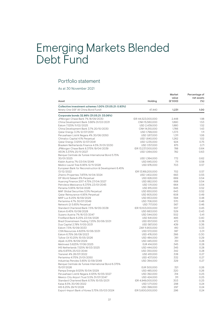## Emerging Markets Blended Debt Fund

### Portfolio statement

As at 30 November 2021

| Asset                                                                                        | Holding                    | Market<br>value<br>(E'000) | Percentage of<br>net assets<br>$(\%)$ |
|----------------------------------------------------------------------------------------------|----------------------------|----------------------------|---------------------------------------|
| Collective investment schemes 1.00% (31.05.21: 0.93%)<br>Ninety One GSF All China Bond Fund† | 47,440                     | 1,231                      | 1.00                                  |
| Corporate bonds 32.86% (31.05.21: 33.06%)                                                    |                            |                            |                                       |
| JPMorgan Chase Bank 7% 18/09/2030                                                            | IDR 44,523,000,000         | 2,448                      | 1.98                                  |
| China Development Bank 3.66% 01/03/2031                                                      | CNH 15,560,000             | 1,890                      | 1.53                                  |
| Eskom 7.125% 11/02/2025                                                                      | USD 2,439,000              | 1,880                      | 1.52                                  |
| China Development Bank 3.7% 20/10/2030                                                       | CNH 14,510,000             | 1,766                      | 1.43                                  |
| Qatar Energy 3.3% 12/07/2051                                                                 | USD 1,799,000              | 1,373                      | 1.11                                  |
| Perusahaan Listrik Negara 4% 30/06/2050                                                      | USD 1,817,000              | 1,311                      | 1.06                                  |
| Chinalco Capital 4.1% Perpetual                                                              | USD 1,640,000              | 1.262                      | 1.02                                  |
| Qatar Energy 3.125% 12/07/2041                                                               | USD 1,235,000              | 924                        | 0.75                                  |
| Braskem Netherlands Finance 4.5% 31/01/2030                                                  | USD 1,157,000              | 875                        | 0.71                                  |
| JPMorgan Chase Bank 8.375% 19/04/2039                                                        | IDR 13,237,000,000         | 788                        | 0.64                                  |
| VEON 3.375% 25/11/2027                                                                       | USD 1,064,000              | 782                        | 0.63                                  |
| Banque Centrale de Tunisie International Bond 5.75%                                          |                            |                            |                                       |
| 30/01/2025                                                                                   | USD 1,364,000              | 772                        | 0.62                                  |
| Klabin Austria 7% 03/04/2049                                                                 | USD 845,000                | 711                        | 0.58                                  |
| Medco Laurel Tree 6.95% 12/11/2028                                                           | USD 976,000                | 703                        | 0.57                                  |
| European Bank for Reconstruction & Development 6.45%                                         |                            |                            |                                       |
| 13/12/2022                                                                                   | IDR 13,169,200,000         | 702                        | 0.57                                  |
| Zhenro Properties 7.875% 14/04/2024                                                          | USD 1,402,000              | 683                        | 0.55                                  |
| DP World Salaam 6% Perpetual                                                                 | USD 828,000                | 669                        | 0.54                                  |
| Huarong Finance 2017 4.75% 27/04/2027                                                        | USD 882,000                | 668                        | 0.54                                  |
| Petroleos Mexicanos 6.375% 23/01/2045                                                        | USD 1,111,000              | 664                        | 0.54                                  |
| Periama 5.95% 19/04/2026                                                                     | USD 815,000                | 645                        | 0.52                                  |
| MAF Global Securities 5.5% Perpetual                                                         | USD 850,000                | 643                        | 0.52                                  |
|                                                                                              |                            | 608                        | 0.49                                  |
| Qatar Reinsurance 4.95% Perpetual<br>MHP Lux 6.25% 19/09/2029                                | USD 805,000<br>USD 853,000 | 594                        | 0.48                                  |
| Pertamina 4.7% 30/07/2049                                                                    |                            | 570                        | 0.46                                  |
| Network i2i 5.65% Perpetual                                                                  | USD 706,000                | 567                        | 0.46                                  |
| Standard Chartered Bank 7.5% 19/05/2038                                                      | USD 717,000                | 557                        | 0.45                                  |
| Eskom 8.45% 10/08/2028                                                                       | IDR 10,103,000,000         | 529                        | 0.43                                  |
| Suzano Austria 7% 16/03/2047                                                                 | USD 663,000                | 502                        | 0.41                                  |
| FirstRand Bank 6.25% 23/04/2028                                                              | USD 544,000                | 495                        | 0.40                                  |
| Brazil Downstream Trading 7.25% 30/06/2031                                                   | USD 641,000                | 472                        | 0.38                                  |
|                                                                                              | USD 657,000<br>USD 587,000 | 439                        | 0.36                                  |
| Dua Capital 2.78% 11/05/2031<br>Eskom 7.5% 15/09/2033                                        | ZAR 11,900,000             | 410                        | 0.33                                  |
| CSN Resources 4.625% 10/06/2031                                                              | USD 572,000                | 387                        | 0.31                                  |
| Eskom 6.75% 06/08/2023                                                                       | USD 476,000                | 366                        | 0.30                                  |
| Tullow Oil 10.25% 15/05/2026                                                                 | USD 484,000                | 361                        | 0.29                                  |
| Alpek 4.25% 18/09/2029                                                                       |                            | 351                        | 0.28                                  |
|                                                                                              | USD 445,000                | 345                        | 0.28                                  |
| Metinvest 5.625% 17/06/2025<br>IHS Netherlands 7.125% 18/03/2025                             | EUR 414,000                |                            | 0.28                                  |
| Alfa 6.875% 25/03/2044                                                                       | USD 444,000<br>USD 350,000 | 345                        | 0.28                                  |
| Transnet 4% 26/07/2022                                                                       |                            | 342                        | 0.27                                  |
|                                                                                              | USD 451,000                | 338<br>332                 |                                       |
| Pertamina 4.175% 21/01/2050                                                                  | USD 437,000                |                            | 0.27                                  |
| Industrias Penoles 5.65% 12/09/2049                                                          | USD 364,000                | 329                        | 0.27                                  |
| Banque Centrale de Tunisie International Bond 6.375%                                         |                            |                            |                                       |
| 15/07/2026                                                                                   | EUR 500,000                | 321                        | 0.26                                  |
| Pampa Energia 9.125% 15/04/2029                                                              | USD 485,000                | 320                        | 0.26                                  |
| Perusahaan Listrik Negara 4.125% 15/05/2027                                                  | USD 392,000                | 314                        | 0.25                                  |
| Mexico City Airport Trust 5.5% 31/07/2047                                                    | USD 424,000                | 311                        | 0.25                                  |
| Standard Chartered Bank 8.75% 15/05/2031                                                     | IDR 4,949,000,000          | 303                        | 0.25                                  |
| Kaisa 8.5% 30/06/2022                                                                        | USD 1,171,000              | 298                        | 0.24                                  |
| IHS 6.25% 29/11/2028                                                                         | USD 399,000                | 297                        | 0.24                                  |
| Export-Import Bank of Korea 5.75% 05/03/2024                                                 | IDR 5,600,000,000          | 296                        | 0.24                                  |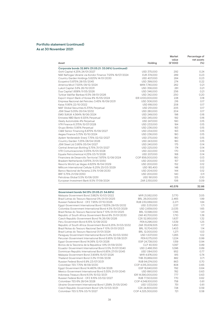| Asset                                                                                              | Holding                             | Market<br>value<br>(£'000) | Percentage of<br>net assets<br>$(\%)$ |
|----------------------------------------------------------------------------------------------------|-------------------------------------|----------------------------|---------------------------------------|
| Corporate bonds 32.86% (31.05.21: 33.06%) (continued)                                              |                                     |                            |                                       |
| Gohl Capital 4.25% 24/01/2027                                                                      | USD 375,000                         | 292                        | 0.24                                  |
| NAK Naftogaz Ukraine via Kondor Finance 7.125% 19/07/2024                                          | EUR 374,000                         | 289                        | 0.23                                  |
| Country Garden Holdings 5.625% 14/01/2030                                                          | USD 407,000                         | 284                        | 0.23                                  |
| Ecopetrol 5.875% 28/05/2045                                                                        | USD 399,000                         | 274                        | 0.22                                  |
| America Movil 7.125% 09/12/2024                                                                    | MXN 7,740,000                       | 262                        | 0.21                                  |
| Lukoil Capital 3.6% 26/10/2031                                                                     | USD 356,000<br>USD 346,000          | 261<br>256                 | 0.21<br>0.21                          |
| Dua Capital 1.658% 11/05/2026<br>Turkiye Vakiflar Bankasi 6.5% 08/01/2026                          | USD 342,000                         | 250                        | 0.20                                  |
| Export-Import Bank of Korea 8% 15/05/2024                                                          | IDR 4,100,000,000                   | 228                        | 0.18                                  |
| Empresa Nacional del Petroleo 3.45% 16/09/2031                                                     | USD 306,000                         | 216                        | 0.17                                  |
| Kaisa 11.95% 22/10/2022                                                                            | USD 818,000                         | 208                        | 0.17                                  |
| MAF Global Securities 6.375% Perpetual                                                             | USD 251,000                         | 205                        | 0.17                                  |
| JSW Steel 5.05% 05/04/2032                                                                         | USD 280,000                         | 204                        | 0.17                                  |
| EMG SUKUK 4.564% 18/06/2024                                                                        | USD 249,000                         | 198                        | 0.16                                  |
| Emirates NBD Bank 6.125% Perpetual                                                                 | USD 245,000                         | 192                        | 0.16                                  |
| Geely Automobile 4% Perpetual                                                                      | USD 247,000                         | 190                        | 0.15                                  |
| VTR Finance 6.375% 15/07/2028                                                                      | USD 233,000                         | 184                        | 0.15                                  |
| Grupo Bimbo 5.95% Perpetual<br>C&W Senior Financing 6.875% 15/09/2027                              | USD 236,000<br>USD 234,000          | 183<br>183                 | 0.15<br>0.15                          |
| Aegea Finance 5.75% 10/10/2024                                                                     | USD 236,000                         | 180                        | 0.15                                  |
| Aydem Yenilenebilir Enerji 7.75% 02/02/2027                                                        | USD 270,000                         | 180                        | 0.15                                  |
| Country Garden 7.25% 08/04/2026                                                                    | USD 243,000                         | 180                        | 0.15                                  |
| JSW Steel Ltd 3.95% 05/04/2027                                                                     | USD 240,000                         | 175                        | 0.14                                  |
| Central American Bottling 5.75% 31/01/2027                                                         | USD 225,000                         | 174                        | 0.14                                  |
| VTR Comunicaciones 5.125% 15/01/2028                                                               | USD 222,000                         | 170                        | 0.14                                  |
| Equate Petrochemical 4.25% 03/11/2026                                                              | USD 207,000                         | 168                        | 0.14                                  |
| Financiera de Desarrollo Territorial 7.875% 12/08/2024                                             | COP 856,000,000                     | 160                        | 0.13                                  |
| Braskem Netherlands 5.875% 31/01/2050                                                              | USD 200,000                         | 157                        | 0.13                                  |
| Resorts World Las Vegas 4.625% 16/04/2029                                                          | USD 200,000                         | 152                        | 0.12                                  |
| Millicom International Cellular 6.25% 25/03/2029<br>Banco Nacional de Panama 2.5% 11/08/2030       | USD 185,400                         | 148                        | 0.12<br>0.12                          |
| BRF 5.75% 21/09/2050                                                                               | USD 204,000<br>USD 200,000          | 144<br>140                 | 0.11                                  |
| Petrobras Global 5.5% 10/06/2051                                                                   | USD 191,000                         | 125                        | 0.10                                  |
| European Investment Bank 8.5% 17/09/2024                                                           | ZAR 2,150,000                       | 106                        | 0.09                                  |
|                                                                                                    |                                     |                            |                                       |
|                                                                                                    |                                     | 40,576                     | 32.86                                 |
| Government bonds 54.13% (31.05.21: 54.68%)                                                         |                                     |                            |                                       |
| Malaysia Government Bond 3.882% 10/03/2022                                                         | MYR 21,062,000                      | 3,770                      | 3.05                                  |
| Brazil Letras do Tesouro Nacional 0% 01/01/2025                                                    | BRL 26,000,000                      | 2,465                      | 1.99                                  |
| Russian Federal Bond - OFZ 7.95% 07/10/2026                                                        | RUB 230,069,000                     | 2,271                      | 1.84                                  |
| Egypt Government International Bond 7.625% 29/05/2032                                              | USD 3,131,000                       | 2,117                      | 1.71                                  |
| Colombia Government International Bond 4.5% 15/03/2029                                             | USD 2,659,000                       | 2,035                      | 1.65                                  |
| Brazil Notas do Tesouro Nacional Serie F 10% 01/01/2025                                            | BRL 13,598,000                      | 1,745                      | 1.41                                  |
| Republic of South Africa Government Bond 8% 31/01/2030                                             | ZAR 40,700,000                      | 1,710                      | 1.38                                  |
| Czech Republic Government Bond 1% 26/06/2026                                                       | CZK 52,950,000                      | 1,637                      | 1.32                                  |
| Peru Government Bond 6.15% 12/08/2032<br>Republic of South Africa Government Bond 8.25% 31/03/2032 | PEN 8,296,000                       | 1,539<br>1,450             | 1.25<br>1.17                          |
| Brazil Notas do Tesouro Nacional Serie F 10% 01/01/2023                                            | ZAR 35,639,505<br>BRL 10,704,000    | 1,403                      | 1.14                                  |
| Brazil Letras do Tesouro Nacional 01/01/2024                                                       | BRL 12,000,000                      | 1,271                      | 1.03                                  |
| Paraguay Government International Bond 5.4% 30/03/2050                                             | USD 1,537,000                       | 1,265                      | 1.02                                  |
| Peruvian Government International Bond 6.95% 12/08/2031                                            | PEN 6,175,000                       | 1,224                      | 0.99                                  |
| Eqypt Government Bond 14.06% 12/01/2026                                                            | EGP 24,738,000                      | 1,159                      | 0.94                                  |
| Bonos de la Tesoreria de la Republica 1.9% 01/09/2030                                              | CLP 40,500                          | 1,097                      | 0.89                                  |
| Ecuador Government International Bond 0.5% 31/07/2040                                              | USD 2,466,550                       | 1,096                      | 0.89                                  |
| Dominican Republic International Bond 6.85% 27/01/2045                                             | USD 1,184,000                       | 952                        | 0.77                                  |
| Malaysia Government Bond 3.906% 15/07/2026                                                         | MYR 4,976,000                       | 915                        | 0.74                                  |
| Thailand Government Bond 3.3% 17/06/2038<br>Russian Federal Bond 6.9% 23/07/2031                   | THB 35,869,000                      | 882                        | 0.71                                  |
| Colombian TES 7.75% 18/09/2030                                                                     | RUB 94,074,000<br>COP 4,515,300,000 | 863<br>808                 | 0.70<br>0.65                          |
| Egypt Government Bond 14.483% 06/04/2026                                                           | EGP 16,640,000                      | 792                        | 0.64                                  |
| Mexico Government International Bond 5.55% 21/01/2045                                              | USD 890,000                         | 782                        | 0.63                                  |
| Indonesia Treasury Bond 6.5% 15/02/2031                                                            | IDR 14,590,000,000                  | 777                        | 0.63                                  |
| Russian Federal Bond - OFZ 8.15% 03/02/2027                                                        | RUB 77,503,000                      | 770                        | 0.62                                  |
| Colombian TES 6% 28/04/2028                                                                        | COP 4,549,100,000                   | 758                        | 0.61                                  |
| Ukraine Government International Bond 1.258% 31/05/2040                                            | USD 1,133,000                       | 751                        | 0.61                                  |
| Czech Republic Government Bond 1.2% 13/03/2031<br>Colombian TES 5.75% 03/11/2027                   | CZK 24,600,000<br>COP 4,325,300,000 | 728<br>721                 | 0.59<br>0.58                          |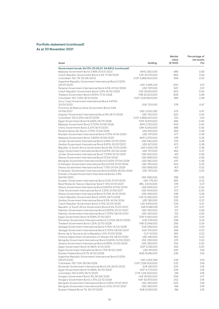| Asset                                                                                           | Holding                          | Market<br>value<br>(E'000) | Percentage of<br>net assets<br>$(\%)$ |
|-------------------------------------------------------------------------------------------------|----------------------------------|----------------------------|---------------------------------------|
| Government bonds 54.13% (31.05.21: 54.68%) (continued)                                          |                                  |                            |                                       |
| Malaysia Government Bond 3.48% 15/03/2023                                                       | MYR 3,812,000                    | 689                        | 0.56                                  |
| Czech Republic Government Bond 2.4% 17/09/2025                                                  | CZK 20,170,000                   | 664                        | 0.54                                  |
| Colombian TES 7% 30/06/2032                                                                     | COP 3,969,400,000                | 659                        | 0.53                                  |
| Argentine Republic Government International Bond 0.125%                                         |                                  |                            |                                       |
| 09/07/2035                                                                                      | USD 2,956,232                    | 630                        | 0.51                                  |
| Panama Government International Bond 4.5% 01/04/2056                                            | USD 787,000                      | 627                        | 0.51                                  |
| Czech Republic Government Bond 1.25% 14/02/2025                                                 | CZK 19,550,000                   | 623                        | 0.50                                  |
| Thailand Government Bond 2.875% 17/12/2028                                                      | THB 25,023,000                   | 606                        | 0.49                                  |
| Colombian TES 7.25% 18/10/2034                                                                  | COP 3,547,800,000                | 589                        | 0.48                                  |
| Ivory Coast Government International Bond 4.875%                                                |                                  |                            |                                       |
| 30/01/2032                                                                                      | EUR 725,000                      | 576                        | 0.47                                  |
| Provincia de Buenos Aires Government Bond 3.9%<br>01/09/2037                                    |                                  |                            | 0.47                                  |
|                                                                                                 | USD 2,000,382                    | 575<br>520                 | 0.42                                  |
| Angolan Government International Bond 8% 26/11/2029<br>Colombian TES 6.25% 09/07/2036           | USD 752,000<br>COP 3,466,000,000 | 510                        | 0.41                                  |
| Eqypt Government Bond 14.292% 05/01/2028                                                        | EGP 10,631,000                   | 495                        | 0.40                                  |
| Malaysia Government Bond 3.733% 15/06/2028                                                      | MYR 2,720,000                    | 493                        | 0.40                                  |
| China Government Bond 3.27% 19/11/2030                                                          | CNH 4,040,000                    | 489                        | 0.40                                  |
| Panama Notas del Tesoro 3.75% 17/04/2026                                                        | USD 610,000                      | 484                        | 0.39                                  |
| Brazilian Government International Bond 4.75% 14/01/2050                                        | USD 747,000                      | 477                        | 0.39                                  |
| Malaysia Government Bond 3.955% 15/09/2025                                                      | MYR 2,575,000                    | 476                        | 0.38                                  |
| Jordan Government International Bond 5.85% 07/07/2030                                           | USD 642,000                      | 474                        | 0.38                                  |
| Zambia Government International Bond 8.97% 30/07/2027                                           | USD 827,000                      | 473                        | 0.38                                  |
| Republic of South Africa Government Bond 9% 31/01/2040                                          | ZAR 11,920,728                   | 471                        | 0.38                                  |
| Egypt Government International Bond 6.875% 30/04/2040                                           | USD 757,000                      | 462                        | 0.37                                  |
| Jordan Government International Bond 7.375% 10/10/2047                                          | USD 622,000                      | 451                        | 0.36                                  |
| Ghana Government International Bond 07/04/2025                                                  | USD 896,000                      | 450                        | 0.36                                  |
| Mongolia Government International Bond 5.125% 07/04/2026                                        | USD 582,000                      | 447                        | 0.36                                  |
| El Salvador Government International Bond 9.5% 15/07/2052                                       | USD 760,000                      | 402                        | 0.33                                  |
| Ghana Government International Bond 7.75% 07/04/2029                                            | USD 658,000                      | 401                        | 0.32                                  |
| El Salvador Government International Bond 8.625% 28/02/2029                                     | USD 767,000                      | 399                        | 0.32                                  |
| Emirate of Dubai Government International Bonds 3.9%                                            |                                  |                            |                                       |
| 09/09/2050                                                                                      | USD 566,000                      | 398                        | 0.32                                  |
| Ecuador Government International Bond 0.5% 31/07/2035                                           | USD 774,321                      | 390                        | 0.32                                  |
| Brazil Notas do Tesouro Nacional Serie F 10% 01/01/2027                                         | BRL 3,000,000                    | 378                        | 0.31                                  |
| Ghana Government International Bond 8.625% 07/04/2034                                           | USD 638,000                      | 377                        | 0.30                                  |
| Chile Government International Bond 3.25% 21/09/2071                                            | USD 544,000                      | 373                        | 0.30                                  |
| Ghana Government International Bond 10.75% 14/10/2030                                           | USD 426,000                      | 348                        | 0.28                                  |
| Czech Republic Government Bond 0.05% 29/11/2029                                                 | CZK 12,260,000                   | 335                        | 0.27                                  |
| Zambia Government International Bond 8.5% 14/04/2024                                            | USD 581,000                      | 335                        | 0.27                                  |
| Czech Republic Government Bond 2.75% 23/07/2029                                                 | CZK 9,910,000                    | 334                        | 0.27                                  |
| Republic of South Africa Government Bond 8.5% 31/01/2037                                        | ZAR 8,596,109                    | 331                        | 0.27                                  |
| Pakistan Government International Bond 6.875% 05/12/2027                                        | USD 425,000                      | 317                        | 0.26                                  |
| Pakistan Government International Bond 7.375% 08/04/2031                                        | USD 425,000                      | 312                        | 0.25                                  |
| Eqypt Government Bond 14.556% 13/10/2027                                                        | EGP 6,455,000                    | 307                        | 0.25                                  |
| Romanian Government International Bond 3.375% 28/01/2050                                        | EUR 374,000                      | 298                        | 0.24                                  |
| Thailand Government Bond 1.25% 12/03/2028                                                       | THB 12,549,000                   | 295                        | 0.24                                  |
| Senegal Government International Bond 4.75% 13/03/2028                                          | EUR 346,000                      | 292                        | 0.24                                  |
| Senegal Government International Bond 5.375% 08/06/2037                                         | EUR 370,000                      | 289                        | 0.23                                  |
| Bonos de la Tesoreria de la Republica 1.5% 01/03/2026                                           | CLP 10,500                       | 283                        | 0.23                                  |
| Finance Department Government of Sharjah 4% 28/07/2050                                          | USD 416,000                      | 280                        | 0.23                                  |
| Mongolia Government International Bond 5.625% 01/05/2023                                        | USD 355,000                      | 275                        | 0.22                                  |
| Ukraine Government International Bond 6.876% 21/05/2029                                         | USD 365,000                      | 252                        | 0.20                                  |
| Egypt Government Bond 14.382% 12/01/2031                                                        | EGP 5,318,000                    | 244                        | 0.20                                  |
| Egypt Government International Bond 7.5% 16/02/2061                                             | USD 411,000                      | 240                        | 0.19                                  |
| Russian Federal Bond 6.7% 14/03/2029<br>Argentine Republic Government International Bond 0.125% | RUB 25,819,000                   | 236                        | 0.19                                  |
| 09/07/2030                                                                                      | USD 1,002,394                    | 236                        | 0.19                                  |
| Colombian TES 7.5% 26/08/2026                                                                   | COP 1,256,300,000                | 232                        | 0.19                                  |
| Romanian Government International Bond 2% 28/01/2032                                            | EUR 291,000                      | 230                        | 0.19                                  |
| Egypt Government Bond 14.369% 20/10/2025                                                        | EGP 4,773,000                    | 226                        | 0.18                                  |
| Colombian TES 6.25% 26/11/2025                                                                  | COP 1,214,300,000                | 218                        | 0.18                                  |
| Hungary Government Bond 3% 26/06/2024                                                           | HUF 91,520,000                   | 206                        | 0.17                                  |
| Hungary Government Bond 2.75% 22/12/2026                                                        | HUF 92,970,000                   | 202                        | 0.16                                  |
| Mongolia Government International Bond 4.45% 07/07/2031                                         | USD 280,000                      | 200                        | 0.16                                  |
| Mongolia Government International Bond 3.5% 07/07/2027                                          | USD 280,000                      | 199                        | 0.16                                  |
| Russian Federal Bond 7% 30/07/2036                                                              | RUB 21,815,000                   | 198                        | 0.16                                  |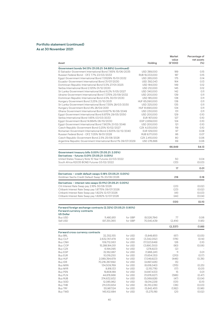| Asset                                                                                             |                                                                                                               |                    | Holding                    | Market<br>value<br>(E'000) | Percentage of<br>net assets<br>$(\%)$ |
|---------------------------------------------------------------------------------------------------|---------------------------------------------------------------------------------------------------------------|--------------------|----------------------------|----------------------------|---------------------------------------|
|                                                                                                   | Government bonds 54.13% (31.05.21: 54.68%) (continued)                                                        |                    |                            |                            |                                       |
|                                                                                                   | El Salvador Government International Bond 7.65% 15/06/2035                                                    |                    | USD 389,000                | 189                        | 0.15                                  |
|                                                                                                   | Russian Federal Bond - OFZ 7.7% 23/03/2033                                                                    |                    | RUB 19,333,000             | 187                        | 0.15                                  |
|                                                                                                   | Egypt Government International Bond 7.0529% 15/01/2032                                                        |                    | USD 265,000                | 175                        | 0.14                                  |
|                                                                                                   | Ecuador Government International Bond 31/07/2030                                                              |                    | USD 392,043                | 164                        | 0.13                                  |
|                                                                                                   | Dominican Republic International Bond 5.5% 27/01/2025                                                         |                    | USD 184,000                | 149                        | 0.12                                  |
|                                                                                                   | Serbia International Bond 2.125% 01/12/2030                                                                   |                    | USD 212,000                | 145                        | 0.12                                  |
|                                                                                                   | Sri Lanka Government International Bond 6.2% 11/05/2027                                                       |                    | USD 340,000                | 142                        | 0.11                                  |
|                                                                                                   | Ukraine Government International Bond 7.375% 25/09/2032                                                       |                    | USD 200,000                | 139                        | 0.11                                  |
|                                                                                                   | Dominican Republic International Bond 4.5% 30/01/2030                                                         |                    | USD 185,000                | 138                        | 0.11                                  |
|                                                                                                   | Hungary Government Bond 3.25% 22/10/2031                                                                      |                    | HUF 65,090,000             | 138                        | 0.11                                  |
|                                                                                                   | Sri Lanka Government International Bond 7.55% 28/03/2030                                                      |                    | USD 325,000                | 135                        | O.11                                  |
|                                                                                                   | Hungary Government Bond 4% 28/04/2051                                                                         |                    | HUF 61,690,000             | 134                        | 0.11                                  |
|                                                                                                   | Ghana Government International Bond 8.627% 16/06/2049                                                         |                    | USD 230,000                | 131                        | O.11                                  |
|                                                                                                   | Egypt Government International Bond 8.875% 29/05/2050                                                         |                    | USD 200,000                | 129                        | 0.10                                  |
|                                                                                                   | Serbia International Bond 1.65% 03/03/2033                                                                    |                    | EUR 167,000                | 127                        | 0.10                                  |
|                                                                                                   | Eqypt Government Bond 14.664% 06/10/2030                                                                      |                    | EGP 2,659,000              | 124                        | 0.10                                  |
|                                                                                                   | Egypt Government International Bond 7.903% 21/02/2048                                                         |                    | USD 200,000                | 121                        | 0.10                                  |
|                                                                                                   | Czech Republic Government Bond 0.25% 10/02/2027                                                               |                    | CZK 4.030.000              | 119                        | 0.10                                  |
|                                                                                                   | Romanian Government International Bond 2.625% 02/12/2040                                                      |                    | EUR 129,000                | 97                         | 0.08                                  |
|                                                                                                   | Russian Federal Bond - OFZ 7.05% 19/01/2028                                                                   |                    | RUB 9.171,000              | 86                         | 0.07                                  |
|                                                                                                   | Czech Republic Government Bond 2.5% 25/08/2028                                                                |                    | CZK 2,410,000              | 80                         | 0.06                                  |
|                                                                                                   | Argentine Republic Government International Bond 1% 09/07/2029                                                |                    | USD 276,666                | 69                         | 0.06                                  |
|                                                                                                   |                                                                                                               |                    |                            | 66.949                     | 54.13                                 |
|                                                                                                   | South Africa R2035 BOND Futures 03/02/2022                                                                    |                    |                            | (33)<br>17                 | (0.03)<br>0.01                        |
|                                                                                                   | Derivatives - credit default swaps 0.18% (31.05.21: 0.00%)<br>Goldman Sachs Credit Default Swap 1% 20/06/2026 |                    |                            | 218                        | 0.18                                  |
|                                                                                                   | Derivatives – interest rate swaps (0.11%) (31.05.21: 0.00%)                                                   |                    |                            |                            |                                       |
|                                                                                                   | Citi Interest Rate Swap pay 2.16% 30/08/2026                                                                  |                    |                            | (23)                       | (0.02)                                |
|                                                                                                   | Citibank Interest Rate Swap pay 1.8775% 09/07/2026                                                            |                    |                            | (23)                       | (0.02)                                |
|                                                                                                   | Citibank Interest Rate Swap pay 1.822% 12/07/2026                                                             |                    |                            | (41)                       | (0.03)                                |
|                                                                                                   | Citibank Interest Rate Swap pay 1.8282% 12/07/2026                                                            |                    |                            | (44)                       | (0.04)                                |
|                                                                                                   |                                                                                                               |                    |                            | (131)                      | (0.11)                                |
| <b>Forward currency contracts</b>                                                                 | Forward foreign exchange contracts (2.32%) (31.05.21: 0.90%)                                                  |                    |                            |                            |                                       |
| <b>US Dollar</b>                                                                                  |                                                                                                               |                    |                            |                            |                                       |
| Buy USD                                                                                           | 11,480,951                                                                                                    | for GBP            | (8,526,784)                | 77                         | 0.06                                  |
| Sell USD                                                                                          | (97, 351, 361)                                                                                                | for GBP            | 70,540,439                 | (2, 414)                   | (1.95)                                |
|                                                                                                   |                                                                                                               |                    |                            | (2,337)                    | (1.89)                                |
| Forward cross currency contracts                                                                  |                                                                                                               |                    |                            |                            |                                       |
| <b>Buy BRL</b>                                                                                    | 32,352,155                                                                                                    | for USD            | (5,849,851)                | (67)                       | (0.05)                                |
| <b>Buy CLP</b>                                                                                    | 2,632,747,479                                                                                                 | for USD            | (3,342,052)                | (176)                      | (0.14)                                |
| <b>Buy CNH</b>                                                                                    | 109,712,063                                                                                                   | for USD            | (17,023,649)               | 126                        | 0.10                                  |
| <b>Buy COP</b>                                                                                    | 15,288,184,051                                                                                                | for USD            | (3,890,300)                | (80)                       | (0.06)                                |
| Buy CZK                                                                                           | 6,194,095                                                                                                     | for USD            | (278, 823)                 | (2)                        |                                       |
| <b>Buy EGP</b>                                                                                    | 32,162,667                                                                                                    | for USD            | (1,966,241)                | 11                         | 0.01                                  |
| <b>Buy EUR</b>                                                                                    | 10,019,250                                                                                                    | for USD            | (11,654,130)               | (210)                      | (0.17)                                |
| Buy HUF                                                                                           | 2,089,394,679                                                                                                 | for USD            | (7,049,823)                | (446)                      | (0.36)                                |
| <b>Buy IDR</b>                                                                                    | 70,216,367,692                                                                                                |                    | (4,897,426)                | (5)                        |                                       |
| Buy MXN                                                                                           |                                                                                                               |                    |                            |                            |                                       |
| Buy MYR                                                                                           |                                                                                                               | for USD            |                            |                            |                                       |
|                                                                                                   | 134,509,769                                                                                                   | for USD            | (6,618,040)                | (315)                      | (0.25)                                |
|                                                                                                   | 8,818,133                                                                                                     | for USD            | (2,115,776)                | (17)                       | (0.01)                                |
|                                                                                                   | 19,808,189                                                                                                    | for USD            | (4,847,433)                | 15                         |                                       |
|                                                                                                   | 44,878,666                                                                                                    | for USD            | (11, 676, 627)             | (586)                      |                                       |
|                                                                                                   | 374,632,832                                                                                                   | for USD            | (5,069,828)                | (47)                       | 0.01<br>(0.47)<br>(0.04)              |
|                                                                                                   | 12,085,962                                                                                                    | for USD            | (9,014,229)                | (131)                      | (0.11)<br>(0.03)                      |
| <b>Buy PEN</b><br><b>Buy PLN</b><br><b>Buy RUB</b><br><b>Buy SGD</b><br>Buy THB<br><b>Buy TRY</b> | 211,030,834<br>55,967,124                                                                                     | for USD<br>for USD | (6,310,236)<br>(5,842,451) | (36)<br>(1,182)            | (0.96)                                |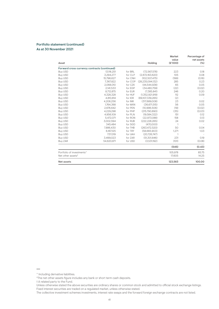| Asset                                        |            |         | Holding             | Market<br>value<br>(E'000) | Percentage of<br>net assets<br>$(\%)$ |
|----------------------------------------------|------------|---------|---------------------|----------------------------|---------------------------------------|
| Forward cross currency contracts (continued) |            |         |                     |                            |                                       |
| <b>Buy USD</b>                               | 13.118.251 | for BRL | (72, 567, 578)      | 223                        | 0.18                                  |
| <b>Buy USD</b>                               | 3,294,277  | for CLP | (2,672,163,620)     | 105                        | 0.08                                  |
| <b>Buy USD</b>                               | 15.796.627 | for CNH | (102.507.475)       | (199)                      | (0.16)                                |
| <b>Buy USD</b>                               | 7,367,822  | for COP | (28, 235, 094, 132) | 285                        | 0.23                                  |
| <b>Buy USD</b>                               | 2.068.010  | for CZK | (44.544.938)        | 65                         | 0.05                                  |
| <b>Buy USD</b>                               | 2.141.533  | for EGP | (34.480.759)        | (22)                       | (0.02)                                |
| Buy USD                                      | 8,712,875  | for EUR | (7,385,841)         | 246                        | 0.20                                  |
| <b>Buy USD</b>                               | 4.328.328  | for HUF | (1.352.921.919)     | 112                        | 0.09                                  |
| <b>Buy USD</b>                               | 4,810,814  | for IDR | (69, 107, 339, 265) | (2)                        |                                       |
| <b>Buy USD</b>                               | 4,208,256  | for INR | (317, 689, 008)     | 23                         | 0.02                                  |
| Buy USD                                      | 1.764.368  | for MXN | (36.671.515)        | 56                         | 0.05                                  |
| <b>Buy USD</b>                               | 2,676,642  | for PEN | (10,996,506)        | (19)                       | (0.02)                                |
| <b>Buy USD</b>                               | 4.229.298  | for PHP | (215.790.890)       | (35)                       | (0.03)                                |
| <b>Buy USD</b>                               | 4,956,109  | for PLN | (19,584,322)        | 151                        | 0.12                                  |
| <b>Buy USD</b>                               | 5.472.071  | for RON | (22.973.088)        | 158                        | 0.13                                  |
| <b>Buy USD</b>                               | 3.002.594  | for RUB | (222.228.265)       | 24                         | 0.02                                  |
| <b>Buy USD</b>                               | 345.484    | for SGD | (470,000)           | 1                          |                                       |
| <b>Buy USD</b>                               | 7.886.430  | for THB | (263, 472, 520)     | 50                         | 0.04                                  |
| Buy USD                                      | 6,167,125  | for TRY | (58,665,903)        | 1,271                      | 1.03                                  |
| <b>Buy USD</b>                               | 737.019    | for UAH | (20, 726, 747)      | $\mathbf{1}$               |                                       |
| <b>Buy USD</b>                               | 3.499.023  | for ZAR | (51.301.846)        | 231                        | 0.19                                  |
| Buy ZAR                                      | 54,620,871 | for USD | (3,531,192)         | (101)                      | (0.08)                                |
|                                              |            |         |                     | (545)                      | (0.43)                                |
| Portfolio of investments <sup>^</sup>        |            |         |                     | 105,978                    | 85.75                                 |
| Net other assets*                            |            |         |                     | 17,605                     | 14.25                                 |
| Net assets                                   |            |         |                     | 123,583                    | 100.00                                |

<sup>^</sup> Including derivative liabilities.

<sup>\*</sup>The net other assets figure includes any bank or short term cash deposits.

<sup>†</sup> A related party to the Fund.

Unless otherwise stated the above securities are ordinary shares or common stock and admitted to official stock exchange listings. Fixed interest securities are traded on a regulated market, unless otherwise stated.

The collective investment schemes investments, interest rate swaps and the forward foreign exchange contracts are not listed.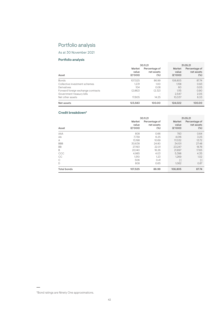## Portfolio analysis

As at 30 November 2021

#### Portfolio analysis

|                                    | 30.11.21                   |                                       | 31.05.21                   |                                       |
|------------------------------------|----------------------------|---------------------------------------|----------------------------|---------------------------------------|
| Asset                              | Market<br>value<br>(E'000) | Percentage of<br>net assets<br>$(\%)$ | Market<br>value<br>(E'000) | Percentage of<br>net assets<br>$(\%)$ |
| <b>Bonds</b>                       | 107.525                    | 86.99                                 | 108.805                    | 87.74                                 |
| Collective investment schemes      | 1.231                      | 1.00                                  | 1.158                      | 0.93                                  |
| Derivatives                        | 104                        | 0.08                                  | 60                         | 0.05                                  |
| Forward foreign exchange contracts | (2,882)                    | (2.32)                                | 1.115                      | 0.90                                  |
| Government treasury bills          |                            |                                       | 2.547                      | 2.05                                  |
| Net other assets                   | 17.605                     | 14.25                                 | 10.337                     | 8.33                                  |
| Net assets                         | 123.583                    | 100.00                                | 124.022                    | 100.00                                |

#### Credit breakdown\*

| Asset              | Market<br>value<br>(E'000) | 30.11.21<br>Percentage of<br>net assets<br>$(\%)$ | Market<br>value<br>(E'000)                                                                                                                                                                         | 31.05.21<br>Percentage of<br>net assets<br>$(\%)$ |
|--------------------|----------------------------|---------------------------------------------------|----------------------------------------------------------------------------------------------------------------------------------------------------------------------------------------------------|---------------------------------------------------|
| AAA                | 808                        | 0.66                                              | 783                                                                                                                                                                                                | 0.64                                              |
| AA                 | 7.739                      | 6.25                                              | 4.016                                                                                                                                                                                              | 3.25                                              |
| A                  | 13.198                     | 10.69                                             | 17.032                                                                                                                                                                                             | 13.72                                             |
| <b>BBB</b>         | 30.638                     | 24.80                                             | 34,101                                                                                                                                                                                             | 27.48                                             |
| <b>BB</b>          | 27,193                     | 22.01                                             | 23,247                                                                                                                                                                                             | 18.76                                             |
| B                  | 20,140                     | 16.26                                             | 21,897                                                                                                                                                                                             | 17.65                                             |
| CCC                | 4.985                      | 4.03                                              | 5.398                                                                                                                                                                                              | 4.35                                              |
| CC                 | 1,510                      | 1.23                                              | 1,269                                                                                                                                                                                              | 1.02                                              |
| $\mathbb C$        | 506                        | 0.41                                              | $[\cdot] % \centering % {\includegraphics[width=0.9\textwidth]{images/TrDiS/NR_WU.pdf} \caption{The figure shows the results of the estimators in the left and right.} \label{fig:TrDiS/NR_WU}} %$ | $[\cdot]$                                         |
| D                  | 808                        | 0.65                                              | 1,062                                                                                                                                                                                              | 0.87                                              |
| <b>Total bonds</b> | 107,525                    | 86.99                                             | 108,805                                                                                                                                                                                            | 87.74                                             |

<sup>\*</sup>Bond ratings are Ninety One approximations.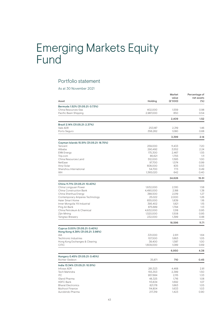## Emerging Markets Equity Fund

### Portfolio statement

As at 30 November 2021

| Asset                                          | Holding             | Market<br>value<br>(£'000) | Percentage of<br>net assets<br>$(\%)$ |
|------------------------------------------------|---------------------|----------------------------|---------------------------------------|
| Bermuda 1.52% (31.05.21: 0.73%)                |                     |                            |                                       |
| China Resources Gas                            | 402,000             | 1,559                      | 0.98                                  |
| Pacific Basin Shipping                         | 2,987,000           | 850                        | 0.54                                  |
|                                                |                     | 2,409                      | 1.52                                  |
| Brazil 2.14% (31.05.21: 2.37%)                 |                     |                            |                                       |
| Vale ADR                                       | 253,187             | 2,319                      | 1.46                                  |
| Porto Seguro                                   | 356,262             | 1,080                      | 0.68                                  |
|                                                |                     | 3,399                      | 2.14                                  |
| Cayman Islands 15.51% (31.05.21: 18.75%)       |                     |                            |                                       |
| Tencent                                        | 259,000             | 11,433                     | 7.20                                  |
| Alibaba                                        | 290,492             | 3,552                      | 2.24                                  |
| <b>ENN Energy</b>                              | 175,300             | 2,467                      | 1.55                                  |
| Trip.com                                       | 86,621              | 1,755                      | 1.11                                  |
| China Resources Land<br>NetEase                | 512,000<br>97,700   | 1,595                      | 1.00<br>0.99                          |
| Xinyi Solar                                    |                     | 1,574<br>835               | 0.53                                  |
| Shenzhou International                         | 608,000<br>54,700   | 773                        | 0.49                                  |
| WH                                             | 1,365,020           | 642                        | 0.40                                  |
|                                                |                     | 24,626                     | 15.51                                 |
| China 11.71% (31.05.21: 10.43%)                |                     |                            |                                       |
| China Longyuan Power                           | 1,632,000           | 2.510                      | 1.58                                  |
| China Construction Bank                        | 4,490,000           | 2,188                      | 1.38                                  |
| China Shenhua Energy                           | 388,500             | 2,019                      | 1.27                                  |
| Contemporary Amperex Technology                | 25.022              | 2,000                      | 1.26                                  |
| Haier Smart Home                               | 655,000             | 1,839                      | 1.16                                  |
| Inner Mongolia Yili Industrial                 | 395,402             | 1,821                      | 1.15                                  |
| Ping An Bank                                   | 875,689             | 1,794                      | 1.13                                  |
| China Petroleum & Chemical                     | 4,632,000           | 1,518                      | 0.95                                  |
| Zijin Mining                                   | 1,520,000           | 1,508                      | 0.95                                  |
| Tsingtao Brewery                               | 232,000             | 1,399                      | 0.88                                  |
|                                                |                     | 18,596                     | 11.71                                 |
| Cyprus 0.00% (31.05.21: 0.40%)                 |                     |                            |                                       |
| Hong Kong 4.38% (31.05.21: 3.98%)              |                     |                            |                                       |
| AIA                                            | 331,000             | 2,611                      | 1.64                                  |
| Techtronic Industries                          | 107,500             | 1,663                      | 1.05<br>1.00                          |
| Hong Kong Exchanges & Clearing<br><b>CITIC</b> | 38,400<br>1,609,000 | 1,587<br>1,089             | 0.69                                  |
|                                                |                     | 6,950                      | 4.38                                  |
| Hungary 0.45% (31.05.21: 0.45%)                |                     |                            |                                       |
| Richter Gedeon                                 | 35,871              | 710                        | 0.45                                  |
| India 13.34% (31.05.21: 10.51%)                |                     |                            |                                       |
| Infosys ADR                                    | 261,323             | 4,468                      | 2.81                                  |
| Tech Mahindra                                  | 155,353             | 2,389                      | 1.50                                  |
| <b>ITC</b>                                     | 957,684             | 2,115                      | 1.33                                  |
| Gland Pharma                                   | 48,325              | 1,716                      | 1.08                                  |
| <b>HDFC Bank</b>                               | 113,834             | 1,692                      | 1.07                                  |
| <b>Bharat Electronics</b>                      | 821,178             | 1,663                      | 1.05                                  |
| Muthoot Finance                                | 114,804             | 1,633                      | 1.03                                  |
| Aurobindo Pharma                               | 217,319             | 1,423                      | 0.90                                  |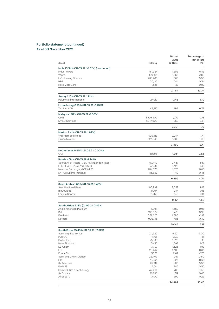|                                                              |                    | Market<br>value | Percentage of<br>net assets |
|--------------------------------------------------------------|--------------------|-----------------|-----------------------------|
| Asset                                                        | Holding            | (E'000)         | $(\%)$                      |
| India 13.34% (31.05.21: 10.51%) (continued)<br>Indus Towers  | 481,924            | 1,355           | 0.85                        |
| Wipro                                                        | 199,491            | 1,266           | 0.80                        |
| LIC Housing Finance                                          | 238,266            | 883             | 0.56                        |
| <b>HEG</b>                                                   | 30,183             | 544             | 0.34                        |
| Hero MotoCorp                                                | 1,526              | 37              | 0.02                        |
|                                                              |                    | 21,184          | 13.34                       |
| Jersey 1.10% (31.05.21: 1.14%)                               |                    |                 |                             |
| Polymetal International                                      | 127,019            | 1,743           | 1.10                        |
| Luxembourg 0.76% (31.05.21: 0.70%)<br><b>Ternium ADR</b>     | 42,815             | 1,199           | 0.76                        |
| Malaysia 1.39% (31.05.21: 0.00%)                             |                    |                 |                             |
| <b>CIMB</b>                                                  | 1,339,300          | 1,232           | 0.78                        |
| My EG Services                                               | 4,947,600          | 969             | 0.61                        |
|                                                              |                    | 2,201           | 1.39                        |
| Mexico 2.41% (31.05.21: 1.92%)<br>Wal-Mart de Mexico         | 929,413            | 2,244           | 1.41                        |
| Grupo Mexico                                                 | 523,645            | 1,586           | 1.00                        |
|                                                              |                    | 3,830           | 2.41                        |
| Netherlands 0.65% (31.05.21: 0.00%)                          |                    |                 |                             |
| OCI                                                          | 50.278             | 1,031           | 0.65                        |
| Russia 4.34% (31.05.21: 4.24%)                               |                    |                 |                             |
| Sberbank of Russia PJSC ADR (London listed)                  | 197,440            | 2,487           | 1.57                        |
| LUKOIL ADR (New York listed)                                 | 35,281             | 2,325           | 1.46                        |
| Moscow Exchange MICEX-RTS<br>EN+ Group International         | 904,670<br>83,332  | 1,373<br>710    | 0.86<br>0.45                |
|                                                              |                    | 6,895           | 4.34                        |
|                                                              |                    |                 |                             |
| Saudi Arabia 1.80% (31.05.21: 1.45%)<br>Saudi National Bank  | 196,989            | 2,357           | 1.48                        |
| BinDawood                                                    | 14,714             | 284             | 0.18                        |
| Leejam Sports                                                | 11,260             | 230             | 0.14                        |
|                                                              |                    | 2,871           | 1.80                        |
| South Africa 3.18% (31.05.21: 3.89%)                         |                    |                 |                             |
| Anglo American Platinum                                      | 19,481             | 1,559           | 0.98                        |
| Bid                                                          | 100,937            | 1,478           | 0.93                        |
| FirstRand<br>Netcare                                         | 538,207<br>902,136 | 1,390<br>616    | 0.88<br>0.39                |
|                                                              |                    | 5,043           | 3.18                        |
|                                                              |                    |                 |                             |
| South Korea 15.43% (31.05.21: 17.51%)<br>Samsung Electronics | 211,623            | 9,521           | 6.00                        |
| POSCO                                                        | 11,165             | 1,839           | 1.16                        |
| Kia Motors                                                   | 37,185             | 1,825           | 1.15                        |
| Hana Financial                                               | 68,113             | 1,698           | 1.07                        |
| LG Chem                                                      | 3,707              | 1,623           | 1.02                        |
| LG                                                           | 26,432             | 1,308           | 0.83                        |
| Korea Zinc                                                   | 3,737              | 1,162           | 0.73                        |
| Samsung Life Insurance                                       | 25,403             | 957             | 0.60                        |
| Fila                                                         | 41,954             | 925             | 0.58                        |
| SK Telecom                                                   | 25,919             | 891             | 0.56                        |
| E-MART                                                       | 9,381              | 846             | 0.53                        |
| Hankook Tire & Technology                                    | 32,468             | 786             | 0.50                        |
| SK Square                                                    | 16,755             | 719             | 0.45                        |
| AfreecaTV                                                    | 3,100              | 399             | 0.25                        |
|                                                              |                    | 24,499          | 15.43                       |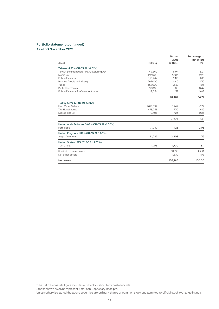|                                              |           | Market<br>value | Percentage of<br>net assets |
|----------------------------------------------|-----------|-----------------|-----------------------------|
| Asset                                        | Holding   | (E'000)         | (%)                         |
| Taiwan 14.77% (31.05.21: 16.31%)             |           |                 |                             |
| Taiwan Semiconductor Manufacturing ADR       | 149.360   | 13.194          | 8.31                        |
| MediaTek                                     | 132.000   | 3.594           | 2.26                        |
| <b>Fubon Financial</b>                       | 1.111.944 | 2,191           | 1.38                        |
| Hon Hai Precision Industry                   | 767.000   | 2,140           | 1.35                        |
| Yageo                                        | 133.000   | 1.637           | 1.03                        |
| Delta Electronics                            | 97,000    | 669             | 0.42                        |
| Fubon Financial Preference Shares            | 22.654    | 37              | 0.02                        |
|                                              |           | 23,462          | 14.77                       |
| Turkey 1.51% (31.05.21: 1.59%)               |           |                 |                             |
| Haci Omer Sabanci                            | 1,677,899 | 1.249           | 0.79                        |
| <b>TAV Havalimanlari</b>                     | 478.238   | 733             | 0.46                        |
| Migros Ticaret                               | 172.406   | 423             | 0.26                        |
|                                              |           | 2,405           | 1.51                        |
| United Arab Emirates 0.08% (31.05.21: 0.00%) |           |                 |                             |
| Fertiglobe                                   | 171.289   | 123             | 0.08                        |
| United Kingdom 1.39% (31.05.21: 1.60%)       |           |                 |                             |
| Anglo American                               | 81,326    | 2,208           | 1.39                        |
| United States 1.11% (31.05.21: 1.37%)        |           |                 |                             |
| Yum China                                    | 47,178    | 1,770           | 1.11                        |
| Portfolio of investments                     |           | 157.154         | 98.97                       |
| Net other assets*                            |           | 1,632           | 1.03                        |
| Net assets                                   |           | 158,786         | 100.00                      |

Stocks shown as ADRs represent American Depositary Receipts.

<sup>\*</sup>The net other assets figure includes any bank or short term cash deposits.

Unless otherwise stated the above securities are ordinary shares or common stock and admitted to official stock exchange listings.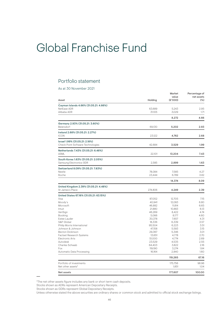# Global Franchise Fund

### Portfolio statement

As at 30 November 2021

| Asset                                                               | Holding           | Market<br>value<br>(E'000) | Percentage of<br>net assets<br>$(\%)$ |
|---------------------------------------------------------------------|-------------------|----------------------------|---------------------------------------|
|                                                                     |                   |                            |                                       |
| Cayman Islands 4.66% (31.05.21: 4.66%)<br>NetEase ADR               | 63,689            | 5,243                      | 2.95                                  |
| Alibaba ADR                                                         | 31,105            | 3,029                      | 1.71                                  |
|                                                                     |                   | 8,272                      | 4.66                                  |
| Germany 2.93% (31.05.21: 3.60%)                                     |                   |                            |                                       |
| Beiersdorf                                                          | 69,130            | 5,202                      | 2.93                                  |
| Ireland 2.68% (31.05.21: 2.27%)<br><b>ICON</b>                      | 23,122            | 4,762                      | 2.68                                  |
| Israel 1.99% (31.05.21: 2.18%)<br>Check Point Software Technologies | 42,684            | 3,529                      | 1.99                                  |
| Netherlands 7.43% (31.05.21: 6.48%)<br><b>ASML</b>                  | 22,101            | 13,204                     | 7.43                                  |
| South Korea 1.63% (31.05.21: 2.05%)<br>Samsung Electronics GDR      | 2.585             | 2,899                      | 1.63                                  |
| Switzerland 8.09% (31.05.21: 7.83%)                                 |                   |                            |                                       |
| Nestle<br>Roche                                                     | 78,084<br>23,444  | 7,585<br>6,789             | 4.27<br>3.82                          |
|                                                                     |                   | 14,374                     | 8.09                                  |
| United Kingdom 2.39% (31.05.21: 4.48%)<br>St James's Place          | 274,806           | 4,249                      | 2.39                                  |
| United States 67.16% (31.05.21: 63.15%)                             |                   |                            |                                       |
| Visa                                                                | 87,052            | 12,705                     | 7.15                                  |
| Moody's                                                             | 40,941            | 12,083                     | 6.80                                  |
| Microsoft                                                           | 46,882            | 11,814                     | 6.65                                  |
| Intuit                                                              | 21,880            | 10,883                     | 6.13                                  |
| VeriSign                                                            | 46,269            | 8,422                      | 4.74                                  |
| Booking                                                             | 5,066             | 8,177                      | 4.60                                  |
| Estee Lauder                                                        | 30,378            | 7,657                      | 4.31                                  |
| S&P Global                                                          | 18,336            | 6,339                      | 3.57                                  |
| Philip Morris International                                         | 95,504            | 6,223                      | 3.51                                  |
| Johnson & Johnson                                                   | 47,158            | 5,593                      | 3.15                                  |
| Becton Dickinson                                                    | 29,367            | 5,346                      | 3.01                                  |
| <b>Factset Research Systems</b>                                     | 13,651            | 4,778                      | 2.70                                  |
| <b>Electronic Arts</b>                                              | 51,000            | 4,774                      | 2.69                                  |
| Autodesk                                                            | 23,529            | 4,535                      | 2.55                                  |
| Charles Schwab                                                      | 64,403            | 3,822                      | 2.16                                  |
| Fox<br>Automatic Data Processing                                    | 119,190<br>16,164 | 3,274<br>2,840             | 1.84<br>1.60                          |
|                                                                     |                   | 119,265                    | 67.16                                 |
| Portfolio of investments                                            |                   | 175,756                    | 98.96                                 |
| Net other assets*                                                   |                   | 1,851                      | 1.04                                  |
| Net assets                                                          |                   | 177,607                    | 100.00                                |

\*The net other assets figure includes any bank or short term cash deposits.

Stocks shown as ADRs represent American Depositary Receipts.

Stocks shown as GDRs represent Global Depositary Receipts.

Unless otherwise stated the above securities are ordinary shares or common stock and admitted to official stock exchange listings.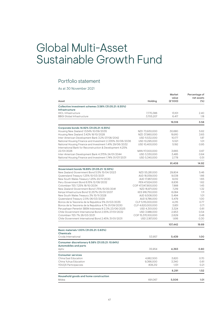# Global Multi-Asset Sustainable Growth Fund

### Portfolio statement

As at 30 November 2021

| Asset                                                                                                                 | Holding              | Market<br>value<br>(£'000) | Percentage of<br>net assets<br>$(\%)$ |
|-----------------------------------------------------------------------------------------------------------------------|----------------------|----------------------------|---------------------------------------|
| Collective investment schemes 3.58% (31.05.21: 8.55%)                                                                 |                      |                            |                                       |
| Infrastructure                                                                                                        |                      |                            |                                       |
| <b>HICL</b> Infrastructure                                                                                            | 7,770,386            | 13.101                     | 2.40                                  |
| <b>BBGI Global Infrastructure</b>                                                                                     | 3,705,207            | 6.417                      | 1.18                                  |
|                                                                                                                       |                      | 19,518                     | 3.58                                  |
| Corporate bonds 14.92% (31.05.21: 6.55%)                                                                              |                      |                            |                                       |
| Housing New Zealand 1.534% 10/09/2035                                                                                 | NZD 73,930,000       | 30.680                     | 5.62                                  |
| Housing New Zealand 3.42% 18/10/2028                                                                                  | NZD 37,860,000       | 19,910                     | 3.65                                  |
| Inter-American Development Bank 3.2% 07/08/2042                                                                       | USD 11,532,000       | 10.177                     | 1.87                                  |
| National Housing Finance and Investment 2.335% 30/06/2036                                                             | USD 10,295,000       | 5,521                      | 1.01                                  |
| National Housing Finance and Investment 1.41% 29/06/2032<br>International Bank for Reconstruction & Development 4.25% | USD 10,400,000       | 5,192                      | 0.95                                  |
| 22/01/2026                                                                                                            | MXN 117,000,000      | 3.665                      | 0.67                                  |
| Inter-American Development Bank 4.375% 24/01/2044                                                                     | USD 3,330,000        | 3,485                      | 0.64                                  |
| National Housing Finance and Investment 1.74% 01/07/2031                                                              | USD 5,340,000        | 2,778                      | 0.51                                  |
|                                                                                                                       |                      | 81,408                     | 14.92                                 |
| Government bonds 19.69% (31.05.21: 12.93%)                                                                            |                      |                            |                                       |
| New Zealand Government Bond 5.5% 15/04/2023                                                                           | NZD 55,281,000       | 29,804                     | 5.46                                  |
| Queensland Treasury 1.25% 10/03/2031                                                                                  | AUD 18,059,000       | 9,038                      | 1.66                                  |
| New South Wales Treasury 1.25% 20/11/2030                                                                             | AUD 17,967,000       | 9,012                      | 1.65                                  |
| Peru Government Bond 6.15% 12/08/2032                                                                                 | PEN 47,624,000       | 8,836                      | 1.62                                  |
| Colombian TES 7.25% 18/10/2034                                                                                        | COP 47,547,800,000   | 7,888                      | 1.45                                  |
| New Zealand Government Bond 1.75% 15/05/2041                                                                          | NZD 16,871,000       | 7,219                      | 1.32                                  |
| Kenya Infrastructure Bond 12.257% 05/01/2037                                                                          | KES 916,750,000      | 6,084                      | 1.11                                  |
| New South Wales Treasury 3% 15/11/2028                                                                                | AUD 9,508,000        | 5,494                      | 1.01                                  |
| Queensland Treasury 2.5% 06/03/2029                                                                                   | AUD 9,786,000        | 5,479                      | 1.00                                  |
| Bonos de la Tesoreria de la Republica 5% 01/03/2035                                                                   | CLP 5,115,000,000    | 4,215                      | 0.77                                  |
| Bonos de la Tesoreria de la Republica 4.7% 01/09/2030                                                                 | CLP 4,620,000,000    | 3,851                      | 0.71                                  |
| Perusahaan Penerbit SBSN Indonesia III 2.3% 23/06/2025                                                                | USD 4,301,000        | 3,324                      | 0.61                                  |
| Chile Government International Bond 2.55% 27/01/2032                                                                  | USD 3,988,000        | 2,953                      | 0.54                                  |
| Colombian TES 7% 26/03/2031                                                                                           | COP 15,370,100,000   | 2,629                      | 0.48<br>0.30                          |
| Chile Government International Bond 2.45% 31/01/2031                                                                  | USD 2,187,000        | 1,616                      |                                       |
|                                                                                                                       |                      | 107,442                    | 19.69                                 |
| Basic materials 1.00% (31.05.21: 0.83%)<br><b>Chemicals</b>                                                           |                      |                            |                                       |
| Croda International                                                                                                   | 53,957               | 5,439                      | 1.00                                  |
| Consumer discretionary 6.58% (31.05.21: 10.64%)                                                                       |                      |                            |                                       |
| <b>Automobiles and parts</b>                                                                                          |                      |                            |                                       |
| Aptiv                                                                                                                 | 35.954               | 4,393                      | 0.80                                  |
| <b>Consumer services</b>                                                                                              |                      |                            |                                       |
| China East Education                                                                                                  | 4,882,500            | 3,820                      | 0.70                                  |
| China Yuhua Education<br><b>YDUQS Participacoes</b>                                                                   | 9,366,000<br>408,212 | 3,340<br>1,131             | 0.61<br>0.21                          |
|                                                                                                                       |                      | 8.291                      | 1.52                                  |
| Household goods and home construction                                                                                 |                      |                            |                                       |
| Midea                                                                                                                 | 691.067              | 5,506                      | 1.01                                  |
|                                                                                                                       |                      |                            |                                       |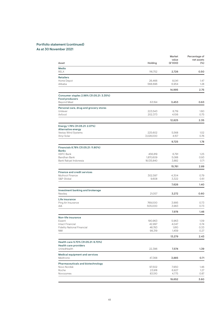| Asset                                                               | Holding            | Market<br>value<br>(E'000) | Percentage of<br>net assets<br>$(\%)$ |
|---------------------------------------------------------------------|--------------------|----------------------------|---------------------------------------|
| Media<br><b>RELX</b>                                                | 116,752            | 2,726                      | 0.50                                  |
| <b>Retailers</b>                                                    |                    |                            |                                       |
| Home Depot                                                          | 26,466             | 8,041                      | 1.47                                  |
| Alibaba                                                             | 568,696            | 6,954                      | 1.28                                  |
|                                                                     |                    | 14,995                     | 2.75                                  |
| Consumer staples 2.98% (31.05.21: 3.35%)<br><b>Food producers</b>   |                    |                            |                                       |
| Beyond Meat                                                         | 63,194             | 3,453                      | 0.63                                  |
| Personal care, drug and grocery stores                              |                    |                            |                                       |
| Unilever<br>Axfood                                                  | 223,543<br>202,373 | 8,719<br>4,106             | 1.60<br>0.75                          |
|                                                                     |                    | 12,825                     | 2.35                                  |
|                                                                     |                    |                            |                                       |
| Energy 1.78% (31.05.21: 2.07%)<br>Alternative energy                |                    |                            |                                       |
| Vestas Wind Systems                                                 | 225,602            | 5,568                      | 1.02                                  |
| Xinyi Solar                                                         | 3,028,000          | 4,157                      | 0.76                                  |
|                                                                     |                    | 9,725                      | 1.78                                  |
| Financials 8.78% (31.05.21: 11.80%)<br><b>Banks</b>                 |                    |                            |                                       |
| <b>HDFC Bank</b>                                                    | 456,819            | 6,791                      | 1.25                                  |
| Bandhan Bank                                                        | 1,870,609          | 5,088                      | 0.93                                  |
| Bank Rakyat Indonesia                                               | 18,135,840         | 3,882                      | 0.71                                  |
|                                                                     |                    | 15,761                     | 2.89                                  |
| <b>Finance and credit services</b>                                  |                    |                            |                                       |
| Muthoot Finance<br>S&P Global                                       | 302,597<br>9,608   | 4,304<br>3,322             | 0.79<br>0.61                          |
|                                                                     |                    | 7,626                      | 1.40                                  |
| Investment banking and brokerage                                    |                    |                            |                                       |
| Nasdaq                                                              | 21,057             | 3,272                      | 0.60                                  |
| Life insurance                                                      |                    |                            |                                       |
| Ping An Insurance<br>AIA                                            | 769,000<br>505,000 | 3,995<br>3,983             | 0.73<br>0.73                          |
|                                                                     |                    |                            |                                       |
|                                                                     |                    | 7,978                      | 1.46                                  |
| Non-life insurance<br>Essent                                        | 190,963            | 5,963                      | 1.09                                  |
| Intact Financial                                                    | 42,997             | 4,047                      | 0.74                                  |
| <b>Fidelity National Financial</b>                                  | 48,783             | 1,810                      | 0.33                                  |
| <b>NMI</b>                                                          | 98,319             | 1,459                      | 0.27                                  |
|                                                                     |                    | 13,279                     | 2.43                                  |
| Health care 5.70% (31.05.21: 6.70%)<br><b>Health care providers</b> |                    |                            |                                       |
| UnitedHealth                                                        | 22,396             | 7,574                      | 1.39                                  |
| Medical equipment and services                                      |                    |                            |                                       |
| Medtronic                                                           | 47,368             | 3,885                      | 0.71                                  |
| Pharmaceuticals and biotechnology                                   |                    |                            |                                       |
| Novo Nordisk<br>Roche                                               | 97,502<br>23,918   | 7,950<br>6,927             | 1.46<br>1.27                          |
| Novozymes                                                           | 83,510             | 4,775                      | 0.87                                  |
|                                                                     |                    | 19,652                     | 3.60                                  |
|                                                                     |                    |                            |                                       |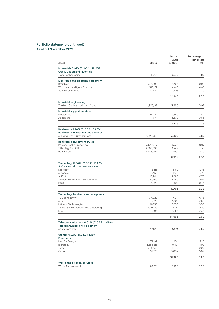| Asset                                                                      | Holding              | Market<br>value<br>(E'000) | Percentage of<br>net assets<br>$(\%)$ |
|----------------------------------------------------------------------------|----------------------|----------------------------|---------------------------------------|
| Industrials 5.97% (31.05.21: 11.12%)                                       |                      |                            |                                       |
| <b>Construction and materials</b><br>Trane Technologies                    | 48,791               | 6,979                      | 1.28                                  |
| Electronic and electrical equipment                                        |                      |                            |                                       |
| <b>Brambles</b>                                                            | 995,099              | 5,325                      | 0.98                                  |
| Wuxi Lead Intelligent Equipment                                            | 516,179              | 4,810                      | 0.88                                  |
| Schneider Electric                                                         | 20.697               | 2,708                      | 0.50                                  |
|                                                                            |                      | 12,843                     | 2.36                                  |
| Industrial engineering<br>Zhejiang Sanhua Intelligent Controls             | 1,928,182            | 5,263                      | 0.97                                  |
| Industrial support services                                                |                      |                            |                                       |
| Mastercard                                                                 | 16,227               | 3,863                      | 0.71                                  |
| Accenture                                                                  | 13,141               | 3,570                      | 0.65                                  |
|                                                                            |                      | 7,433                      | 1.36                                  |
| Real estate 2.70% (31.05.21: 3.86%)<br>Real estate investment and services |                      |                            |                                       |
| A-Living Smart City Services                                               | 1,929,750            | 3.402                      | 0.62                                  |
| Real estate investment trusts                                              |                      |                            |                                       |
| <b>Primary Health Properties</b>                                           | 3,547,327            | 5,321                      | 0.97                                  |
| Tritax Big Box REIT                                                        | 2,095,894            | 4,942                      | 0.91                                  |
| Hammerson                                                                  | 3,658,304            | 1,091                      | 0.20                                  |
|                                                                            |                      | 11,354                     | 2.08                                  |
| Technology 5.94% (31.05.21: 10.23%)<br>Software and computer services      |                      |                            |                                       |
| Microsoft                                                                  | 16,516               | 4,162                      | 0.76                                  |
| Autodesk                                                                   | 21,459               | 4,136                      | 0.76                                  |
| <b>ANSYS</b>                                                               | 13,944               | 4,095                      | 0.75                                  |
| Tencent Music Entertainment ADR<br>Intuit                                  | 570,460<br>4,829     | 2,963<br>2,402             | 0.54<br>0.44                          |
|                                                                            |                      |                            |                                       |
|                                                                            |                      | 17,758                     | 3.25                                  |
| Technology hardware and equipment<br><b>TE Connectivity</b>                | 34,022               | 4,011                      | 0.73                                  |
| <b>ASML</b>                                                                | 6,022                | 3,598                      | 0.66                                  |
| Infineon Technologies                                                      | 89,755               | 3,035                      | 0.56                                  |
| Taiwan Semiconductor Manufacturing                                         | 133,000              | 2.137                      | 0.39                                  |
| <b>KLA</b>                                                                 | 6.195                | 1,885                      | 0.35                                  |
|                                                                            |                      | 14,666                     | 2.69                                  |
| Telecommunications 0.82% (31.05.21: 1.09%)<br>Telecommunications equipment |                      |                            |                                       |
| Arista Networks                                                            | 47,676               | 4,474                      | 0.82                                  |
| Utilities 6.92% (31.05.21: 5.18%)                                          |                      |                            |                                       |
| Electricity                                                                |                      |                            |                                       |
| NextEra Energy                                                             | 174,199              | 11,454                     | 2.10                                  |
| Iberdrola<br>Terna                                                         | 1,264,615<br>914,530 | 10,491<br>5,042            | 1.92<br>0.92                          |
| Orsted                                                                     | 51,725               | 5,009                      | 0.92                                  |
|                                                                            |                      | 31,996                     | 5.86                                  |
| Waste and disposal services                                                |                      |                            |                                       |
| Waste Management                                                           | 46,361               | 5,765                      | 1.06                                  |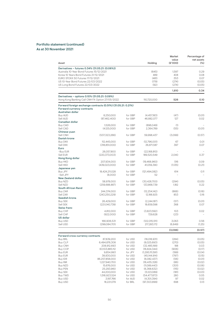| Asset                                                                                            |                              |                    | Holding                        | Market<br>value<br>(E'000) | Percentage of<br>net assets<br>$(\%)$ |
|--------------------------------------------------------------------------------------------------|------------------------------|--------------------|--------------------------------|----------------------------|---------------------------------------|
| Derivatives - futures 0.34% (31.05.21: (0.06%))                                                  |                              |                    |                                |                            |                                       |
| Australia 10-Year Bond Futures 15/12/2021                                                        |                              |                    | (645)                          | 1,597                      | 0.29                                  |
| Korea 10 Years Bond Futures 21/12/2021                                                           |                              |                    | 489                            | 408                        | 0.08                                  |
| EURO STOXX 50 Futures 17/12/2021                                                                 |                              |                    | (481)                          | 353                        | 0.07                                  |
| US 10-Year Bond Futures 22/03/2022                                                               |                              |                    | (179)                          | (274)                      | (0.05)                                |
| US Long Bond Futures 22/03/2022                                                                  |                              |                    | (92)                           | (274)                      | (0.05)                                |
|                                                                                                  |                              |                    |                                | 1,810                      | 0.34                                  |
| Derivatives - options 0.10% (31.05.21: 0.09%)<br>Hong Kong Banking Call CNH FX Option 27/05/2022 |                              |                    | 110,720,000                    | 526                        | 0.10                                  |
| Forward foreign exchange contracts (0.51%) (31.05.21: 0.21%)<br>Forward currency contracts       |                              |                    |                                |                            |                                       |
| Australian dollar                                                                                |                              |                    |                                |                            |                                       |
| <b>Buy AUD</b>                                                                                   | 8,250,000                    | for GBP            | (4,457,183)                    | (47)                       | (0.01)                                |
| Sell AUD<br>Canadian dollar                                                                      | (87, 462, 400)               | for GBP            | 46,882,077                     | 127                        | 0.02                                  |
| Buy CAD                                                                                          | 1,526,000                    | for GBP            | (896,049)                      | (1)                        |                                       |
| Sell CAD                                                                                         | (4.125.000)                  | for GBP            | 2,364,789                      | (55)                       | (0.01)                                |
| Chinese yuan                                                                                     |                              |                    |                                |                            |                                       |
| Sell CNH                                                                                         | (537, 323, 266)              | for GBP            | 59,998,437                     | (3,099)                    | (0.57)                                |
| Danish krone                                                                                     |                              |                    |                                |                            |                                       |
| Buy DKK                                                                                          | 112,445,000                  | for GBP            | (12,796,001)                   | 67                         | 0.01                                  |
| Sell DKK                                                                                         | (318, 851, 000)              | for GBP            | 36,871,587                     | 397                        | 0.07                                  |
| Euro                                                                                             |                              |                    |                                |                            |                                       |
| ~Buy EUR                                                                                         | 26,057,800                   | for GBP            | (22,168,810)                   |                            |                                       |
| Sell EUR                                                                                         | (220, 373, 003)              | for GBP            | 189,520,549                    | 2,040                      | 0.37                                  |
| Hong Kong dollar                                                                                 |                              |                    |                                |                            |                                       |
| <b>Buy HKD</b>                                                                                   | 207,934,000                  | for GBP            | (19,468,960)                   | 516                        | 0.09                                  |
| Sell HKD                                                                                         | (439,023,000)                | for GBP            | 41,059,390                     | (1,135)                    | (0.21)                                |
| Japanese yen                                                                                     |                              |                    |                                |                            |                                       |
| Buy JPY<br>~Sell JPY                                                                             | 18,424,211,028               | for GBP<br>for GBP | (121, 494, 082)<br>52          | 614<br>٠                   | 0.11                                  |
| New Zealand dollar                                                                               | (8,000)                      |                    |                                |                            |                                       |
| Buy NZD                                                                                          | 58,978,000                   | for GBP            | (30, 428, 700)                 | (294)                      | (0.05)                                |
| Sell NZD                                                                                         | (259, 688, 887)              | for GBP            | 133,868,739                    | 1,182                      | 0.22                                  |
| <b>South African Rand</b>                                                                        |                              |                    |                                |                            |                                       |
| Buy ZAR                                                                                          | 244,374,000                  | for GBP            | (12, 254, 142)                 | (866)                      | (0.16)                                |
| Sell ZAR                                                                                         | (243, 250, 229)              | for GBP            | 12,188,925                     | 853                        | 0.16                                  |
| Swedish krona                                                                                    |                              |                    |                                |                            |                                       |
| <b>Buy SEK</b>                                                                                   | 26,429,000                   | for GBP            | (2,244,187)                    | (57)                       | (0.01)                                |
| Sell SEK                                                                                         | (221,040,739)                | for GBP            | 18,659,598                     | 368                        | 0.07                                  |
| <b>Swiss franc</b>                                                                               |                              |                    |                                |                            |                                       |
| <b>Buy CHF</b>                                                                                   | 4,812,000                    | for GBP            | (3,823,592)                    | 103                        | 0.02                                  |
| Sell CHF                                                                                         | (922,000)                    | for GBP            | 729,628                        | (23)                       |                                       |
| US dollar                                                                                        |                              |                    |                                |                            |                                       |
| <b>Buy USD</b><br>Sell USD                                                                       | 166,906,531<br>(299,084,701) | for GBP<br>for GBP | (122, 015, 511)<br>217,283,172 | 3,063<br>(6,849)           | 0.56<br>(1.25)                        |
|                                                                                                  |                              |                    |                                | (3,096)                    | (0.57)                                |
| Forward cross currency contracts                                                                 |                              |                    |                                |                            |                                       |
| <b>Buy BRL</b>                                                                                   | 87,839,200                   | for USD            | (16,018,931)                   | (284)                      | (0.05)                                |
| <b>Buy CLP</b>                                                                                   | 6,494,876,308                | for USD            | (8,025,693)                    | (270)                      | (0.05)                                |
| <b>Buy CNH</b>                                                                                   | 208,912,693                  | for USD            | (32, 485, 199)                 | 188                        | 0.03                                  |
| Buy COP                                                                                          | 63,103,885,112               | for USD            | (16,824,344)                   | (906)                      | (0.17)                                |
| Buy EUR                                                                                          | 9,854,993                    | for JPY            | (1,295,111,591)                | (199)                      | (0.04)                                |
| <b>Buy EUR</b>                                                                                   | 38,830,000                   | for USD            | (45, 144, 914)                 | (797)                      | (0.15)                                |
| Buy IDR                                                                                          | 86,257,858,000               | for USD            | (6,082,437)                    | (56)                       | (0.01)                                |
| Buy INR                                                                                          | 1,227,940,700                | for USD<br>for USD | (16, 435, 328)<br>(11,089,443) | (86)                       | (0.02)                                |
| Buy NZD<br>Buy PEN                                                                               | 15,676,000<br>25,293,960     | for USD            | (6,368,632)                    | (301)<br>(115)             | (0.06)<br>(0.02)                      |
| Buy SEK                                                                                          | 44,200,000                   | for USD            | (5,123,089)                    | (181)                      | (0.03)                                |
| <b>Buy TWD</b>                                                                                   | 1,516,923,524                | for USD            | (54, 477, 873)                 | 280                        | 0.05                                  |
| Buy USD                                                                                          | 3,197,766                    | for AUD            | (4,301,394)                    | 97                         | 0.02                                  |
| <b>Buy USD</b>                                                                                   | 18,221,079                   | for BRL            | (97,303,899)                   | 698                        | 0.13                                  |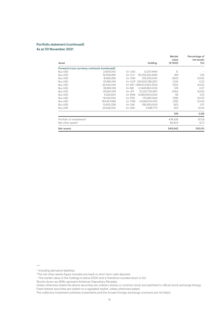| Asset                                        |             | Holding                         | Market<br>value<br>(E'000) | Percentage of<br>net assets<br>$(\%)$ |
|----------------------------------------------|-------------|---------------------------------|----------------------------|---------------------------------------|
| Forward cross currency contracts (continued) |             |                                 |                            |                                       |
| <b>Buy USD</b>                               | 2,605,000   | for CAD<br>(3,307,464)          | 12                         |                                       |
| <b>Buy USD</b>                               | 19,309,080  | for CLP<br>(15,352,842,836)     | 891                        | 0.16                                  |
| <b>Buy USD</b>                               | 18,892,858  | for CNH<br>(122,810,000)        | (263)                      | (0.05)                                |
| <b>Buy USD</b>                               | 33,680,451  | (129, 505, 789, 297)<br>for COP | 1,224                      | 0.22                                  |
| <b>Buy USD</b>                               | 25,542,044  | for IDR (368,673,930,300)       | (102)                      | (0.02)                                |
| <b>Buy USD</b>                               | 39.665.139  | for INR<br>(2.946.862.000)      | 374                        | 0.07                                  |
| <b>Buy USD</b>                               | 45.840.319  | for JPY<br>(5.222.734.487)      | (262)                      | (0.05)                                |
| <b>Buy USD</b>                               | 5.024.934   | for KRW<br>(5.864.600.000)      | 68                         | 0.01                                  |
| <b>Buy USD</b>                               | 18.454.554  | for PEN<br>(75.965.544)         | (158)                      | (0.03)                                |
| <b>Buy USD</b>                               | 164.927.898 | for TWD<br>(4.569.074.475)      | (215)                      | (0.04)                                |
| <b>Buy USD</b>                               | 12,600,258  | (182, 810, 000)<br>for ZAR      | 923                        | 0.17                                  |
| Buy ZAR                                      | 24,626,052  | (1,586,771)<br>for USD          | (42)                       | (0.01)                                |
|                                              |             |                                 | 518                        | 0.06                                  |
| Portfolio of investments <sup>^</sup>        |             |                                 | 476,439                    | 87.29                                 |
| Net other assets*                            |             |                                 | 69,403                     | 12.71                                 |
| Net assets                                   |             |                                 | 545,842                    | 100.00                                |

<sup>^</sup> Including derivative liabilities.

<sup>\*</sup>The net other assets figure includes any bank or short term cash deposits.

<sup>~</sup> The market value of the holdings is below £500 and is therefore rounded down to £0.

Stocks shown as ADRs represent American Depositary Receipts.

Unless otherwise stated the above securities are ordinary shares or common stock and admitted to official stock exchange listings. Fixed interest securities are traded on a regulated market, unless otherwise stated.

The collective investment schemes investments and the forward foreign exchange contracts are not listed.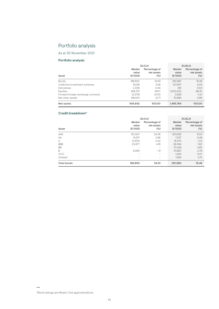### Portfolio analysis

As at 30 November 2021

#### Portfolio analysis

|                                    | 30.11.21                   |                                       |                            | 31.05.21                              |  |
|------------------------------------|----------------------------|---------------------------------------|----------------------------|---------------------------------------|--|
| Asset                              | Market<br>value<br>(E'000) | Percentage of<br>net assets<br>$(\%)$ | Market<br>value<br>(E'000) | Percentage of<br>net assets<br>$(\%)$ |  |
| <b>Bonds</b>                       | 188.850                    | 34.61                                 | 291,580                    | 19.48                                 |  |
| Collective investment schemes      | 19.518                     | 3.58                                  | 127.957                    | 8.55                                  |  |
| Derivatives                        | 2.336                      | 0.44                                  | 461                        | 0.03                                  |  |
| Equities                           | 268.313                    | 49.17                                 | 1.000.252                  | 66.87                                 |  |
| Forward foreign exchange contracts | (2.578)                    | (0.51)                                | 2.828                      | 0.21                                  |  |
| Net other assets                   | 69.403                     | 12.71                                 | 72.686                     | 4.86                                  |  |
| Net assets                         | 545,842                    | 100.00                                | 1.495.764                  | 100.00                                |  |

#### Credit breakdown\*

|                    |                            | 30.11.21                              |                            | 31.05.21                              |
|--------------------|----------------------------|---------------------------------------|----------------------------|---------------------------------------|
| Asset              | Market<br>value<br>(E'000) | Percentage of<br>net assets<br>$(\%)$ | Market<br>value<br>(E'000) | Percentage of<br>net assets<br>$(\%)$ |
| AAA                | 132,937                    | 24.36                                 | 120,095                    | 8.03                                  |
| AA                 | 14.517                     | 2.66                                  | 7.247                      | 0.48                                  |
| А                  | 12,635                     | 2.32                                  | 18,470                     | 1.23                                  |
| <b>BBB</b>         | 22,677                     | 4.16                                  | 28,384                     | 1.90                                  |
| <b>BB</b>          |                            | $\overline{\phantom{a}}$              | 72,428                     | 4.85                                  |
| B                  | 6.084                      | 1.11                                  | 41,890                     | 2.79                                  |
| CCC                | -                          | $\overline{\phantom{a}}$              | 1.082                      | 0.07                                  |
| Unrated            | -                          | $\overline{\phantom{m}}$              | 1.984                      | 0.13                                  |
| <b>Total bonds</b> | 188,850                    | 34.61                                 | 291,580                    | 19.48                                 |

<sup>\*</sup>Bond ratings are Ninety One approximations.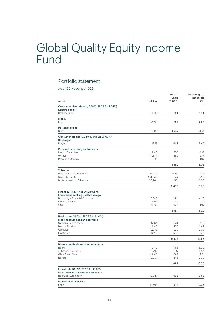# Global Quality Equity Income Fund

### Portfolio statement

As at 30 November 2021

| Asset                                                          | Holding         | Market<br>value<br>(E'000) | Percentage of<br>net assets<br>$(\%)$ |
|----------------------------------------------------------------|-----------------|----------------------------|---------------------------------------|
| Consumer discretionary 9.78% (31.05.21: 8.24%)                 |                 |                            |                                       |
| Leisure goods                                                  |                 |                            |                                       |
| NetEase ADR                                                    | 11,219          | 924                        | 3.54                                  |
| <b>Media</b><br>Fox                                            | 21,195          | 582                        | 2.23                                  |
| Personal goods<br>Nike                                         | 8,299           | 1,047                      | 4.01                                  |
| Consumer staples 17.95% (31.05.21: 21.93%)<br><b>Beverages</b> |                 |                            |                                       |
| Diageo                                                         | 17,117          | 649                        | 2.48                                  |
| Personal care, drug and grocery                                |                 |                            |                                       |
| <b>Reckitt Benckiser</b>                                       | 12,146          | 750                        | 2.87                                  |
| Unilever<br>Procter & Gamble                                   | 14,334<br>2,518 | 559<br>280                 | 2.14<br>1.07                          |
|                                                                |                 | 1,589                      | 6.08                                  |
| <b>Tobacco</b>                                                 |                 |                            |                                       |
| Philip Morris International                                    | 16,579          | 1,080                      | 4.13                                  |
| Swedish Match                                                  | 154,640         | 844                        | 3.23                                  |
| British American Tobacco                                       | 20,964          | 531                        | 2.03                                  |
|                                                                |                 | 2,455                      | 9.39                                  |
| Financials 8.37% (31.05.21: 9.31%)                             |                 |                            |                                       |
| Investment banking and brokerage                               |                 |                            |                                       |
| <b>Broadridge Financial Solutions</b>                          | 8,543           | 1,114                      | 4.26                                  |
| Charles Schwab<br><b>CME</b>                                   | 9,416<br>3,068  | 559<br>515                 | 2.14<br>1.97                          |
|                                                                |                 | 2,188                      | 8.37                                  |
| Health care 21.17% (31.05.21: 19.40%)                          |                 |                            |                                       |
| Medical equipment and services                                 |                 |                            |                                       |
| Siemens Healthineers                                           | 17,163          | 944                        | 3.61                                  |
| <b>Becton Dickinson</b>                                        | 4,145           | 755                        | 2.89                                  |
| Coloplast<br>Medtronic                                         | 5,085<br>6,210  | 625<br>509                 | 2.39<br>1.95                          |
|                                                                |                 | 2,833                      | 10.84                                 |
| Pharmaceuticals and biotechnology                              |                 |                            |                                       |
| Roche                                                          | 2,710           | 785                        | 3.00                                  |
| Johnson & Johnson                                              | 5,796           | 687                        | 2.63                                  |
| GlaxoSmithKline                                                | 44,810          | 682                        | 2.61                                  |
| Novartis                                                       | 9,097           | 545                        | 2.09                                  |
|                                                                |                 | 2,699                      | 10.33                                 |
| Industrials 23.12% (31.05.21: 21.66%)                          |                 |                            |                                       |
| Electronic and electrical equipment                            |                 |                            |                                       |
| Rockwell Automation                                            | 3,947           | 998                        | 3.82                                  |
| Industrial engineering                                         |                 |                            |                                       |
| Kone                                                           | 12,498          | 614                        | 2.35                                  |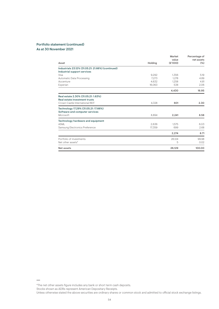|                                                   |         | Market<br>value | Percentage of<br>net assets |
|---------------------------------------------------|---------|-----------------|-----------------------------|
| Asset                                             | Holding | (E'000)         | $(\%)$                      |
| Industrials 23.12% (31.05.21: 21.66%) (continued) |         |                 |                             |
| Industrial support services                       |         |                 |                             |
| Visa                                              | 9.292   | 1,356           | 5.19                        |
| Automatic Data Processing                         | 7.273   | 1.278           | 4.89                        |
| Accenture                                         | 4.632   | 1,258           | 4.81                        |
| Experian                                          | 16.063  | 538             | 2.06                        |
|                                                   |         | 4,430           | 16.95                       |
| Real estate 2.30% (31.05.21: 1.63%)               |         |                 |                             |
| Real estate investment trusts                     |         |                 |                             |
| Crown Castle International REIT                   | 4.328   | 601             | 2.30                        |
| Technology 17.29% (31.05.21: 17.66%)              |         |                 |                             |
| Software and computer services                    |         |                 |                             |
| Microsoft                                         | 8.894   | 2,241           | 8.58                        |
| Technology hardware and equipment                 |         |                 |                             |
| <b>ASML</b>                                       | 2.636   | 1.575           | 6.03                        |
| Samsung Electronics Preference                    | 17,359  | 699             | 2.68                        |
|                                                   |         | 2,274           | 8.71                        |
| Portfolio of investments                          |         | 26.124          | 99.98                       |
| Net other assets*                                 |         | 5               | 0.02                        |
| Net assets                                        |         | 26,129          | 100.00                      |

\*The net other assets figure includes any bank or short term cash deposits.

Stocks shown as ADRs represent American Depositary Receipts.

Unless otherwise stated the above securities are ordinary shares or common stock and admitted to official stock exchange listings.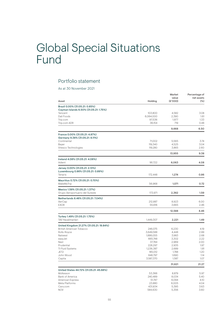# Global Special Situations Fund

### Portfolio statement

As at 30 November 2021

| Asset                                                                    | Holding                | Market<br>value<br>(E'000) | Percentage of<br>net assets<br>$(\%)$ |
|--------------------------------------------------------------------------|------------------------|----------------------------|---------------------------------------|
|                                                                          |                        |                            |                                       |
| Brazil 0.00% (31.05.21: 0.85%)<br>Cayman Islands 6.50% (31.05.21: 1.75%) |                        |                            |                                       |
| Tencent                                                                  | 103,800                | 4,582                      | 3.08                                  |
| Dali Foods                                                               | 6,064,000              | 2,390                      | 1.61                                  |
| Trip.com                                                                 | 97,536                 | 1,977                      | 1.33                                  |
| Trip.com ADR                                                             | 36,154                 | 719                        | 0.48                                  |
|                                                                          |                        | 9,668                      | 6.50                                  |
| France 0.00% (31.05.21: 4.87%)                                           |                        |                            |                                       |
| Germany 9.38% (31.05.21: 8.11%)                                          |                        |                            |                                       |
| Continental                                                              | 71,002<br>119,340      | 5,565                      | 3.74                                  |
| Bayer<br>Vitesco Technologies                                            | 119,280                | 4,525<br>3,865             | 3.04<br>2.60                          |
|                                                                          |                        | 13,955                     | 9.38                                  |
| Ireland 4.08% (31.05.21: 4.06%)                                          |                        |                            |                                       |
| Adient                                                                   | 181,722                | 6,063                      | 4.08                                  |
| Jersey 0.00% (31.05.21: 2.13%)                                           |                        |                            |                                       |
| Luxembourg 0.86% (31.05.21: 0.89%)                                       |                        |                            |                                       |
| Tenaris                                                                  | 172,448                | 1,274                      | 0.86                                  |
| Mauritius 0.72% (31.05.21: 0.70%)                                        |                        |                            |                                       |
| MakeMyTrip                                                               | 56,968                 | 1,071                      | 0.72                                  |
| Mexico 1.59% (31.05.21: 1.37%)<br>Grupo Aeroportuario del Sureste        | 173,971                | 2,362                      | 1.59                                  |
| Netherlands 8.46% (31.05.21: 7.04%)                                      |                        |                            |                                       |
| AerCap                                                                   | 212,887                | 8,923                      | 6.00                                  |
| <b>EXOR</b>                                                              | 55,616                 | 3,665                      | 2.46                                  |
|                                                                          |                        | 12,588                     | 8.46                                  |
| Turkey 1.49% (31.05.21: 1.75%)                                           |                        |                            |                                       |
| TAV Havalimanlari                                                        | 1,449,307              | 2,221                      | 1.49                                  |
| United Kingdom 21.27% (31.05.21: 19.84%)                                 |                        |                            |                                       |
| British American Tobacco                                                 | 246,075                | 6,230                      | 4.19                                  |
| Rolls-Royce<br>Natwest                                                   | 3,649,588<br>1,886,055 | 4,448<br>3,983             | 2.99<br>2.68                          |
| easyJet                                                                  | 665,748                | 3,302                      | 2.22                                  |
| Next                                                                     | 37,784                 | 2,969                      | 2.00                                  |
| Prudential                                                               | 228,297                | 2,935                      | 1.97                                  |
| TI Fluid Systems                                                         | 1,236,387              | 2,689                      | 1.81                                  |
| JET2                                                                     | 185,012                | 1,788                      | 1.20                                  |
| John Wood                                                                | 848,797                | 1,690                      | 1.14                                  |
| Capita                                                                   | 3,587,370              | 1,587                      | 1.07                                  |
|                                                                          |                        | 31,621                     | 21.27                                 |
| United States 44.72% (31.05.21: 45.68%)                                  |                        |                            |                                       |
| McKesson                                                                 | 53,366                 | 8,879                      | 5.97                                  |
| Bank of America                                                          | 240,489                | 8,034                      | 5.40                                  |
| American Express                                                         | 51,747                 | 6,094                      | 4.10                                  |
| Meta Platforms                                                           | 23,880                 | 6,005                      | 4.04                                  |
| Cars.com                                                                 | 431,934                | 5,395                      | 3.63                                  |
| <b>NOV</b>                                                               | 584,630                | 5,356                      | 3.60                                  |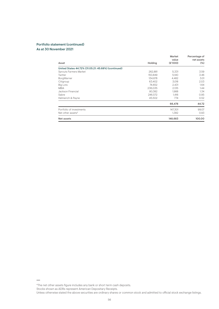| Asset                                               | Holding | Market<br>value<br>(E'000) | Percentage of<br>net assets<br>$(\%)$ |
|-----------------------------------------------------|---------|----------------------------|---------------------------------------|
| United States 44.72% (31.05.21: 45.68%) (continued) |         |                            |                                       |
| Sprouts Farmers Market                              | 262,881 | 5,331                      | 3.59                                  |
| Twitter                                             | 150.849 | 5,140                      | 3.46                                  |
| BorgWarner                                          | 134,678 | 4,482                      | 3.01                                  |
| Citigroup                                           | 63.402  | 3.018                      | 2.03                                  |
| <b>Big Lots</b>                                     | 74,652  | 2,431                      | 1.64                                  |
| <b>MBIA</b>                                         | 236.035 | 2.135                      | 1.44                                  |
| Jackson Financial                                   | 80,382  | 1.988                      | 1.34                                  |
| Sabre                                               | 246,572 | 1.416                      | 0.95                                  |
| Helmerich & Payne                                   | 45.502  | 774                        | 0.52                                  |
|                                                     |         | 66,478                     | 44.72                                 |
| Portfolio of investments                            |         | 147,301                    | 99.07                                 |
| Net other assets*                                   |         | 1,382                      | 0.93                                  |
| Net assets                                          |         | 148,683                    | 100.00                                |

Stocks shown as ADRs represent American Depositary Receipts.

<sup>\*</sup>The net other assets figure includes any bank or short term cash deposits.

Unless otherwise stated the above securities are ordinary shares or common stock and admitted to official stock exchange listings.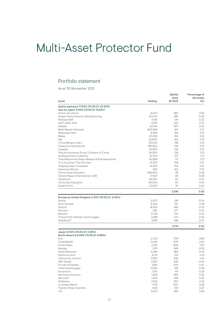# Multi-Asset Protector Fund

### Portfolio statement

As at 30 November 2021

| Asset                                            | Holding | Market<br>value<br>(E'000) | Percentage of<br>net assets<br>$(\%)$ |
|--------------------------------------------------|---------|----------------------------|---------------------------------------|
| Equity exposure 17.60% (31.05.21: 23.32%)        |         |                            |                                       |
| Asia ex Japan 3.63% (31.05.21: 9.02%)            |         |                            |                                       |
| Aristocrat Leisure                               | 20.371  | 480                        | 0.45                                  |
| Taiwan Semiconductor Manufacturing               | 24,000  | 386                        | 0.36                                  |
| NetEase ADR                                      | 4,136   | 341                        | 0.32                                  |
| <b>HDFC Bank ADR</b>                             | 5,915   | 295                        | 0.27                                  |
| Alibaba                                          | 21,504  | 263                        | 0.24                                  |
| Bank Rakyat Indonesia                            | 853,666 | 183                        | 0.17                                  |
| Wuliangye Yibin                                  | 6,495   | 166                        | 0.15                                  |
| Midea                                            | 20,563  | 164                        | 0.15                                  |
| AIA                                              | 20,600  | 162                        | 0.15                                  |
| China Mengniu Dairy                              | 35,000  | 146                        | 0.14                                  |
| Topsports International                          | 166,000 | 144                        | 0.13                                  |
| Carabao                                          | 54,800  | 138                        | 0.13                                  |
|                                                  |         |                            | 0.13                                  |
| Ping An Insurance Group Company of China         | 26,500  | 138                        | 0.11                                  |
| Suofeiya Home Collection                         | 61,700  | 123                        |                                       |
| China Resources Sanjiu Medical & Pharmaceutical  | 40,808  | 117                        | 0.11                                  |
| A-Living Smart City Services                     | 61,250  | 108                        | 0.10                                  |
| Zhejiang Supor Cookware                          | 14,360  | 104                        | 0.10                                  |
| Kweichow Moutai                                  | 455     | 103                        | 0.10                                  |
| China Yuhua Education                            | 248,000 | 88                         | 0.08                                  |
| <b>Tencent Music Entertainment ADR</b>           | 17,027  | 88                         | 0.08                                  |
| Sinopharm                                        | 49,200  | 80                         | 0.07                                  |
| China East Education                             | 66,000  | 52                         | 0.05                                  |
| Sands China                                      | 27,200  | 47                         | 0.04                                  |
|                                                  |         | 3,916                      | 3.63                                  |
| Europe ex United Kingdom 2.52% (31.05.21: 2.43%) |         |                            |                                       |
| Roche                                            | 2,007   | 581                        | 0.54                                  |
| Novo Nordisk                                     | 6,334   | 517                        | 0.48                                  |
| Axfood                                           | 18,704  | 380                        | 0.35                                  |
| Partners                                         | 295     | 377                        | 0.35                                  |
| Moncler                                          | 6,316   | 341                        | 0.32                                  |
| Check Point Software Technologies                | 3,288   | 272                        | 0.25                                  |
| Amadeus IT                                       | 5,168   | 246                        | 0.23                                  |
|                                                  |         | 2,714                      | 2.52                                  |
| Japan 0.00% (31.05.21: 0.26%)                    |         |                            |                                       |
| North America 9.08% (31.05.21: 8.98%)            |         |                            |                                       |
| <b>KLA</b>                                       | 2,332   | 709                        | 0.66                                  |
| UnitedHealth                                     | 2,008   | 679                        | 0.63                                  |
| Home Depot                                       | 2,159   | 656                        | 0.61                                  |
| Nasdaq                                           | 3,811   | 592                        | 0.55                                  |
| Arista Networks                                  | 4,944   | 464                        | 0.43                                  |
| Electronic Arts                                  | 4,714   | 441                        | 0.41                                  |
| Johnson & Johnson                                | 3,697   | 439                        | 0.41                                  |
| S&P Global                                       | 1,260   | 436                        | 0.40                                  |
| Procter & Gamble                                 | 3,881   | 432                        | 0.40                                  |
| Trane Technologies                               | 2,905   | 416                        | 0.39                                  |
|                                                  | 1,513   | 411                        | 0.38                                  |
| Accenture<br>Northrop Grumman                    | 1,438   |                            |                                       |
|                                                  |         | 383                        | 0.36                                  |
| Microsoft                                        | 1,422   | 358                        | 0.33                                  |
| McKesson                                         | 2,105   | 350                        | 0.32                                  |
| Lockheed Martin                                  | 1,179   | 300                        | 0.28                                  |
| Thermo Fisher Scientific                         | 602     | 291                        | 0.27                                  |
| <b>TJX</b>                                       | 5,472   | 284                        | 0.26                                  |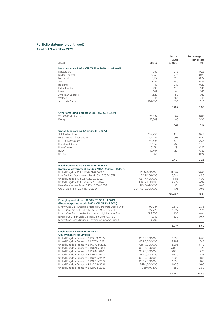|                                                                                                        |                   | Market  | Percentage of |
|--------------------------------------------------------------------------------------------------------|-------------------|---------|---------------|
|                                                                                                        |                   | value   | net assets    |
| Asset                                                                                                  | Holding           | (£'000) | $(\%)$        |
| North America 9.08% (31.05.21: 8.98%) (continued)                                                      |                   |         |               |
| Mastercard                                                                                             | 1,159             | 276     | 0.26          |
| Dollar General                                                                                         | 1,636             | 275     | 0.26          |
| Medtronic                                                                                              | 3.172             | 260     | 0.24          |
| Visa                                                                                                   | 1,784             | 260     | 0.24          |
| Booking                                                                                                | 147               | 237     | 0.22          |
| Estee Lauder                                                                                           | 793               | 200     | 0.18          |
| Intuit                                                                                                 | 369               | 184     | 0.17          |
| American Express                                                                                       | 1,529             | 180     | 0.17          |
| Watsco                                                                                                 | 743               | 165     | 0.15          |
| Ausnutria Dairy                                                                                        | 124,000           | 106     | 0.10          |
|                                                                                                        |                   | 9,784   | 9.08          |
| Other emerging markets 0.14% (31.05.21: 0.48%)                                                         |                   |         |               |
| <b>YDUQS Participacoes</b>                                                                             | 29,582            | 82      | 0.08          |
| Fleury                                                                                                 | 27,369            | 65      | 0.06          |
|                                                                                                        |                   | 147     | 0.14          |
| United Kingdom 2.23% (31.05.21: 2.15%)                                                                 |                   |         |               |
| 3i Infrastructure                                                                                      | 132,956           | 450     | 0.42          |
| <b>BBGI Global Infrastructure</b>                                                                      | 230,014           | 398     | 0.37          |
| <b>HICL</b> Infrastructure                                                                             | 231,558           | 390     | 0.36          |
| Howden Joinery                                                                                         | 36,541            | 321     | 0.30          |
| HomeServe                                                                                              | 32,311            | 291     | 0.27          |
| <b>RELX</b>                                                                                            | 12,454            | 291     | 0.27          |
| Unilever                                                                                               | 6,655             | 260     | 0.24          |
|                                                                                                        |                   | 2,401   | 2.23          |
| Fixed income 33.53% (31.05.21: 19.88%)                                                                 |                   |         |               |
| Defensive government bonds 27.91% (31.05.21: 13.90%)                                                   |                   |         |               |
| United Kingdom Gilt 0.125% 31/01/2023                                                                  | GBP 14,560,000    | 14,532  | 13.48         |
| New Zealand Government Bond 1.5% 15/05/2031                                                            | NZD 11,209,000    | 5,284   | 4.90          |
| United Kingdom Gilt 0.5% 22/07/2022                                                                    | GBP 4,400,000     | 4,413   | 4.09          |
| United Kingdom Gilt 0.75% 22/07/2023                                                                   | GBP 4,200,000     | 4,227   | 3.92          |
| Peru Government Bond 6.15% 12/08/2032                                                                  | PEN 5,020,000     | 931     | 0.86          |
| Colombian TES 7.25% 18/10/2034                                                                         | COP 4,270,000,000 | 708     | 0.66          |
|                                                                                                        |                   | 30,095  | 27.91         |
| Emerging market debt 0.00% (31.05.21: 1.08%)                                                           |                   |         |               |
| Global corporate credit 5.62% (31.05.21: 4.90%)<br>Ninety One GSF Emerging Markets Corporate Debt Fund | 90,284            | 2,549   | 2.36          |
| Ninety One GSF Global Total Return Credit Fund †                                                       | 124,429           | 1,924   | 1.78          |
| Ninety One Funds Series ii - Monthly High Income Fund †                                                | 312,850           | 906     | 0.84          |
| iShares USD High Yield Corporation Bond UCITS ETF                                                      | 9,132             | 690     | 0.64          |
| Ninety One Funds Series i - Diversified Income Fund †                                                  | 2,702             | 5       |               |
|                                                                                                        |                   | 6,074   | 5.62          |
| Cash 35.44% (31.05.21: 56.44%)                                                                         |                   |         |               |
| Government treasury bills                                                                              |                   |         |               |
| United Kingdom Treasury Bill 24/01/2022                                                                | GBP 9,000,000     | 8,999   | 8.35          |
| United Kingdom Treasury Bill 17/01/2022                                                                | GBP 8,000,000     | 7,999   | 7.42          |
| United Kingdom Treasury Bill 03/05/2022                                                                | GBP 7,000,000     | 6,996   | 6.49          |
| United Kingdom Treasury Bill 06/12/2021                                                                | GBP 3,000,000     | 3,000   | 2.78          |
| United Kingdom Treasury Bill 13/12/2021                                                                | GBP 3,000,000     | 3,000   | 2.78          |
| United Kingdom Treasury Bill 31/01/2022                                                                | GBP 3,000,000     | 3,000   | 2.78          |
| United Kingdom Treasury Bill 09/05/2022                                                                | GBP 2,000,000     | 1,999   | 1.85          |
| United Kingdom Treasury Bill 16/05/2022                                                                | GBP 2,000,000     | 1,999   | 1.85          |
| United Kingdom Treasury Bill 20/12/2021                                                                | GBP 1,000,000     | 1,000   | 0.93          |
| United Kingdom Treasury Bill 21/03/2022                                                                | GBP 649,500       | 650     | 0.60          |
|                                                                                                        |                   | 38,642  | 35.83         |
|                                                                                                        |                   |         |               |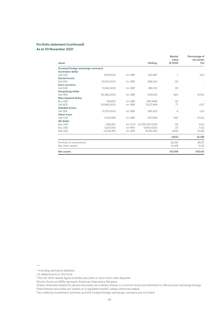|                                       |                |         |                 | Market           | Percentage of        |
|---------------------------------------|----------------|---------|-----------------|------------------|----------------------|
| Asset                                 |                |         | Holding         | value<br>(E'000) | net assets<br>$(\%)$ |
| Forward foreign exchange contracts    |                |         |                 |                  |                      |
| Australian dollar                     |                |         |                 |                  |                      |
| Sell AUD                              | (970,000)      | for GBP | 525,687         | 7                | 0.01                 |
| Danish krone                          |                |         |                 |                  |                      |
| Sell DKK                              | (3,500,000)    | for GBP | 398,204         | (2)              |                      |
| Euro currency                         |                |         |                 |                  |                      |
| Sell EUR                              | (1,040,000)    | for GBP | 880,312         | (5)              |                      |
| Hong Kong dollar                      |                |         |                 |                  |                      |
| Sell HKD                              | (15,360,000)   | for GBP | 1,435,412       | (40)             | (0.04)               |
| <b>New Zealand dollar</b>             |                |         |                 |                  |                      |
| Buy NZD                               | 316.655        | for GBP | (164.446)       | (3)              |                      |
| Sell NZD                              | (10,680,000)   | for GBP | 5,527,999       | 77               | 0.07                 |
| Swedish krona                         |                |         |                 |                  |                      |
| Sell SEK                              | (3,370,000)    | for GBP | 285,302         | 6                | 0.01                 |
| Swiss franc                           |                |         |                 |                  |                      |
| Sell CHF                              | (1,143,081)    | for GBP | 907,656         | (26)             | (0.02)               |
| US dollar                             |                |         |                 |                  |                      |
| <b>Buy USD</b>                        | 1,166,957      | for COP | (4,436,350,000) | 55               | 0.05                 |
| <b>Buy USD</b>                        | 1,220,003      | for PEN | (4.850.000)     | 23               | 0.02                 |
| Sell USD                              | (23, 114, 811) | for GBP | 16.787.365      | (524)            | (0.49)               |
|                                       |                |         |                 | (432)            | (0.39)               |
| Portfolio of investments <sup>^</sup> |                |         |                 | 93,341           | 86.57                |
| Net other assets*                     |                |         |                 | 14,478           | 13.43                |
| Net assets                            |                |         |                 | 107,819          | 100.00               |

<sup>^</sup> Including derivative liabilities.

<sup>†</sup> A related party to the Fund.

<sup>\*</sup>The net other assets figure includes any bank or short term cash deposits.

Stocks shown as ADRs represent American Depositary Receipts.

Unless otherwise stated the above securities are ordinary shares or common stock and admitted to official stock exchange listings. Fixed interest securities are traded on a regulated market, unless otherwise stated.

The collective investment schemes and the forward foreign exchange contracts are not listed.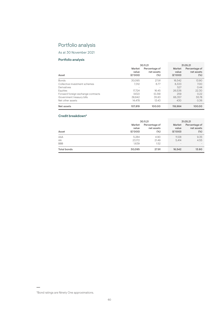## Portfolio analysis

As at 30 November 2021

#### Portfolio analysis

|                                    | 30.11.21 |               | 31.05.21 |               |  |
|------------------------------------|----------|---------------|----------|---------------|--|
|                                    | Market   | Percentage of | Market   | Percentage of |  |
|                                    | value    | net assets    | value    | net assets    |  |
| Asset                              | (E'000)  | $(\%)$        | (E'000)  | $(\%)$        |  |
| <b>Bonds</b>                       | 30.095   | 27.91         | 16.542   | 13.90         |  |
| Collective investment schemes      | 7.312    | 6.77          | 8.333    | 7.00          |  |
| Derivatives                        |          |               | 527      | 0.44          |  |
| Equities                           | 17.724   | 16.45         | 26.536   | 22.30         |  |
| Forward foreign exchange contracts | (432)    | (0.39)        | 259      | 0.22          |  |
| Government treasury bills          | 38.642   | 35.83         | 66.357   | 55.78         |  |
| Net other assets                   | 14.478   | 13.43         | 430      | 0.36          |  |
| Net assets                         | 107.819  | 100.00        | 118,984  | 100.00        |  |

#### Credit breakdown\*

|             | 30.11.21                   |                                       |                            |                                       |  |
|-------------|----------------------------|---------------------------------------|----------------------------|---------------------------------------|--|
| Asset       | Market<br>value<br>(E'000) | Percentage of<br>net assets<br>$(\%)$ | Market<br>value<br>(E'000) | Percentage of<br>net assets<br>$(\%)$ |  |
| AAA         | 5.284                      | 4.90                                  | 11.128                     | 9.35                                  |  |
| AA          | 23,172                     | 21.49                                 | 5.414                      | 4.55                                  |  |
| <b>BBB</b>  | 1.639                      | 1.52                                  | $\qquad \qquad -$          | $\overline{\phantom{a}}$              |  |
| Total bonds | 30,095                     | 27.91                                 | 16,542                     | 13.90                                 |  |

<sup>\*</sup>Bond ratings are Ninety One approximations.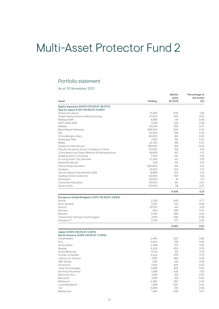# Multi-Asset Protector Fund 2

### Portfolio statement

As at 30 November 2021

|                                                              |                  | Market<br>value | Percentage of<br>net assets |
|--------------------------------------------------------------|------------------|-----------------|-----------------------------|
| Asset                                                        | Holding          | (E'000)         | $(\%)$                      |
| Equity exposure 24.67% (31.05.21: 28.37%)                    |                  |                 |                             |
| Asia ex Japan 5.31% (31.05.21: 11.04%)<br>Aristocrat Leisure |                  |                 |                             |
| Taiwan Semiconductor Manufacturing                           | 21,465<br>27,000 | 506<br>434      | 0.61<br>0.52                |
| NetEase ADR                                                  | 4,998            | 411             | 0.49                        |
| <b>HDFC Bank ADR</b>                                         | 6,561            | 328             | 0.39                        |
| Alibaba                                                      | 25,004           | 306             | 0.37                        |
| Bank Rakyat Indonesia                                        | 959,034          | 205             | 0.25                        |
| AIA                                                          | 25,200           | 199             | 0.24                        |
| China Mengniu Dairy                                          | 46,000           | 192             | 0.23                        |
| Wuliangye Yibin                                              | 7,482            | 192             | 0.23                        |
| Midea                                                        | 23,750           | 189             | 0.23                        |
| Topsports International                                      | 189,000          | 164             | 0.20                        |
| Ping An Insurance Group Company of China                     | 30,500           | 158             | 0.19                        |
| China Resources Sanjiu Medical & Pharmaceutical              | 49,628           | 143             | 0.17                        |
| Zhejiang Supor Cookware                                      | 17,931           | 130             | 0.16                        |
| A-Living Smart City Services                                 | 72,250           | 127             | 0.15                        |
| Kweichow Moutai                                              | 548              | 124             | 0.15                        |
| China Yuhua Education                                        | 292,000          | 104             | 0.12                        |
| Carabao                                                      | 41,200           | 104             | 0.12                        |
| Tencent Music Entertainment ADR                              | 19,858           | 103             | 0.12                        |
| Suofeiya Home Collection                                     | 50,440           | 100             | 0.12                        |
| Sinopharm<br>China East Education                            | 55,600           | 91<br>60        | 0.11<br>0.07                |
| Sands China                                                  | 76,500<br>33,600 | 58              | 0.07                        |
|                                                              |                  |                 |                             |
|                                                              |                  | 4,428           | 5.31                        |
| Europe ex United Kingdom 3.57% (31.05.21: 2.92%)             |                  |                 |                             |
| Roche                                                        | 2,228            | 645             | 0.77                        |
| Novo Nordisk                                                 | 7,020            | 572             | 0.69                        |
| Axfood                                                       | 20,757           | 421             | 0.51                        |
| Partners                                                     | 304              | 389             | 0.47                        |
| Moncler                                                      | 6,743            | 364             | 0.44                        |
| Check Point Software Technologies                            | 3,615            | 299             | 0.36                        |
| Amadeus IT                                                   | 5,726            | 273             | 0.33                        |
|                                                              |                  | 2,963           | 3.57                        |
| Japan 0.00% (31.05.21: 0.32%)                                |                  |                 |                             |
| North America 13.15% (31.05.21: 11.32%)                      |                  |                 |                             |
| UnitedHealth                                                 | 2,440            | 825             | 0.99                        |
| KLA                                                          | 2,623            | 798             | 0.96                        |
| Home Depot                                                   | 2,394            | 727             | 0.87                        |
| Nasdag                                                       | 4,204            | 653             | 0.78                        |
| Arista Networks                                              | 6,512            | 611             | 0.74                        |
| Procter & Gamble                                             | 5,202            | 579             | 0.70                        |
| Johnson & Johnson                                            | 4,155            | 493             | 0.59                        |
| S&P Global                                                   | 1,391            | 481             | 0.58                        |
| Accenture                                                    | 1,634            | 444             | 0.53                        |
| Trane Technologies                                           | 3,089            | 442             | 0.53                        |
| Northrop Grumman                                             | 1,598            | 425             | 0.51                        |
| Electronic Arts                                              | 4,416            | 413             | 0.50                        |
| Microsoft                                                    | 1,636            | 412             | 0.50                        |
| McKesson                                                     | 2,360            | 393             | 0.47                        |
| Lockheed Martin                                              | 1,298            | 330             | 0.40                        |
| TJX                                                          | 6,064            | 315             | 0.38                        |
| Mastercard                                                   | 1,285            | 306             | 0.37                        |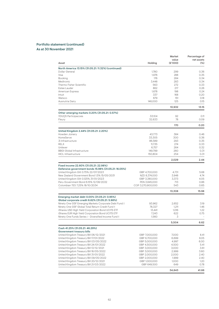|                                                                                    |                              | Market       | Percentage of |
|------------------------------------------------------------------------------------|------------------------------|--------------|---------------|
|                                                                                    |                              | value        | net assets    |
| Asset                                                                              | Holding                      | (£'000)      | $(\%)$        |
| North America 13.15% (31.05.21: 11.32%) (continued)                                |                              |              |               |
| Dollar General                                                                     | 1,780                        | 299          | 0.36          |
| Visa                                                                               | 1,976                        | 288          | 0.35          |
| Booking<br>Medtronic                                                               | 176<br>3,448                 | 284<br>283   | 0.34<br>0.34  |
| Thermo Fisher Scientific                                                           | 563                          | 272          | 0.33          |
| Estee Lauder                                                                       | 862                          | 217          | 0.26          |
| American Express                                                                   | 1,678                        | 198          | 0.24          |
| Intuit                                                                             | 337                          | 168          | 0.20          |
| Watsco                                                                             | 679                          | 151          | 0.18          |
| Ausnutria Dairy                                                                    | 146,000                      | 125          | 0.15          |
|                                                                                    |                              | 10,932       | 13.15         |
| Other emerging markets 0.20% (31.05.21: 0.57%)                                     |                              |              |               |
| <b>YDUQS Participacoes</b>                                                         | 33,104                       | 92           | 0.11          |
| Fleury                                                                             | 32,633                       | 78           | 0.09          |
|                                                                                    |                              | 170          | 0.20          |
| United Kingdom 2.44% (31.05.21: 2.20%)                                             |                              |              |               |
| Howden Joinery                                                                     | 43,773                       | 384          | 0.46          |
| HomeServe                                                                          | 33,305                       | 300          | 0.36          |
| 3i Infrastructure                                                                  | 86,589                       | 293          | 0.35          |
| <b>RELX</b>                                                                        | 11,735                       | 274          | 0.33          |
| Unilever                                                                           | 6,757                        | 264          | 0.32          |
| <b>BBGI Global Infrastructure</b>                                                  | 149,799                      | 260          | 0.31          |
| <b>HICL Infrastructure</b>                                                         | 150,804                      | 254          | 0.31          |
|                                                                                    |                              | 2.029        | 2.44          |
| Fixed income 22.60% (31.05.21: 22.98%)                                             |                              |              |               |
| Defensive government bonds 15.98% (31.05.21: 16.05%)                               |                              |              |               |
| United Kingdom Gilt 0.75% 22/07/2023                                               | GBP 4,700,000                | 4,731        | 5.68          |
| New Zealand Government Bond 1.5% 15/05/2031                                        | NZD 8,374,000                | 3,948        | 4.74          |
| United Kingdom Gilt 0.125% 31/01/2023                                              | GBP 3,380,000                | 3,373        | 4.05          |
| Peru Government Bond 6.15% 12/08/2032                                              | PEN 3,845,000                | 713          | 0.86          |
| Colombian TES 7.25% 18/10/2034                                                     | COP 3,270,900,000            | 543          | 0.65          |
|                                                                                    |                              | 13,308       | 15.98         |
| Emerging market debt 0.00% (31.05.21: 0.95%)                                       |                              |              |               |
| Global corporate credit 6.62% (31.05.21: 5.98%)                                    |                              |              |               |
| Ninety One GSF Emerging Markets Corporate Debt Fund †                              | 93,962                       | 2,652        | 3.19          |
| Ninety One GSF Global Total Return Credit Fund †                                   | 78,327                       | 1,211        | 1.46          |
| iShares USD High Yield Corporation Bond UCITS ETF                                  | 13.441                       | 1,016        | 1.22          |
| iShares EUR High Yield Corporation Bond UCITS ETF                                  | 7,243                        | 622          | 0.75          |
| Ninety One Funds Series i - Diversified Income Fund †                              | 1,560                        | 3            |               |
|                                                                                    |                              | 5,504        | 6.62          |
| Cash 41.25% (31.05.21: 46.29%)                                                     |                              |              |               |
| Government treasury bills                                                          |                              |              |               |
| United Kingdom Treasury Bill 06/12/2021                                            | GBP 7,000,000                | 7,000        | 8.41          |
| United Kingdom Treasury Bill 17/01/2022                                            | GBP 6,700,000                | 6,699        | 8.05          |
| United Kingdom Treasury Bill 03/05/2022                                            | GBP 5,000,000                | 4,997        | 6.00          |
| United Kingdom Treasury Bill 24/01/2022                                            | GBP 4,500,000                | 4,500        | 5.41          |
| United Kingdom Treasury Bill 13/12/2021                                            | GBP 3,000,000                | 3,000        | 3.61          |
| United Kingdom Treasury Bill 16/05/2022                                            | GBP 3,000,000                | 2,999        | 3.60          |
| United Kingdom Treasury Bill 31/01/2022                                            | GBP 2,000,000                | 2,000        | 2.40          |
| United Kingdom Treasury Bill 09/05/2022                                            | GBP 2,000,000                | 1,999        | 2.40          |
| United Kingdom Treasury Bill 20/12/2021<br>United Kingdom Treasury Bill 21/03/2022 | GBP 1,000,000<br>GBP 649,500 | 1,000<br>649 | 1.20<br>0.78  |
|                                                                                    |                              |              |               |
|                                                                                    |                              | 34,843       | 41.86         |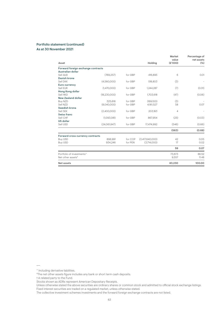|                                       |                |         |                 | Market<br>value | Percentage of<br>net assets |
|---------------------------------------|----------------|---------|-----------------|-----------------|-----------------------------|
| Asset                                 |                |         | Holding         | (E'000)         | $(\%)$                      |
| Forward foreign exchange contracts    |                |         |                 |                 |                             |
| Australian dollar                     |                |         |                 |                 |                             |
| Sell AUD                              | (769, 257)     | for GBP | 416,895         | 6               | 0.01                        |
| Danish krone                          |                |         |                 |                 |                             |
| Sell DKK                              | (4,560,000)    | for GBP | 518,803         | (3)             |                             |
| Euro currency                         |                |         |                 |                 |                             |
| Sell EUR                              | (1,470,000)    | for GBP | 1,244,287       | (7)             | (0.01)                      |
| Hong Kong dollar                      |                |         |                 |                 |                             |
| Sell HKD                              | (18, 230, 000) | for GBP | 1,703,618       | (47)            | (0.06)                      |
| <b>New Zealand dollar</b>             |                |         |                 |                 |                             |
| <b>Buy NZD</b>                        | 325.616        | for GBP | (169.100)       | (3)             |                             |
| Sell NZD                              | (8,040,000)    | for GBP | 4,161,527       | 58              | 0.07                        |
| Swedish krona                         |                |         |                 |                 |                             |
| Sell SEK                              | (2,400,000)    | for GBP | 203,183         | 4               |                             |
| Swiss franc                           |                |         |                 |                 |                             |
| Sell CHF                              | (1,093,081)    | for GBP | 867,954         | (25)            | (0.03)                      |
| <b>US dollar</b>                      |                |         |                 |                 |                             |
| Sell USD                              | (24,061,847)   | for GBP | 17,474,992      | (546)           | (0.66)                      |
|                                       |                |         |                 | (563)           | (0.68)                      |
| Forward cross currency contracts      |                |         |                 |                 |                             |
| <b>Buy USD</b>                        | 898,991        | for COP | (3,417,640,000) | 42              | 0.05                        |
| <b>Buy USD</b>                        | 934,246        | for PEN | (3,714,000)     | 17              | 0.02                        |
|                                       |                |         |                 | 59              | 0.07                        |
| Portfolio of investments <sup>^</sup> |                |         |                 | 73,673          | 88.52                       |
| Net other assets*                     |                |         |                 | 9,557           | 11.48                       |
| Net assets                            |                |         |                 | 83,230          | 100.00                      |

Unless otherwise stated the above securities are ordinary shares or common stock and admitted to official stock exchange listings. Fixed interest securities are traded on a regulated market, unless otherwise stated.

<sup>^</sup> Including derivative liabilities.

<sup>\*</sup>The net other assets figure includes any bank or short term cash deposits.

<sup>†</sup> A related party to the Fund.

Stocks shown as ADRs represent American Depositary Receipts.

The collective investment schemes investments and the forward foreign exchange contracts are not listed.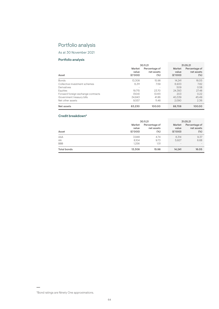## Portfolio analysis

As at 30 November 2021

#### Portfolio analysis

|                                    |         | 30.11.21                 |         | 31.05.21      |  |  |
|------------------------------------|---------|--------------------------|---------|---------------|--|--|
|                                    | Market  | Percentage of            | Market  | Percentage of |  |  |
|                                    | value   | net assets               | value   | net assets    |  |  |
| Asset                              | (E'000) | $(\%)$                   | (E'000) | $(\%)$        |  |  |
| <b>Bonds</b>                       | 13.308  | 15.98                    | 14.241  | 16.05         |  |  |
| Collective investment schemes      | 6.311   | 7.59                     | 6.933   | 7.82          |  |  |
| Derivatives                        |         | $\overline{\phantom{a}}$ | 509     | 0.58          |  |  |
| <b>Equities</b>                    | 19.715  | 23.70                    | 24.393  | 27.48         |  |  |
| Forward foreign exchange contracts | (504)   | (0.61)                   | 203     | 0.22          |  |  |
| Government treasury bills          | 34.843  | 41.86                    | 40.339  | 45.49         |  |  |
| Net other assets                   | 9.557   | 11.48                    | 2.090   | 2.36          |  |  |
| Net assets                         | 83.230  | 100.00                   | 88,708  | 100.00        |  |  |

#### Credit breakdown\*

|                    | 30.11.21                   | 31.05.21                              |                            |                                       |
|--------------------|----------------------------|---------------------------------------|----------------------------|---------------------------------------|
| Asset              | Market<br>value<br>(E'000) | Percentage of<br>net assets<br>$(\%)$ | Market<br>value<br>(E'000) | Percentage of<br>net assets<br>$(\%)$ |
| AAA                | 3,948                      | 4.74                                  | 8,314                      | 9.37                                  |
| AA                 | 8.104                      | 9.73                                  | 5.927                      | 6.68                                  |
| <b>BBB</b>         | 1.256                      | 1.51                                  | $\sim$                     | $\overline{\phantom{a}}$              |
| <b>Total bonds</b> | 13,308                     | 15.98                                 | 14,241                     | 16.05                                 |

<sup>\*</sup>Bond ratings are Ninety One approximations.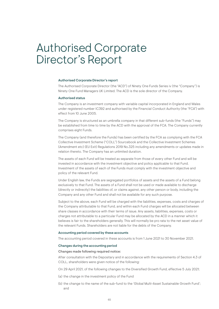# Authorised Corporate Director's Report

#### Authorised Corporate Director's report

The Authorised Corporate Director (the "ACD") of Ninety One Funds Series iv (the "Company") is Ninety One Fund Managers UK Limited. The ACD is the sole director of the Company.

#### Authorised status

The Company is an investment company with variable capital incorporated in England and Wales under registered number IC392 and authorised by the Financial Conduct Authority (the "FCA") with effect from 10 June 2005.

The Company is structured as an umbrella company in that different sub-funds (the "Funds") may be established from time to time by the ACD with the approval of the FCA. The Company currently comprises eight Funds.

The Company (and therefore the Funds) has been certified by the FCA as complying with the FCA Collective Investment Scheme ("COLL") Sourcebook and the Collective Investment Schemes (Amendment etc) (EU Exit) Regulations 2019 No.325 including any amendments or updates made in relation thereto. The Company has an unlimited duration.

The assets of each Fund will be treated as separate from those of every other Fund and will be invested in accordance with the investment objective and policy applicable to that Fund. Investment of the assets of each of the Funds must comply with the investment objective and policy of the relevant Fund.

Under English law, the Funds are segregated portfolios of assets and the assets of a Fund belong exclusively to that Fund. The assets of a Fund shall not be used or made available to discharge (directly or indirectly) the liabilities of, or claims against, any other person or body, including the Company and any other Fund and shall not be available for any such purpose.

Subject to the above, each Fund will be charged with the liabilities, expenses, costs and charges of the Company attributable to that Fund, and within each Fund charges will be allocated between share classes in accordance with their terms of issue. Any assets, liabilities, expenses, costs or charges not attributable to a particular Fund may be allocated by the ACD in a manner which it believes is fair to the shareholders generally. This will normally be pro rata to the net asset value of the relevant Funds. Shareholders are not liable for the debts of the Company.

#### Accounting period covered by these accounts

The accounting period covered in these accounts is from 1 June 2021 to 30 November 2021.

#### Changes during the accounting period

#### Changes made following required notice:

After consultation with the Depositary and in accordance with the requirements of Section 4.3 of COLL, shareholders were given notice of the following:

On 29 April 2021, of the following changes to the Diversified Growth Fund, effective 5 July 2021;

- (a) the change in the investment policy of the Fund
- (b) the change to the name of the sub-fund to the 'Global Multi-Asset Sustainable Growth Fund'; and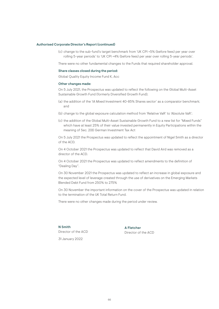#### Authorised Corporate Director's Report (continued)

(c) change to the sub-fund's target benchmark from 'UK CPI +5% (before fees) per year over rolling 5-year periods' to 'UK CPI +4% (before fees) per year over rolling 5-year periods'.

There were no other fundamental changes to the Funds that required shareholder approval.

#### Share classes closed during the period:

Global Quality Equity Income Fund K, Acc

#### Other changes made:

On 5 July 2021, the Prospectus was updated to reflect the following on the Global Multi-Asset Sustainable Growth Fund (formerly Diversified Growth Fund);

- (a) the addition of the 'IA Mixed Investment 40-85% Shares sector' as a comparator benchmark; and
- (b) change to the global exposure calculation method from 'Relative VaR' to 'Absolute VaR';
- (c) the addition of the Global Multi-Asset Sustainable Growth Fund to a new list for "Mixed Funds" which have at least 25% of their value invested permanently in Equity Participations within the meaning of Sec. 2(8) German Investment Tax Act

On 5 July 2021 the Prospectus was updated to reflect the appointment of Nigel Smith as a director of the ACD.

On 4 October 2021 the Prospectus was updated to reflect that David Aird was removed as a director of the ACD.

On 4 October 2021 the Prospectus was updated to reflect amendments to the definition of "Dealing Day".

On 30 November 2021 the Prospectus was updated to reflect an increase in global exposure and the expected level of leverage created through the use of derivatives on the Emerging Markets Blended Debt Fund from 250% to 275%

On 30 November the important information on the cover of the Prospectus was updated in relation to the termination of the UK Total Return Fund.

There were no other changes made during the period under review.

#### N Smith

Director of the ACD

31 January 2022

A Fletcher Director of the ACD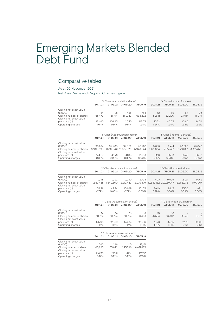## Emerging Markets Blended Debt Fund

### Comparative tables

#### As at 30 November 2021

|                          | 'A' Class (Accumulation shares) |          |          |          | 'A' Class (Income-2 shares) |          |          |          |
|--------------------------|---------------------------------|----------|----------|----------|-----------------------------|----------|----------|----------|
|                          | 30.11.21                        | 31.05.21 | 31.05.20 | 31.05.19 | 30.11.21                    | 31.05.21 | 31.05.20 | 31.05.19 |
| Closing net asset value  |                                 |          |          |          |                             |          |          |          |
| (E'000)                  | 84                              | 78       | 435      | 754      | 62                          | 66       | 84       | 93       |
| Closing number of shares | 68.473                          | 61.744   | 360.183  | 633.372  | 81.331                      | 82.290   | 103.917  | 111,774  |
| Closing net asset value  |                                 |          |          |          |                             |          |          |          |
| per share (p)            | 122.40                          | 126.43   | 120.75   | 119.03   | 75.72                       | 80.33    | 80.65    | 84.34    |
| Operating charges        | 1.64%                           | 1.64%    | 1.64%    | 1.64%    | 1.64%                       | 1.64%    | 1.64%    | 1.65%    |
|                          |                                 |          |          |          |                             |          |          |          |

|                          | 'l' Class (Accumulation shares) |          |          |                                  |           | 'l' Class (Income-2 shares) |          |                       |
|--------------------------|---------------------------------|----------|----------|----------------------------------|-----------|-----------------------------|----------|-----------------------|
|                          | 30.11.21                        | 31.05.21 | 31.05.20 | 31.05.19                         | 30.11.21  | 31.05.21                    | 31.05.20 | 31.05.19              |
| Closing net asset value  |                                 |          |          |                                  |           |                             |          |                       |
| (£'000)                  | 96.884                          | 99.960   | 99.562   | 90.987                           | 6.638     | 2.414                       | 26.683   | 25.043                |
| Closing number of shares | 67.016.695                      |          |          | 67,186,261 70,597,920 65,943,524 | 8.179.634 | 2.814.317                   |          | 31.216.851 28.233.515 |
| Closing net asset value  |                                 |          |          |                                  |           |                             |          |                       |
| per share (p)            | 144.57                          | 148.78   | 141.03   | 137.98                           | 81.16     | 85.78                       | 85.48    | 88.70                 |
| Operating charges        | 0.89%                           | 0.90%    | 0.89%    | 0.90%                            | 0.88%     | 0.90%                       | 0.89%    | 0.90%                 |

|                          | 'J' Class (Accumulation shares) |           |           |          |          | 'J' Class (Income-2 shares)     |           |           |
|--------------------------|---------------------------------|-----------|-----------|----------|----------|---------------------------------|-----------|-----------|
|                          | 30.11.21                        | 31.05.21  | 31.05.20  | 31.05.19 | 30.11.21 | 31.05.21                        | 31.05.20  | 31.05.19  |
| Closing net asset value  |                                 |           |           |          |          |                                 |           |           |
| (E'000)                  | 2.148                           | 2.192     | 2.980     | 2.738    | 17.493   | 19.039                          | 2.124     | 1.043     |
| Closing number of shares | 1.553.488                       | 1.540.800 | 2.212.483 |          |          | 2.079.479 19.633.152 20.227.047 | 2.266.273 | 1.073.767 |
| Closing net asset value  |                                 |           |           |          |          |                                 |           |           |
| per share (p)            | 138.28                          | 142.24    | 134.69    | 131.65   | 89.10    | 94.13                           | 93.70     | 97.11     |
| Operating charges        | 0.79%                           | 0.80%     | 0.79%     | 0.80%    | 0.79%    | 0.78%                           | 0.79%     | 0.80%     |

|                                                     | 'R' Class (Accumulation shares) |                 |                 |                 |                |                | 'R' Class (Income-2 shares) |                |
|-----------------------------------------------------|---------------------------------|-----------------|-----------------|-----------------|----------------|----------------|-----------------------------|----------------|
|                                                     | 30.11.21                        | 31.05.21        | 31.05.20        | 31.05.19        | 30.11.21       | 31.05.21       | 31.05.20                    | 31.05.19       |
| Closing net asset value                             |                                 |                 |                 |                 |                |                |                             |                |
| (E'000)                                             | 14                              | 14              | 13              | 8               | 20             | 13             |                             |                |
| Closing number of shares<br>Closing net asset value | 10.724                          | 10.724          | 10.724          | 6.358           | 26.584         | 16.307         | 8.545                       | 8.073          |
| per share (p)<br>Operating charges                  | 125.96<br>1.15%                 | 129.79<br>1.15% | 123.34<br>1.14% | 120.96<br>1.14% | 78.28<br>1.14% | 82.85<br>1.14% | 82.76<br>1.12%              | 86.08<br>1.14% |

|                                                     |          | 'S' Class (Accumulation shares) |          |           |
|-----------------------------------------------------|----------|---------------------------------|----------|-----------|
|                                                     | 30.11.21 | 31.05.21                        | 31.05.20 | 31.05.19  |
| Closing net asset value                             |          |                                 |          |           |
| (E'000)                                             | 240      | 246                             | 415      | 12.161    |
| Closing number of shares<br>Closing net asset value | 163.823  | 163.822                         | 293.796  | 8.871.485 |
| per share (p)                                       | 146.36   | 150.11                          | 141.14   | 137.07    |
| Operating charges                                   | 0.14%    | 0.15%                           | 0.15%    | 0.15%     |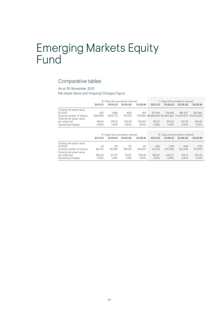# Emerging Markets Equity Fund

### Comparative tables

#### As at 30 November 2021

|                          | 'A' Class (Accumulation shares) |          |                                                      |            | 'l' Class (Accumulation shares) |                                 |                   |                                                       |
|--------------------------|---------------------------------|----------|------------------------------------------------------|------------|---------------------------------|---------------------------------|-------------------|-------------------------------------------------------|
|                          | 30.11.21                        | 31.05.21 | 31.05.20                                             | 31.05.19   | 30.11.21                        | 31.05.21                        | 31.05.20          | 31.05.19                                              |
| Closing net asset value  |                                 |          |                                                      |            |                                 |                                 |                   |                                                       |
| (E'000)                  | 831                             | 1.089    | 693                                                  | 814        | 157.416                         | 174.848                         | 168.427           | 167.946                                               |
| Closing number of shares | 494.565                         | 605,773  | 517.123                                              |            |                                 |                                 |                   | 579.165 86.863.624 90.583.462 117.954.672 113.125.626 |
| Closing net asset value  |                                 |          |                                                      |            |                                 |                                 |                   |                                                       |
| per share (p)            | 168.01                          | 179.72   | 134.08                                               | 140.60     | 181.22                          | 193.02                          | 142.79            | 148.46                                                |
| Operating charges        | 1.93%                           | 1.91%    | 1.90%                                                | 1.90%      | 1.08%                           | 1.06%                           | 1.05%             | 1.05%                                                 |
|                          |                                 |          |                                                      |            |                                 |                                 |                   |                                                       |
|                          | 30 11 21                        |          | 'R' Class (Accumulation shares)<br>31 05 21 31 05 20 | $31$ 05 19 | 30 11 21                        | 'S' Class (Accumulation shares) | 31 05 21 31 05 20 | 31 05 19                                              |

|                          | 30.11.21 | 31.05.21 | 31.05.20 | 31.05.19 | 30.11.21 | 31.05.21 | 31.05.20 | 31.05.19 |
|--------------------------|----------|----------|----------|----------|----------|----------|----------|----------|
| Closing net asset value  |          |          |          |          |          |          |          |          |
| (E'000)                  | 81       | 83       | 52       | 49       | 458      | 536      | 949      | 532      |
| Closing number of shares | 48.733   | 46.765   | 39.422   | 36.002   | 233.151  | 257.294  | 621.254  | 337.831  |
| Closing net asset value  |          |          |          |          |          |          |          |          |
| per share (p)            | 166.23   | 177.37   | 131.67   | 136.38   | 196.42   | 208.27   | 152.71   | 157.35   |
| Operating charges        | 1.43%    | .41%     | 1.41%    | .40%     | 0.18%    | 0.16%    | 0.15%    | 0.15%    |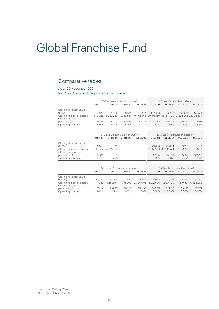# Global Franchise Fund

### Comparative tables

#### As at 30 November 2021

|                          | 'A' Class (Accumulation shares) |           |           |          | 'l' Class (Accumulation shares) |          |          |                                                       |
|--------------------------|---------------------------------|-----------|-----------|----------|---------------------------------|----------|----------|-------------------------------------------------------|
|                          | 30.11.21                        | 31.05.21  | 31.05.20  | 31.05.19 | 30.11.21                        | 31.05.21 | 31.05.20 | 31.05.19                                              |
| Closing net asset value  |                                 |           |           |          |                                 |          |          |                                                       |
| (E'000)                  | 19.567                          | 18.498    | 18.675    | 21.597   | 102.428                         | 98.202   | 60.878   | 63.725                                                |
| Closing number of shares | 6.119.268                       | 6.389.233 | 7.120.834 |          |                                 |          |          | 9.442.444 29.876.139 31.754.409 21.894.865 26.478.404 |
| Closing net asset value  |                                 |           |           |          |                                 |          |          |                                                       |
| per share (p)            | 319.76                          | 289.52    | 262.26    | 228.72   | 342.84                          | 309.26   | 278.05   | 240.67                                                |
| Operating charges        | 1.58%                           | 1.59%     | 1.58%     | 1.58%    | 0.83%                           | 0.84%    | 0.83%    | 0.83%                                                 |
|                          |                                 |           |           |          |                                 |          |          |                                                       |

| 'J' Class (Accumulation shares) <sup>(1)</sup> |           |                          |                          | K' Class (Accumulation shares) <sup>(2)</sup> |          |                                    |          |
|------------------------------------------------|-----------|--------------------------|--------------------------|-----------------------------------------------|----------|------------------------------------|----------|
| 30.11.21                                       | 31.05.21  | 31.05.20                 | 31.05.19                 | 30.11.21                                      | 31.05.21 | 31.05.20                           | 31.05.19 |
|                                                |           |                          |                          |                                               |          |                                    |          |
|                                                |           | $\overline{\phantom{a}}$ | $\overline{\phantom{a}}$ |                                               |          |                                    |          |
|                                                | 4.960.703 | $\sim$                   |                          |                                               |          | 15.586.715                         | 1.000    |
| 123.19                                         | 111.07    | $\overline{\phantom{a}}$ | $\sim$                   | 151.85                                        | 136.80   | 122.69                             | 105.92   |
| 0.73%                                          | 0.74%     | $\sim$                   | $\overline{\phantom{a}}$ | 0.58%                                         | 0.59%    | 0.58%                              | 0.40%    |
|                                                | 6.897     | 5.510<br>5.598.084       |                          |                                               | 29.384   | 22.634<br>$-19.351.099$ 16.545.414 | 19.123   |

|                          | 'R' Class (Accumulation shares) |           |           |           | 'S' Class (Accumulation shares) |           |           |           |
|--------------------------|---------------------------------|-----------|-----------|-----------|---------------------------------|-----------|-----------|-----------|
|                          | 30.11.21                        | 31.05.21  | 31.05.20  | 31.05.19  | 30.11.21                        | 31.05.21  | 31.05.20  | 31.05.19  |
| Closing net asset value  |                                 |           |           |           |                                 |           |           |           |
| (E'000)                  | 14.663                          | 13.068    | 11.823    | 5.593     | 4.668                           | 4.287     | 5.354     | 16.086    |
| Closing number of shares | 4.417.739                       | 4.359.461 | 4.375.790 | 2.385.646 | 1.272.525                       | 1.300.409 | 1.819.821 | 6.365.269 |
| Closing net asset value  |                                 |           |           |           |                                 |           |           |           |
| per share (p)            | 331.91                          | 299.77    | 270.20    | 234.46    | 366.83                          | 329.65    | 294.18    | 252.72    |
| Operating charges        | 1.08%                           | 1.09%     | 1.08%     | 1.08%     | 0.08%                           | 0.09%     | 0.08%     | 0.08%     |

 $(1)$  Launched 29 May 2020.

<sup>(2)</sup> Launched 4 March 2019.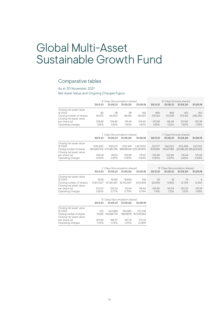## Global Multi-Asset Sustainable Growth Fund

### Comparative tables

#### As at 30 November 2021

|                                                     | 'A' Class (Accumulation shares) |          |          |          | 'A' Class (Income shares) |          |          |          |
|-----------------------------------------------------|---------------------------------|----------|----------|----------|---------------------------|----------|----------|----------|
|                                                     | 30.11.21                        | 31.05.21 | 31.05.20 | 31.05.19 | 30.11.21                  | 31.05.21 | 31.05.20 | 31.05.19 |
| Closing net asset value                             |                                 |          |          |          |                           |          |          |          |
| (E'000)                                             | 85                              | 118      | 118      | 146      | 466                       | 466      | 401      | 401      |
| Closing number of shares<br>Closing net asset value | 61.075                          | 84.853   | 99.156   | 116.697  | 315.124                   | 313.518  | 313.412  | 296,382  |
| per share (p)                                       | 138.89                          | 139.45   | 119.48   | 124.90   | 147.96                    | 148.48   | 127.90   | 135.28   |
| Operating charges                                   | .65%                            | 1.62%    | 1.60%    | 1.60%    | 1.65%                     | 1.62%    | 1.60%    | 1.59%    |

|                                                                                           | 30.11.21                           | 'l' Class (Accumulation shares)<br>31.05.21 | 31.05.20        | 31.05.19                               | 30.11.21             | 31.05.21               | 'l' Class (Income shares)<br>31.05.20 | 31.05.19        |
|-------------------------------------------------------------------------------------------|------------------------------------|---------------------------------------------|-----------------|----------------------------------------|----------------------|------------------------|---------------------------------------|-----------------|
| Closing net asset value<br>(£'000)<br>Closing number of shares<br>Closing net asset value | 506.953<br>340.063.532 573.280.758 | 855.071                                     | 1.102.491       | 1.457.620<br>868.881.541 1.105.387.845 | 20,077<br>15.111.936 | 194.002<br>145,971,189 | 253.468<br>221.488.212358.204.629     | 433.742         |
| per share (p)<br>Operating charges                                                        | 149.08<br>0.90%                    | 149.15<br>0.87%                             | 126.89<br>0.85% | 131.87<br>0.84%                        | 132.86<br>0.90%      | 132.90<br>0.87%        | 114.44<br>0.85%                       | 121.09<br>0.84% |

|                          | 'J' Class (Accumulation shares) |            |            |          | 'R' Class (Accumulation shares) |          |          |          |
|--------------------------|---------------------------------|------------|------------|----------|---------------------------------|----------|----------|----------|
|                          | 30.11.21                        | 31.05.21   | 31.05.20   | 31.05.19 | 30.11.21                        | 31.05.21 | 31.05.20 | 31.05.19 |
| Closing net asset value  |                                 |            |            |          |                                 |          |          |          |
| (E'000)                  | 18.118                          | 18.193     | 18.859     | 591      | 38                              | 16       | 15       | 8        |
| Closing number of shares | 13.671.027                      | 13.726.567 | 16.742.807 | 504.948  | 26.849                          | 11.693   | 12.754   | 6.250    |
| Closing net asset value  |                                 |            |            |          |                                 |          |          |          |
| per share (p)            | 132.53                          | 132.54     | 112.64     | 116.94   | 140.85                          | 141.04   | 120.22   | 125.19   |
| Operating charges        | 0.80%                           | 0.77%      | 0.75%      | 0.74%    | 1.14%                           | 1.12%    | 1.10%    | 1.08%    |
|                          |                                 |            |            |          |                                 |          |          |          |

|                                                                                           |                 | 'S' Class (Accumulation shares) |                 |                                    |
|-------------------------------------------------------------------------------------------|-----------------|---------------------------------|-----------------|------------------------------------|
|                                                                                           | 30.11.21        | 31.05.21                        | 31.05.20        | 31.05.19                           |
| Closing net asset value<br>(£'000)<br>Closing number of shares<br>Closing net asset value | 105             | 427.898<br>52.192 215.596.774   | 313.080         | 272.516<br>186.587.111 157.235.944 |
| per share (p)<br>Operating charges                                                        | 201.85<br>0.15% | 198.47<br>0.12%                 | 167.79<br>0.10% | 173.32<br>0.09%                    |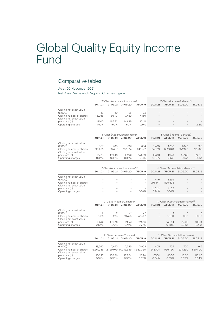# Global Quality Equity Income Fund

### Comparative tables

#### As at 30 November 2021

|                          | 'A' Class (Accumulation shares) |          |          |          | A' Class (Income-2 shares) <sup>(1)</sup> |                          |                          |          |
|--------------------------|---------------------------------|----------|----------|----------|-------------------------------------------|--------------------------|--------------------------|----------|
|                          | 30.11.21                        | 31.05.21 | 31.05.20 | 31.05.19 | 30.11.21                                  | 31.05.21                 | 31.05.20                 | 31.05.19 |
| Closing net asset value  |                                 |          |          |          |                                           |                          |                          |          |
| (E'000)                  | 83                              | 59       | 26       | 23       | -                                         | $\sim$                   |                          |          |
| Closing number of shares | 45.956                          | 36.113   | 17.469   | 17.469   |                                           |                          |                          |          |
| Closing net asset value  |                                 |          |          |          |                                           |                          |                          |          |
| per share (p)            | 180.15                          | 163.22   | 148.29   | 131.41   |                                           | $\sim$                   | $\overline{\phantom{a}}$ |          |
| Operating charges        | 1.59%                           | 1.60%    | 1.60%    | 1.59%    | $\overline{\phantom{a}}$                  | $\overline{\phantom{a}}$ | $\qquad \qquad -$        | 1.62%    |
|                          |                                 |          |          |          |                                           |                          |                          |          |

|                          | 'l' Class (Accumulation shares) |          |          |          |          |          | 'l' Class (Income-2 shares) |          |
|--------------------------|---------------------------------|----------|----------|----------|----------|----------|-----------------------------|----------|
|                          | 30.11.21                        | 31.05.21 | 31.05.20 | 31.05.19 | 30.11.21 | 31.05.21 | 31.05.20                    | 31.05.19 |
| Closing net asset value  |                                 |          |          |          |          |          |                             |          |
| (E'000)                  | 1.307                           | 960      | 601      | 334      | 1.400    | 1.337    | 1.340                       | 885      |
| Closing number of shares | 696.268                         | 566.467  | 393.014  | 248.312  | 849.119  | 892,840  | 972.120                     | 713.268  |
| Closing net asset value  |                                 |          |          |          |          |          |                             |          |
| per share (p)            | 187.73                          | 169.46   | 152.81   | 134.39   | 164.91   | 149.73   | 137.88                      | 124.05   |
| Operating charges        | 0.84%                           | 0.85%    | 0.85%    | 0.84%    | 0.84%    | 0.85%    | 0.85%                       | 0.83%    |

|                                                     | J' Class (Accumulation shares) <sup>(1)</sup> |                          |                          |                  | J' Class (Accumulation shares) <sup>(2)</sup> |           |          |          |
|-----------------------------------------------------|-----------------------------------------------|--------------------------|--------------------------|------------------|-----------------------------------------------|-----------|----------|----------|
|                                                     | 30.11.21                                      | 31.05.21                 | 31.05.20                 | 31.05.19         | 30.11.21                                      | 31.05.21  | 31.05.20 | 31.05.19 |
| Closing net asset value                             |                                               |                          |                          |                  |                                               |           |          |          |
| (E'000)                                             | $\sim$                                        | $\sim$                   |                          | $\sim$           | 1.446                                         | 1.269     |          |          |
| Closing number of shares<br>Closing net asset value | $\sim$                                        | $\overline{\phantom{a}}$ |                          | $\hspace{0.5cm}$ | 1.171.847                                     | 1.139.523 |          |          |
| per share (p)                                       | $\sim$                                        | $\sim$                   |                          | $\sim$           | 123.42                                        | 111.35    | $\sim$   |          |
| Operating charges                                   | $\sim$                                        | $\overline{\phantom{a}}$ | $\overline{\phantom{a}}$ | 0.78%            | 0.74%                                         | 0.76%     |          |          |

|                                                     | 'J' Class (Income-2 shares) |          |          |          | 'K' Class (Accumulation shares) <sup>(3)</sup> |          |          |          |
|-----------------------------------------------------|-----------------------------|----------|----------|----------|------------------------------------------------|----------|----------|----------|
|                                                     | 30.11.21                    | 31.05.21 | 31.05.20 | 31.05.19 | 30.11.21                                       | 31.05.21 | 31.05.20 | 31.05.19 |
| Closing net asset value                             |                             |          |          |          |                                                |          |          |          |
| (£'000)                                             |                             |          | 27       | 42       | $\qquad \qquad -$                              |          |          |          |
| Closing number of shares<br>Closing net asset value | 1.128                       | 1.115    | 19.376   | 33.782   | $\qquad \qquad -$                              | 1.000    | 1.000    | 1.000    |
| per share (p)                                       | 165.81                      | 150.38   | 138.31   | 124.36   | $\overline{\phantom{0}}$                       | 136.84   | 123.08   | 106.14   |
| Operating charges                                   | 0.63%                       | 0.77%    | 0.75%    | 0.77%    | $\overline{\phantom{a}}$                       | 0.60%    | 0.08%    | 0.41%    |

|                          | 'K' Class (Income-2 shares) |          |                                             |          | 'L' Class (Accumulation shares) |          |          |          |
|--------------------------|-----------------------------|----------|---------------------------------------------|----------|---------------------------------|----------|----------|----------|
|                          | 30.11.21                    | 31.05.21 | 31.05.20                                    | 31.05.19 | 30.11.21                        | 31.05.21 | 31.05.20 | 31.05.19 |
| Closing net asset value  |                             |          |                                             |          |                                 |          |          |          |
| (E'000)                  | 18.965                      | 17.463   | 17.949                                      | 13.054   | 855                             | 795      | 730      | 919      |
| Closing number of shares |                             |          | 12.562.186 12.759.979 14.285.635 11.583.360 |          | 548.724                         | 566.750  | 578.250  | 830,800  |
| Closing net asset value  |                             |          |                                             |          |                                 |          |          |          |
| per share (p)            | 150.97                      | 136.86   | 125.64                                      | 112.70   | 155.74                          | 140.37   | 126.20   | 110.66   |
| Operating charges        | 0.54%                       | 0.55%    | 0.55%                                       | 0.52%    | 0.54%                           | 0.55%    | 0.55%    | 0.54%    |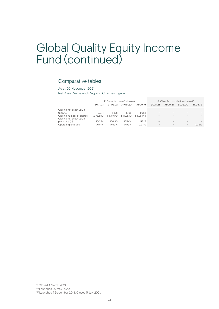# Global Quality Equity Income Fund (continued)

### Comparative tables

#### As at 30 November 2021

|                                                     | 'L' Class (Income-2 shares) |           |           |           | S' Class (Accumulation shares) <sup>(1)</sup> |                          |                          |          |
|-----------------------------------------------------|-----------------------------|-----------|-----------|-----------|-----------------------------------------------|--------------------------|--------------------------|----------|
|                                                     | 30.11.21                    | 31.05.21  | 31.05.20  | 31.05.19  | 30.11.21                                      | 31.05.21                 | 31.05.20                 | 31.05.19 |
| Closing net asset value                             |                             |           |           |           |                                               |                          |                          |          |
| (E'000)                                             | 2.071                       | 1.878     | 1.766     | 1.652     | $\sim$                                        | $\sim$                   | $\overline{\phantom{a}}$ |          |
| Closing number of shares<br>Closing net asset value | 1.378.680                   | 1.378.679 | 1.412.330 | 1.472.343 |                                               | $\sim$                   | $\overline{\phantom{a}}$ |          |
| per share (p)                                       | 150.24                      | 136.20    | 125.04    | 112.17    | $\sim$                                        | $\sim$                   | $\sim$                   |          |
| Operating charges                                   | 0.54%                       | 0.55%     | 0.55%     | 0.57%     | $\sim$                                        | $\overline{\phantom{a}}$ | $\qquad \qquad -$        | 0.13%    |

<sup>(1)</sup> Closed 4 March 2019. (2) Launched 29 May 2020.

<sup>(3)</sup> Launched 7 December 2018. Closed 5 July 2021.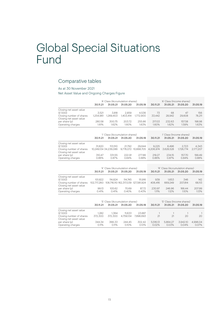## Global Special Situations Fund

## Comparative tables

#### As at 30 November 2021

Operating charges

Net Asset Value and Ongoing Charges Figure

|                                                     |           | 'A' Class (Accumulation shares) |           |           | 'A' Class (Income shares) |          |          |          |
|-----------------------------------------------------|-----------|---------------------------------|-----------|-----------|---------------------------|----------|----------|----------|
|                                                     | 30.11.21  | 31.05.21                        | 31.05.20  | 31.05.19  | 30.11.21                  | 31.05.21 | 31.05.20 | 31.05.19 |
| Closing net asset value                             |           |                                 |           |           |                           |          |          |          |
| (E'000)                                             | 3.521     | 3.818                           | 2.859     | 4.536     | 73                        | 68       | 47       | 156      |
| Closing number of shares<br>Closing net asset value | 1.254.961 | 1.269.403                       | 1.403.414 | 1.772.900 | 33.442                    | 28.942   | 29.608   | 78.211   |
| per share (p)                                       | 280.58    | 300.75                          | 203.72    | 255.86    | 217.03                    | 232.63   | 157.58   | 198.98   |
| Operating charges                                   | .61%      | 1.62%                           | 1.60%     | 1.63%     | 1.60%                     | 1.62%    | 1.59%    | 1.63%    |

|                          |                       |          | 'l' Class (Accumulation shares) |                      | l' Class (Income shares) |           |           |           |
|--------------------------|-----------------------|----------|---------------------------------|----------------------|--------------------------|-----------|-----------|-----------|
|                          | 30.11.21              | 31.05.21 | 31.05.20                        | 31.05.19             | 30.11.21                 | 31.05.21  | 31.05.20  | 31.05.19  |
| Closing net asset value  |                       |          |                                 |                      |                          |           |           |           |
| (E'000)                  | 31.820                | 113.510  | 21.792                          | 29.644               | 9.225                    | 8.496     | 2.723     | 4.343     |
| Closing number of shares | 10.249.134 34.236.086 |          |                                 | 9.776.072 10.668.705 | 4.206.974                | 3.628.528 | 1.726.774 | 2.177.207 |
| Closing net asset value  |                       |          |                                 |                      |                          |           |           |           |
| per share (p)            | 310.47                | 331.55   | 222.91                          | 277.86               | 219.27                   | 234.15    | 157.70    | 199.49    |
| Operating charges        | 0.86%                 | 0.87%    | 0.84%                           | 0.88%                | 0.86%                    | 0.87%     | 0.84%     | 0.88%     |

|                          |             | 'K' Class (Accumulation shares) |           |             |          |          | 'R' Class (Accumulation shares) |          |
|--------------------------|-------------|---------------------------------|-----------|-------------|----------|----------|---------------------------------|----------|
|                          | 30.11.21    | 31.05.21                        | 31.05.20  | 31.05.19    | 30.11.21 | 31.05.21 | 31.05.20                        | 31.05.19 |
| Closing net asset value  |             |                                 |           |             |          |          |                                 |          |
| (£'000)                  | 101.822     | 114.824                         | 114.745   | 111.916     | 939      | 1.653    | 346                             | 142      |
| Closing number of shares | 102.717.260 | 108.716.110 162.317.039         |           | 127.581.924 | 406,416  | 669.249  | 207.814                         | 68,113   |
| Closing net asset value  |             |                                 |           |             |          |          |                                 |          |
| per share (p)            | 99.13       | 105.62                          | 70.69     | 87.72       | 230.97   | 246.96   | 166.44                          | 207.99   |
| Operating charges        | 0.41%       | 0.41%                           | 0.40%     | 0.43%       | 1.11%    | 1.12%    | 1.10%                           | 1.13%    |
|                          |             |                                 |           |             |          |          |                                 |          |
|                          |             |                                 |           |             |          |          |                                 |          |
|                          |             | 'S' Class (Accumulation shares) |           |             |          |          | 'S' Class (Income shares)       |          |
|                          | 30.11.21    | 31.05.21                        | 31.05.20  | 31.05.19    | 30.11.21 | 31.05.21 | 31.05.20                        | 31.05.19 |
| Closing net asset value  |             |                                 |           |             |          |          |                                 |          |
| (E'000)                  | 1.282       | 1.364                           | 11.633    | 23.887      |          |          |                                 |          |
| Closing number of shares | 372.300     | 372.300                         | 4.759.134 | 7.898.693   | 21       | 21       | 20                              | 20       |
| Closing net asset value  |             |                                 |           |             |          |          |                                 |          |
| per share (p)            | 344.34      | 366.33                          | 244.45    | 302.42      | 5,516.13 | 5.864.27 | 3.942.10                        | 4,996.04 |
| Operating charges        | 0.11%       | 0.11%                           | 0.10%     | 0.13%       | 0.02%    | 0.03%    | 0.04%                           | 0.07%    |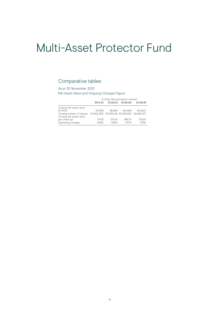## Multi-Asset Protector Fund

## Comparative tables

As at 30 November 2021 Net Asset Value and Ongoing Charges Figure

|                          | 'A' Class (Accumulation shares)             |          |                 |          |  |  |  |
|--------------------------|---------------------------------------------|----------|-----------------|----------|--|--|--|
|                          | 30.11.21                                    | 31.05.21 | 31.05.20        | 31.05.19 |  |  |  |
| Closing net asset value  |                                             |          |                 |          |  |  |  |
| (E'000)                  | 107.819                                     |          | 118.984 135.499 | 163.022  |  |  |  |
| Closing number of shares | 61.902.355 67.976.219 81.346.826 92.681.527 |          |                 |          |  |  |  |
| Closing net asset value  |                                             |          |                 |          |  |  |  |
| per share (p)            | 174.18                                      | 175.04   | 166.57          | 175.90   |  |  |  |
| Operating charges        | 1.68%                                       | 1.69%    | 1.67%           | 1.76%    |  |  |  |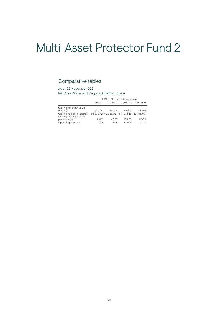## Multi-Asset Protector Fund 2

## Comparative tables

As at 30 November 2021 Net Asset Value and Ongoing Charges Figure

|                          | 'l' Class (Accumulation shares) |                                             |          |          |  |  |  |
|--------------------------|---------------------------------|---------------------------------------------|----------|----------|--|--|--|
|                          | 30.11.21                        | 31.05.21                                    | 31.05.20 | 31.05.19 |  |  |  |
| Closing net asset value  |                                 |                                             |          |          |  |  |  |
| (E'000)                  | 83.230                          | 88.708                                      | 89.027   | 91.485   |  |  |  |
| Closing number of shares |                                 | 55.969.421 59.668.084 63.807.846 62.755.401 |          |          |  |  |  |
| Closing net asset value  |                                 |                                             |          |          |  |  |  |
| per share (p)            | 148.71                          | 148.67                                      | 139.52   | 145.78   |  |  |  |
| Operating charges        | 0.90%                           | 0.91%                                       | 0.88%    | 0.97%    |  |  |  |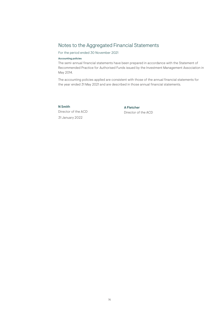## Notes to the Aggregated Financial Statements

For the period ended 30 November 2021

Accounting policies The semi-annual financial statements have been prepared in accordance with the Statement of Recommended Practice for Authorised Funds issued by the Investment Management Association in May 2014.

The accounting policies applied are consistent with those of the annual financial statements for the year ended 31 May 2021 and are described in those annual financial statements.

#### N Smith

Director of the ACD 31 January 2022

#### A Fletcher Director of the ACD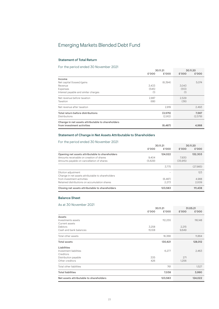## Emerging Markets Blended Debt Fund

#### Statement of Total Return

#### For the period ended 30 November 2021

|                                                   |       | 30.11.21 |       | 30.11.20 |
|---------------------------------------------------|-------|----------|-------|----------|
|                                                   | £'000 | £'000    | £'000 | £'000    |
| Income                                            |       |          |       |          |
| Net capital (losses)/gains                        |       | (6.394)  |       | 5,074    |
| Revenue                                           | 3.433 |          | 3.043 |          |
| Expenses                                          | (545) |          | (513) |          |
| Interest payable and similar charges              | (1)   |          | (1)   |          |
| Net revenue before taxation                       | 2.887 |          | 2,529 |          |
| Taxation                                          | (68)  |          | (36)  |          |
| Net revenue after taxation                        |       | 2,819    |       | 2,493    |
| Total return before distributions                 |       | (3, 575) |       | 7,567    |
| Distributions                                     |       | (2,912)  |       | (2,579)  |
| Change in net assets attributable to shareholders |       |          |       |          |
| from investment activities                        |       | (6, 487) |       | 4,988    |

#### Statement of Change in Net Assets Attributable to Shareholders

#### For the period ended 30 November 2021

| TOT the period chucu ou november 2021             |         | 30.11.21 |          | 30.11.20 |
|---------------------------------------------------|---------|----------|----------|----------|
|                                                   | £'000   | £'000    | £'000    | £'000    |
| Opening net assets attributable to shareholders   |         | 124.022  |          | 132,303  |
| Amounts receivable on creation of shares          | 9.404   |          | 7.930    |          |
| Amounts payable on cancellation of shares         | (5.629) |          | (35.915) |          |
|                                                   |         | 3.775    |          | (27.985) |
| Dilution adjustment                               |         |          |          | 123      |
| Change in net assets attributable to shareholders |         |          |          |          |
| from investment activities                        |         | (6.487)  |          | 4.988    |
| Retained distributions on accumulation shares     |         | 2.273    |          | 2.009    |
| Closing net assets attributable to shareholders   |         | 123.583  |          | 111.438  |

#### Balance Sheet

| $\alpha$ . $\alpha$ . $\alpha$ . $\alpha$ . $\alpha$ . $\alpha$ . $\alpha$ . $\alpha$ . $\alpha$ . $\alpha$ . $\alpha$ . $\alpha$ . $\alpha$ . $\alpha$ . $\alpha$ . $\alpha$ . $\alpha$ . $\alpha$ . $\alpha$ . $\alpha$ . $\alpha$ . $\alpha$ . $\alpha$ . $\alpha$ . $\alpha$ . $\alpha$ . $\alpha$ . $\alpha$ . $\alpha$ . $\alpha$ . $\alpha$ . $\alpha$ |        | 30.11.21 |       | 31.05.21 |
|---------------------------------------------------------------------------------------------------------------------------------------------------------------------------------------------------------------------------------------------------------------------------------------------------------------------------------------------------------------|--------|----------|-------|----------|
|                                                                                                                                                                                                                                                                                                                                                               | £'000  | £'000    | £'000 | £'000    |
| Assets                                                                                                                                                                                                                                                                                                                                                        |        |          |       |          |
| Investments assets                                                                                                                                                                                                                                                                                                                                            |        | 112,255  |       | 116,148  |
| Current assets                                                                                                                                                                                                                                                                                                                                                |        |          |       |          |
| Debtors                                                                                                                                                                                                                                                                                                                                                       | 3,258  |          | 2,215 |          |
| Cash and bank balances                                                                                                                                                                                                                                                                                                                                        | 15,108 |          | 9,649 |          |
| Total other assets                                                                                                                                                                                                                                                                                                                                            |        | 18,366   |       | 11,864   |
| <b>Total assets</b>                                                                                                                                                                                                                                                                                                                                           |        | 130,621  |       | 128,012  |
| Liabilities                                                                                                                                                                                                                                                                                                                                                   |        |          |       |          |
| Investment liabilities                                                                                                                                                                                                                                                                                                                                        |        | 6,277    |       | 2,463    |
| Creditors                                                                                                                                                                                                                                                                                                                                                     |        |          |       |          |
| Distribution payable                                                                                                                                                                                                                                                                                                                                          | 335    |          | 271   |          |
| Other creditors                                                                                                                                                                                                                                                                                                                                               | 426    |          | 1,256 |          |
| Total other liabilities                                                                                                                                                                                                                                                                                                                                       |        | 761      |       | 1,527    |
| <b>Total liabilities</b>                                                                                                                                                                                                                                                                                                                                      |        | 7,038    |       | 3,990    |
| Net assets attributable to shareholders                                                                                                                                                                                                                                                                                                                       |        | 123,583  |       | 124,022  |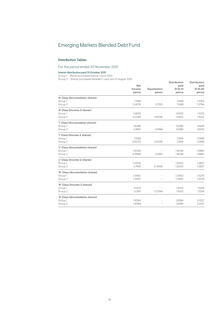## Emerging Markets Blended Debt Fund

#### Distribution Tables

#### For the period ended 30 November 2021

#### Interim distribution paid 31 October 2021

Group 1 – Shares purchased before 1 June 2021

Group 2 – Shares purchased between 1 June and 31 August 2021

|                                 |            |              | Distribution | Distribution |
|---------------------------------|------------|--------------|--------------|--------------|
|                                 | <b>Net</b> |              | paid         | paid         |
|                                 | Income     | Equalisation | 31.10.21     | 31.10.20     |
|                                 | pence      | pence        | pence        | pence        |
| 'A' Class (Accumulation shares) |            |              |              |              |
| Group 1                         | 1.1588     |              | 1.1588       | 1.3764       |
| Group <sub>2</sub>              | 0.4078     | 0.7510       | 1.1588       | 1.3764       |
| 'A' Class (Income-2 shares)     |            |              |              |              |
| Group 1                         | 1.0625     |              | 1.0625       | 1.1023       |
| Group 2                         | 0.2289     | 0.8336       | 1.0625       | 1.1023       |
| 'l' Class (Accumulation shares) |            |              |              |              |
| Group 1                         | 1.6396     |              | 1.6396       | 1.6245       |
| Group 2                         | 0.8197     | 0.8199       | 1.6396       | 1.6245       |
| 'l' Class (Income-2 shares)     |            |              |              |              |
| Group 1                         | 1.1369     |              | 1.1369       | 1.2496       |
| Group 2                         | 0.6033     | 0.5336       | 1.1369       | 1.2496       |
| 'J' Class (Accumulation shares) |            |              |              |              |
| Group 1                         | 1.6049     |              | 1.6049       | 1.5880       |
| Group <sub>2</sub>              | 0.3689     | 1.2360       | 1.6049       | 1.5880       |
| 'J' Class (Income-2 shares)     |            |              |              |              |
| Group 1                         | 1.2500     |              | 1.2500       | 1.2827       |
| Group 2                         | 0.7931     | 0.4569       | 1.2500       | 1.2827       |
| 'R' Class (Accumulation shares) |            |              |              |              |
| Group 1                         | 1.3450     |              | 1.3450       | 1.3279       |
| Group 2                         | 1.3450     |              | 1.3450       | 1.3279       |
| 'R' Class (Income-2 shares)     |            |              |              |              |
| Group 1                         | 1.1005     |              | 1.1005       | 1.1559       |
| Group <sub>2</sub>              | 0.3911     | 0.7094       | 1.1005       | 1.1559       |
| 'S' Class (Accumulation shares) |            |              |              |              |
| Group 1                         | 1.9394     |              | 1.9394       | 2.1327       |
| Group 2                         | 1.9394     |              | 1.9394       | 2.1327       |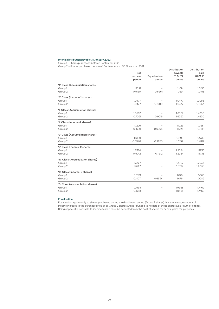#### Interim distribution payable 31 January 2022

Group 1 – Shares purchased before 1 September 2021

Group 2 – Shares purchased between 1 September and 30 November 2021

|                                 | Net<br>Income | Equalisation | <b>Distribution</b><br>payable<br>31.01.22 | Distribution<br>paid<br>31.01.21 |
|---------------------------------|---------------|--------------|--------------------------------------------|----------------------------------|
|                                 | pence         | pence        | pence                                      | pence                            |
| 'A' Class (Accumulation shares) |               |              |                                            |                                  |
| Group 1                         | 1.1691        |              | 1.1691                                     | 1.0158                           |
| Group 2                         | 0.5130        | 0.6561       | 1.1691                                     | 1.0158                           |
| 'A' Class (Income-2 shares)     |               |              |                                            |                                  |
| Group 1                         | 1.0477        |              | 1.0477                                     | 1.0053                           |
| Group 2                         | 0.0477        | 1.0000       | 1.0477                                     | 1.0053                           |
| 'l' Class (Accumulation shares) |               |              |                                            |                                  |
| Group 1                         | 1.6567        |              | 1.6567                                     | 1.4650                           |
| Group 2                         | 0.7051        | 0.9516       | 1.6567                                     | 1.4650                           |
| 'l' Class (Income-2 shares)     |               |              |                                            |                                  |
| Group 1                         | 1.1226        |              | 1.1226                                     | 1.0681                           |
| Group 2                         | 0.4231        | 0.6995       | 1.1226                                     | 1.0681                           |
| 'J' Class (Accumulation shares) |               |              |                                            |                                  |
| Group 1                         | 1.6199        |              | 1.6199                                     | 1.4319                           |
| Group 2                         | 0.6346        | 0.9853       | 1.6199                                     | 1.4319                           |
| 'J' Class (Income-2 shares)     |               |              |                                            |                                  |
| Group 1                         | 1.2324        |              | 1.2324                                     | 1.1738                           |
| Group 2                         | 0.5012        | 0.7312       | 1.2324                                     | 1.1738                           |
| 'R' Class (Accumulation shares) |               |              |                                            |                                  |
| Group 1                         | 1.3727        |              | 1.3727                                     | 1.2036                           |
| Group 2                         | 1.3727        |              | 1.3727                                     | 1.2036                           |
| 'R' Class (Income-2 shares)     |               |              |                                            |                                  |
| Group 1                         | 1.0761        |              | 1.0761                                     | 1.0386                           |
| Group 2                         | 0.4127        | 0.6634       | 1.0761                                     | 1.0386                           |
| 'S' Class (Accumulation shares) |               |              |                                            |                                  |
| Group 1                         | 1.9568        |              | 1.9568                                     | 1.7462                           |
| Group 2                         | 1.9568        |              | 1.9568                                     | 1.7462                           |
|                                 |               |              |                                            |                                  |

#### Equalisation

Equalisation applies only to shares purchased during the distribution period (Group 2 shares). It is the average amount of income included in the purchase price of all Group 2 shares and is refunded to holders of these shares as a return of capital. Being capital, it is not liable to income tax but must be deducted from the cost of shares for capital gains tax purposes.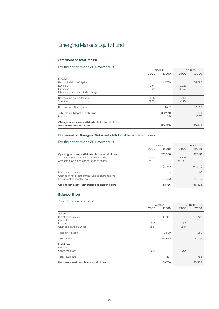## Emerging Markets Equity Fund

#### Statement of Total Return

#### For the period ended 30 November 2021

|                                                   |       | 30.11.21  |       | 30.11.20 |
|---------------------------------------------------|-------|-----------|-------|----------|
|                                                   | £'000 | £'000     | £'000 | £'000    |
| Income                                            |       |           |       |          |
| Net capital (losses)/gains                        |       | (11.751)  |       | 34,696   |
| Revenue                                           | 2,611 |           | 2,529 |          |
| Expenses                                          | (864) |           | (963) |          |
| Interest payable and similar charges              |       |           |       |          |
| Net revenue before taxation                       | 1.747 |           | 1,566 |          |
| Taxation                                          | (255) |           | (243) |          |
| Net revenue after taxation                        |       | 1.492     |       | 1.323    |
| Total return before distribution                  |       | (10, 259) |       | 36,019   |
| Distribution                                      |       | (14)      |       | (370)    |
| Change in net assets attributable to shareholders |       |           |       |          |
| from investment activities                        |       | (10, 273) |       | 35,649   |

#### Statement of Change in Net Assets Attributable to Shareholders

#### For the period ended 30 November 2021

| TOT the period chucu ou november 2021                                                                                                    |                   | 30.11.21 |                   | 30.11.20 |  |
|------------------------------------------------------------------------------------------------------------------------------------------|-------------------|----------|-------------------|----------|--|
|                                                                                                                                          | £'000             | £'000    | £'000             | £'000    |  |
| Opening net assets attributable to shareholders<br>Amounts receivable on creation of shares<br>Amounts payable on cancellation of shares | 4.522<br>(12.019) | 176,556  | 8.884<br>(58.054) | 170.121  |  |
|                                                                                                                                          |                   | (7.497)  |                   | (49,170) |  |
| Dilution adjustment<br>Change in net assets attributable to shareholders                                                                 |                   |          |                   | 98       |  |
| from investment activities                                                                                                               |                   | (10.273) |                   | 35.649   |  |
| Closing net assets attributable to shareholders                                                                                          |                   | 158,786  |                   | 156,698  |  |

#### Balance Sheet

|                                         | 30.11.21 |         | 31.05.21 |         |
|-----------------------------------------|----------|---------|----------|---------|
|                                         | £'000    | £'000   | £'000    | £'000   |
| Assets                                  |          |         |          |         |
| Investments assets                      |          | 157,154 |          | 175,392 |
| Current assets                          |          |         |          |         |
| Debtors                                 | 682      |         | 415      |         |
| Cash and bank balances                  | 1,827    |         | 1,544    |         |
| Total other assets                      |          | 2,509   |          | 1,959   |
| <b>Total assets</b>                     |          | 159,663 |          | 177,351 |
| Liabilities                             |          |         |          |         |
| Creditors                               |          |         |          |         |
| Other creditors                         | 877      |         | 795      |         |
| <b>Total liabilities</b>                |          | 877     |          | 795     |
| Net assets attributable to shareholders |          | 158,786 |          | 176,556 |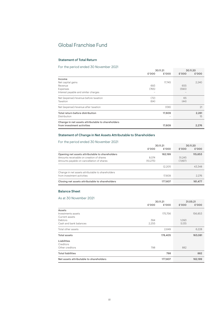## Global Franchise Fund

#### Statement of Total Return

#### For the period ended 30 November 2021

|                                                   |       | 30.11.21 |       | 30.11.20 |  |
|---------------------------------------------------|-------|----------|-------|----------|--|
|                                                   | £'000 | £'000    | £'000 | £'000    |  |
| Income                                            |       |          |       |          |  |
| Net capital gains                                 |       | 17.745   |       | 2,240    |  |
| Revenue                                           | 693   |          | 655   |          |  |
| Expenses                                          | (765) |          | (590) |          |  |
| Interest payable and similar charges              |       |          |       |          |  |
| Net (expense)/revenue before taxation             | (72)  |          | 65    |          |  |
| Taxation                                          | (64)  |          | (44)  |          |  |
| Net (expense)/revenue after taxation              |       | (136)    |       | 21       |  |
| Total return before distribution                  |       | 17,609   |       | 2,261    |  |
| Distribution                                      |       |          |       | 15       |  |
| Change in net assets attributable to shareholders |       |          |       |          |  |
| from investment activities                        |       | 17,609   |       | 2,276    |  |

#### Statement of Change in Net Assets Attributable to Shareholders

#### For the period ended 30 November 2021

| <u>LOL the behod enged oo Movember 2021</u>       |          |          |         |          |
|---------------------------------------------------|----------|----------|---------|----------|
|                                                   |          | 30.11.21 |         | 30.11.20 |
|                                                   | £'000    | £'000    | £'000   | £'000    |
| Opening net assets attributable to shareholders   |          | 162.199  |         | 115,853  |
| Amounts receivable on creation of shares          | 8.074    |          | 51.245  |          |
| Amounts payable on cancellation of shares         | (10.275) |          | (7,897) |          |
|                                                   |          | (2.201)  |         | 43.348   |
| Change in net assets attributable to shareholders |          |          |         |          |
| from investment activities                        |          | 17.609   |         | 2.276    |
| Closing net assets attributable to shareholders   |          | 177,607  |         | 161,477  |

#### Balance Sheet

|                                         | 30.11.21 |         | 31.05.21 |         |
|-----------------------------------------|----------|---------|----------|---------|
|                                         | £'000    | £'000   | £'000    | £'000   |
| Assets                                  |          |         |          |         |
| Investments assets                      |          | 175,756 |          | 156,853 |
| Current assets                          |          |         |          |         |
| Debtors                                 | 394      |         | 1,093    |         |
| Cash and bank balances                  | 2,255    |         | 5,135    |         |
| Total other assets                      |          | 2,649   |          | 6,228   |
| <b>Total assets</b>                     |          | 178,405 |          | 163,081 |
| Liabilities                             |          |         |          |         |
| Creditors                               |          |         |          |         |
| Other creditors                         | 798      |         | 882      |         |
| <b>Total liabilities</b>                |          | 798     |          | 882     |
| Net assets attributable to shareholders |          | 177,607 |          | 162,199 |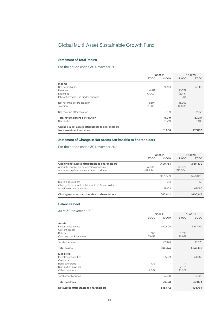### Global Multi-Asset Sustainable Growth Fund

#### Statement of Total Return

#### For the period ended 30 November 2021

|                                                   | 30.11.21 |         | 30.11.20 |         |
|---------------------------------------------------|----------|---------|----------|---------|
|                                                   | £'000    | £'000   | £'000    | £'000   |
| Income                                            |          |         |          |         |
| Net capital gains                                 |          | 9,388   |          | 155,116 |
| Revenue                                           | 10,412   |         | 20,739   |         |
| Expenses                                          | (3.707)  |         | (5.416)  |         |
| Interest payable and similar charges              | (11)     |         | (30)     |         |
| Net revenue before taxation                       | 6,694    |         | 15,293   |         |
| Taxation                                          | (1.063)  |         | (2,622)  |         |
| Net revenue after taxation                        |          | 5,631   |          | 12,671  |
| Total return before distribution                  |          | 15,019  |          | 167,787 |
| Distribution                                      |          | (3,211) |          | (694)   |
| Change in net assets attributable to shareholders |          |         |          |         |
| from investment activities                        |          | 11,808  |          | 167,093 |

#### Statement of Change in Net Assets Attributable to Shareholders

#### For the period ended 30 November 2021

|                                                                                                                                          | 30.11.21            |                 | 30.11.20            |                |
|------------------------------------------------------------------------------------------------------------------------------------------|---------------------|-----------------|---------------------|----------------|
|                                                                                                                                          | £'000               | £'000           | £'000               | £'000          |
| Opening net assets attributable to shareholders<br>Amounts receivable on creation of shares<br>Amounts payable on cancellation of shares | 37.099<br>(999.941) | 1.495.764       | 65.526<br>(315.604) | 1.688.432      |
|                                                                                                                                          |                     | (962.842)       |                     | (250.078)      |
| Dilution adjustment<br>Change in net assets attributable to Shareholders<br>from investment activities                                   |                     | 1.112<br>11.808 |                     | 171<br>167.093 |
| Closing net assets attributable to shareholders                                                                                          |                     | 545,842         |                     | 1,605,618      |

#### Balance Sheet

|                                         | 30.11.21 |         | 31.05.21<br>£'000 |           |
|-----------------------------------------|----------|---------|-------------------|-----------|
|                                         | £'000    | £'000   |                   | £'000     |
| Assets                                  |          |         |                   |           |
| Investments assets                      |          | 493,650 |                   | 1,447,140 |
| Current assets                          |          |         |                   |           |
| Debtors                                 | 7,811    |         | 11,699            |           |
| Cash and bank balances                  | 65,012   |         | 76,979            |           |
| Total other assets                      |          | 72,823  |                   | 88,678    |
| <b>Total assets</b>                     |          | 566,473 |                   | 1,535,818 |
| Liabilities                             |          |         |                   |           |
| Investment liabilities                  |          | 17,211  |                   | 24,062    |
| Creditors                               |          |         |                   |           |
| Bank overdrafts                         | 733      |         |                   |           |
| Distribution payable                    |          |         | 2,424             |           |
| Other creditors                         | 2,687    |         | 13,568            |           |
| Total other liabilities                 |          | 3,420   |                   | 15,992    |
| <b>Total liabilities</b>                |          | 20,631  |                   | 40,054    |
| Net assets attributable to shareholders |          | 545,842 |                   | 1,495,764 |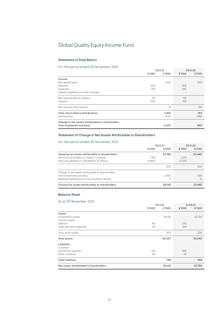## Global Quality Equity Income Fund

#### Statement of Total Return

#### For the period ended 30 November 2021

|                                                   |       | 30.11.21 | 30.11.20 |       |
|---------------------------------------------------|-------|----------|----------|-------|
|                                                   | £'000 | £'000    | £'000    | £'000 |
| Income                                            |       |          |          |       |
| Net capital gains                                 |       | 2,531    |          | 654   |
| Revenue                                           | 205   |          | 208      |       |
| Expenses                                          | (74)  |          | (66)     |       |
| Interest payable and similar charges              |       |          |          |       |
| Net revenue before taxation                       | 131   |          | 142      |       |
| Taxation                                          | (50)  |          | (13)     |       |
| Net revenue after taxation                        |       | 81       |          | 129   |
| Total return before distributions                 |       | 2,612    |          | 783   |
| Distributions                                     |       | (142)    |          | (188) |
| Change in net assets attributable to shareholders |       |          |          |       |
| from investment activities                        |       | 2,470    |          | 595   |

#### Statement of Change in Net Assets Attributable to Shareholders

#### For the period ended 30 November 2021

| FOI THE DEFIOU ENGED OU NOVENIDEL ZUZT            |         |          |          |        |
|---------------------------------------------------|---------|----------|----------|--------|
|                                                   |         | 30.11.21 | 30.11.20 |        |
|                                                   | £'000   | £'000    | £'000    | £'000  |
| Opening net assets attributable to shareholders   |         | 23.764   |          | 22,440 |
| Amounts receivable on creation of shares          | 1.351   |          | 2.251    |        |
| Amounts payable on cancellation of shares         | (1.464) |          | (1,331)  |        |
|                                                   |         | (113)    |          | 920    |
| Change in net assets attributable to shareholders |         |          |          |        |
| from investment activities                        |         | 2.470    |          | 595    |
| Retained distributions on accumulation shares     |         | 8        |          | 10     |
| Closing net assets attributable to shareholders   |         | 26,129   |          | 23,965 |

#### Balance Sheet

|                                         | 30.11.21 |        | 31.05.21 |        |
|-----------------------------------------|----------|--------|----------|--------|
|                                         | £'000    | £'000  | £'000    | £'000  |
| Assets                                  |          |        |          |        |
| Investments assets                      |          | 26,124 |          | 23,723 |
| Current assets                          |          |        |          |        |
| Debtors                                 | 90       |        | 235      |        |
| Cash and bank balances                  | 113      |        | 104      |        |
| Total other assets                      |          | 203    |          | 339    |
| <b>Total assets</b>                     |          | 26,327 |          | 24,062 |
| Liabilities                             |          |        |          |        |
| Creditors                               |          |        |          |        |
| Distribution payable                    | 132      |        | 266      |        |
| Other creditors                         | 66       |        | 32       |        |
| <b>Total liabilities</b>                |          | 198    |          | 298    |
| Net assets attributable to shareholders |          | 26,129 |          | 23,764 |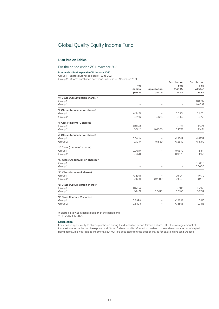## Global Quality Equity Income Fund

#### Distribution Tables

#### For the period ended 30 November 2021

#### Interim distribution payable 31 January 2022

Group 1 – Shares purchased before 1 June 2021

Group 2 – Shares purchased between 1 June and 30 November 2021

|                                                | Net<br>Income | Equalisation | Distribution<br>paid<br>31.01.22 | Distribution<br>paid<br>31.01.21 |
|------------------------------------------------|---------------|--------------|----------------------------------|----------------------------------|
|                                                | pence         | pence        | pence                            | pence                            |
| 'A' Class (Accumulation shares)#               |               |              |                                  |                                  |
| Group 1                                        |               |              |                                  | 0.0597                           |
| Group 2                                        |               |              |                                  | 0.0597                           |
| 'l' Class (Accumulation shares)                |               |              |                                  |                                  |
| Group 1                                        | 0.3431        |              | 0.3431                           | 0.6371                           |
| Group 2                                        | 0.0756        | 0.2675       | 0.3431                           | 0.6371                           |
| 'l' Class (Income-2 shares)                    |               |              |                                  |                                  |
| Group 1                                        | 0.9778        |              | 0.9778                           | 1.1474                           |
| Group 2                                        | 0.3112        | 0.6666       | 0.9778                           | 1.1474                           |
| J' Class (Accumulation shares)                 |               |              |                                  |                                  |
| Group 1                                        | 0.2849        |              | 0.2849                           | 0.4759                           |
| Group 2                                        | 0.1010        | 0.1839       | 0.2849                           | 0.4759                           |
| 'J' Class (Income-2 shares)                    |               |              |                                  |                                  |
| Group 1                                        | 0.9670        |              | 0.9670                           | 1.1511                           |
| Group 2                                        | 0.9670        |              | 0.9670                           | 1.1511                           |
| 'K' Class (Accumulation shares) <sup>(1)</sup> |               |              |                                  |                                  |
| Group 1                                        |               |              |                                  | 0.6600                           |
| Group 2                                        |               |              |                                  | 0.6600                           |
| 'K' Class (Income-2 shares)                    |               |              |                                  |                                  |
| Group 1                                        | 0.8941        |              | 0.8941                           | 1.0470                           |
| Group 2                                        | 0.6141        | 0.2800       | 0.8941                           | 1.0470                           |
| 'L' Class (Accumulation shares)                |               |              |                                  |                                  |
| Group 1                                        | 0.5103        |              | 0.5103                           | 0.7159                           |
| Group 2                                        | 0.1431        | 0.3672       | 0.5103                           | 0.7159                           |
| 'L' Class (Income-2 shares)                    |               |              |                                  |                                  |
| Group 1                                        | 0.8898        |              | 0.8898                           | 1.0415                           |
| Group 2                                        | 0.8898        |              | 0.8898                           | 1.0415                           |

# Share class was in deficit position at the period end.

(1) Closed 5 July 2021.

#### Equalisation

Equalisation applies only to shares purchased during the distribution period (Group 2 shares). It is the average amount of income included in the purchase price of all Group 2 shares and is refunded to holders of these shares as a return of capital. Being capital, it is not liable to income tax but must be deducted from the cost of shares for capital gains tax purposes.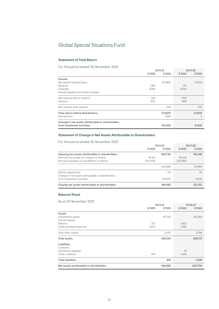## Global Special Situations Fund

#### Statement of Total Return

#### For the period ended 30 November 2021

|                                                   | 30.11.21 |           | 30.11.20 |        |
|---------------------------------------------------|----------|-----------|----------|--------|
|                                                   | £'000    | £'000     | £'000    | £'000  |
| Income                                            |          |           |          |        |
| Net capital (losses)/gains                        |          | (12, 485) |          | 31,335 |
| Revenue                                           | 1.189    |           | 715      |        |
| Expenses                                          | (548)    |           | (356)    |        |
| Interest payable and similar charges              |          |           |          |        |
| Net revenue before taxation                       | 641      |           | 359      |        |
| Taxation                                          | (63)     |           | (89)     |        |
| Net revenue after taxation                        |          | 578       |          | 270    |
| Total return before distributions                 |          | (11.907)  |          | 31,605 |
| Distributions                                     |          | (106)     |          | 5      |
| Change in net assets attributable to shareholders |          |           |          |        |
| from investment activities                        |          | (12,013)  |          | 31,610 |

#### Statement of Change in Net Assets Attributable to Shareholders

#### For the period ended 30 November 2021

| FOI THE DEFIOU ENGED OU NOVERTIBEL ZUZT           |           |          |          |         |
|---------------------------------------------------|-----------|----------|----------|---------|
|                                                   | 30.11.21  |          | 30.11.20 |         |
|                                                   | £'000     | £'000    | £'000    | £'000   |
| Opening net assets attributable to shareholders   |           | 243.734  |          | 154,146 |
| Amounts receivable on creation of shares          | 18.441    |          | 56.418   |         |
| Amounts payable on cancellation of shares         | (101.529) |          | (20.949) |         |
|                                                   |           | (83.088) |          | 35.469  |
| Dilution adjustment                               |           | 50       |          | 87      |
| Change in net assets attributable to Shareholders |           |          |          |         |
| from investment activities                        |           | (12.013) |          | 31.610  |
| Closing net assets attributable to shareholders   |           | 148,683  |          | 221.312 |

#### Balance Sheet

|                                         | 30.11.21 |         | 31.05.21 |         |
|-----------------------------------------|----------|---------|----------|---------|
|                                         | £'000    | £'000   | £'000    | £'000   |
| Assets                                  |          |         |          |         |
| Investments assets                      |          | 147,301 |          | 241,384 |
| Current assets                          |          |         |          |         |
| Debtors                                 | 213      |         | 1,803    |         |
| Cash and bank balances                  | 1,820    |         | 1,986    |         |
| Total other assets                      |          | 2,033   |          | 3,789   |
| <b>Total assets</b>                     |          | 149,334 |          | 245,173 |
| Liabilities                             |          |         |          |         |
| Creditors                               |          |         |          |         |
| Distribution payable                    |          |         | 14       |         |
| Other creditors                         | 651      |         | 1,425    |         |
| <b>Total liabilities</b>                |          | 651     |          | 1,439   |
| Net assets attributable to shareholders |          | 148,683 |          | 243,734 |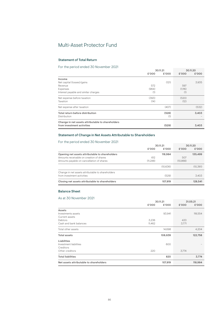### Multi-Asset Protector Fund

#### Statement of Total Return

#### For the period ended 30 November 2021

|                                                   | 30.11.21 |       | 30.11.20 |       |
|---------------------------------------------------|----------|-------|----------|-------|
|                                                   | £'000    | £'000 | £'000    | £'000 |
| Income                                            |          |       |          |       |
| Net capital (losses)/gains                        |          | (121) |          | 3,935 |
| Revenue                                           | 572      |       | 597      |       |
| Expenses                                          | (964)    |       | (1.116)  |       |
| Interest payable and similar charges              | (1)      |       | (1)      |       |
| Net expense before taxation                       | (393)    |       | (520)    |       |
| Taxation                                          | (14)     |       | (12)     |       |
| Net expense after taxation                        |          | (407) |          | (532) |
| Total return before distribution                  |          | (528) |          | 3,403 |
| Distribution                                      |          | (1)   |          |       |
| Change in net assets attributable to shareholders |          |       |          |       |
| from investment activities                        |          | (529) |          | 3,403 |

#### Statement of Change in Net Assets Attributable to Shareholders

#### For the period ended 30 November 2021

| <u>LOL the behod enged oo Movember 2021.</u>      |          |          |          |          |
|---------------------------------------------------|----------|----------|----------|----------|
|                                                   | 30.11.21 |          | 30.11.20 |          |
|                                                   | £'000    | £'000    | £'000    | £'000    |
| Opening net assets attributable to shareholders   |          | 118,984  |          | 135,499  |
| Amounts receivable on creation of shares          | 612      |          | 507      |          |
| Amounts payable on cancellation of shares         | (11.248) |          | (10.868) |          |
|                                                   |          | (10.636) |          | (10.361) |
| Change in net assets attributable to shareholders |          |          |          |          |
| from investment activities                        |          | (529)    |          | 3.403    |
| Closing net assets attributable to shareholders   |          | 107.819  |          | 128,541  |

#### Balance Sheet

|                                         | 30.11.21 |         | 31.05.21 |         |
|-----------------------------------------|----------|---------|----------|---------|
|                                         | £'000    | £'000   | £'000    | £'000   |
| Assets                                  |          |         |          |         |
| Investments assets                      |          | 93,941  |          | 118,554 |
| Current assets                          |          |         |          |         |
| Debtors                                 | 3,236    |         | 433      |         |
| Cash and bank balances                  | 11,462   |         | 3,771    |         |
| Total other assets                      |          | 14,698  |          | 4,204   |
| <b>Total assets</b>                     |          | 108,639 |          | 122,758 |
| Liabilities                             |          |         |          |         |
| Investment liabilities                  |          | 600     |          |         |
| Creditors                               |          |         |          |         |
| Other creditors                         | 220      |         | 3,774    |         |
| <b>Total liabilities</b>                |          | 820     |          | 3,774   |
| Net assets attributable to shareholders |          | 107,819 |          | 118,984 |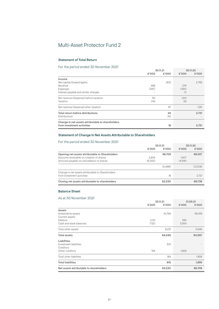### Multi-Asset Protector Fund 2

#### Statement of Total Return

#### For the period ended 30 November 2021

| 30.11.21 |       | 30.11.20 |       |
|----------|-------|----------|-------|
| £'000    | £'000 | £'000    | £'000 |
|          |       |          |       |
|          | (63)  |          | 2,749 |
| 488      |       | 376      |       |
| (387)    |       | (395)    |       |
|          |       | (1)      |       |
| 101      |       | (20)     |       |
| (14)     |       | (8)      |       |
|          | 87    |          | (28)  |
|          | 24    |          | 2,721 |
|          | (6)   |          |       |
|          |       |          |       |
|          | 18    |          | 2,721 |
|          |       |          |       |

#### Statement of Change in Net Assets Attributable to Shareholders

#### For the period ended 30 November 2021

| <u>LOL the behod enged oo Movember 2021.</u>      |          |         |          |         |
|---------------------------------------------------|----------|---------|----------|---------|
|                                                   | 30.11.21 |         | 30.11.20 |         |
|                                                   | £'000    | £'000   | £'000    | £'000   |
| Opening net assets attributable to Shareholders   |          | 88,708  |          | 89,027  |
| Amounts receivable on creation of shares          | 2.854    |         | 1.907    |         |
| Amounts payable on cancellation of shares         | (8.350)  |         | (4.916)  |         |
|                                                   |          | (5.496) |          | (3,009) |
| Change in net assets attributable to Shareholders |          |         |          |         |
| from investment activities                        |          | 18      |          | 2.721   |
| Closing net assets attributable to shareholders   |          | 83,230  |          | 88,739  |

#### Balance Sheet

|                                         | 30.11.21 |        | 31.05.21 |        |
|-----------------------------------------|----------|--------|----------|--------|
|                                         | £'000    | £'000  | £'000    | £'000  |
| Assets                                  |          |        |          |        |
| Investments assets                      |          | 74,794 |          | 86,618 |
| Current assets                          |          |        |          |        |
| Debtors                                 | 2,131    |        | 385      |        |
| Cash and bank balances                  | 7,120    |        | 3,564    |        |
| Total other assets                      |          | 9,251  |          | 3,949  |
| <b>Total assets</b>                     |          | 84,045 |          | 90,567 |
| Liabilities                             |          |        |          |        |
| Investment liabilities                  |          | 631    |          |        |
| Creditors                               |          |        |          |        |
| Other creditors                         | 184      |        | 1,859    |        |
| Total other liabilities                 |          | 184    |          | 1,859  |
| <b>Total liabilities</b>                |          | 815    |          | 1,859  |
| Net assets attributable to shareholders |          | 83,230 |          | 88,708 |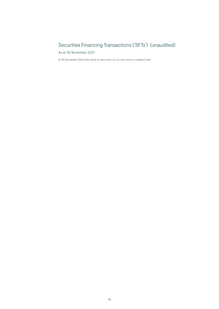## Securities Financing Transactions ('SFTs') (unaudited)

As at 30 November 2021

At 30 November 2021 there were no securities out on loan and no collateral held.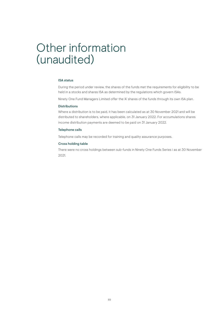# Other information (unaudited)

#### ISA status

During the period under review, the shares of the funds met the requirements for eligibility to be held in a stocks and shares ISA as determined by the regulations which govern ISAs.

Ninety One Fund Managers Limited offer the 'A' shares of the funds through its own ISA plan.

#### **Distributions**

Where a distribution is to be paid, it has been calculated as at 30 November 2021 and will be distributed to shareholders, where applicable, on 31 January 2022. For accumulations shares income distribution payments are deemed to be paid on 31 January 2022.

#### Telephone calls

Telephone calls may be recorded for training and quality assurance purposes.

#### Cross holding table

There were no cross holdings between sub-funds in Ninety One Funds Series i as at 30 November 2021.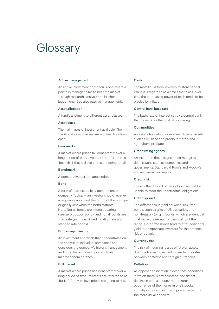# **Glossary**

#### Active management

An active investment approach is one where a portfolio manager aims to beat the market through research, analysis and his/her judgement. (See also passive management).

#### Asset allocation

A fund's allotment to different asset classes.

#### Asset class

The main types of investment available. The traditional asset classes are equities, bonds and cash.

#### Bear market

A market where prices fall consistently over a long period of time. Investors are referred to as 'bearish' if they believe prices are going to fall.

#### Benchmark

A comparative performance index.

#### Bond

A form of loan issued by a government or company. Typically, an investor should receive a regular coupon and the return of the principal originally lent when the bond matures. Note: Not all bonds are interest bearing (see zero coupon bond), and not all bonds are fixed rate (e.g. index linked, floating rate and stepped rate bonds).

#### Bottom-up investing

An investment approach that concentrates on the analysis of individual companies and considers the company's history, management and potential as more important than macroeconomic trends.

#### Bull market

A market where prices rise consistently over a long period of time. Investors are referred to as 'bullish' if they believe prices are going to rise.

#### Cash

The most liquid form in which to store capital. While it is regarded as a safe asset class, over time the purchasing power of cash tends to be eroded by inflation.

#### Central bank base rate

The basic rate of interest set by a central bank that determines the cost of borrowing.

#### **Commodities**

An asset class which comprises physical assets such as oil, base and precious metals and agricultural produce.

#### Credit rating agency

An institution that assigns credit ratings to debt issuers, such as companies and governments. Standard & Poor's and Moody's are well-known examples.

#### Credit risk

The risk that a bond issuer or borrower will be unable to meet their contractual obligations.

#### Credit spread

The differences in yield between 'risk-free' bonds, such as gilts or US treasuries, and non-treasury (or gilt) bonds, which are identical in all respects except for the quality of their rating. Corporate bonds tend to offer additional yield to compensate investors for the potential risk of default.

#### Currency risk

The risk of incurring losses of foreign assets due to adverse movements in exchange rates between domestic and foreign currencies.

#### Deflation

As opposed to inflation, it describes conditions in which there is a widespread, consistent decline in prices. It conveys the rarer occurrence of the money in one's pocket actually increasing in buying power, rather than the more usual opposite.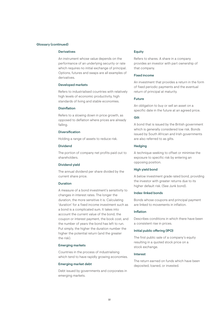#### Glossary (continued)

#### **Derivatives**

An instrument whose value depends on the performance of an underlying security or rate which requires no initial exchange of principal. Options, futures and swaps are all examples of derivatives.

#### Developed markets

Refers to industrialised countries with relatively high levels of economic productivity, high standards of living and stable economies.

#### **Disinflation**

Refers to a slowing down in price growth, as opposed to deflation where prices are already falling.

#### Diversification

Holding a range of assets to reduce risk.

#### Dividend

The portion of company net profits paid out to shareholders.

#### Dividend yield

The annual dividend per share divided by the current share price.

#### Duration

A measure of a bond investment's sensitivity to changes in interest rates. The longer the duration, the more sensitive it is. Calculating 'duration' for a fixed income investment such as a bond is a complicated sum. It takes into account the current value of the bond, the coupon or interest payment, the book cost, and the number of years the bond has left to run. Put simply, the higher the duration number the higher the potential return (and the greater the risk).

#### Emerging markets

Countries in the process of industrialising which tend to have rapidly growing economies.

#### Emerging market debt

Debt issued by governments and corporates in emerging markets.

#### Equity

Refers to shares. A share in a company provides an investor with part ownership of that company.

#### Fixed income

An investment that provides a return in the form of fixed periodic payments and the eventual return of principal at maturity.

#### Future

An obligation to buy or sell an asset on a specific date in the future at an agreed price.

#### **Gilt**

A bond that is issued by the British government which is generally considered low risk. Bonds issued by South African and Irish governments are also referred to as gilts.

#### **Hedging**

A technique seeking to offset or minimise the exposure to specific risk by entering an opposing position.

#### High yield bond

A below investment grade rated bond, providing the investor with greater returns due to its higher default risk. (See Junk bond).

#### Index-linked bonds

Bonds whose coupons and principal payment are linked to movements in inflation.

#### Inflation

Describes conditions in which there have been a consistent rise in prices.

#### Initial public offering (IPO)

The first public sale of a company's equity resulting in a quoted stock price on a stock exchange.

#### Interest

The return earned on funds which have been deposited, loaned, or invested.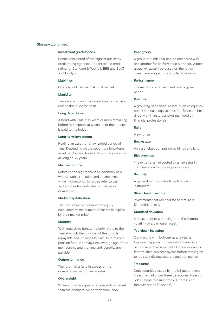#### Glossary (continued)

#### Investment grade bonds

Bonds considered of the highest quality by credit rating agencies. The threshold credit rating for Standard & Poor's is BBB and Baa3 for Moody's.

#### Liabilities

Financial obligations that must be met.

#### **Liquidity**

The ease with which an asset can be sold at a reasonable price for cash.

#### Long dated bond

A bond with usually 15 years or more remaining before redemption, at which point the principal is paid to the holder.

#### Long-term investment

Holding an asset for an extended period of time. Depending on the security, a long-term asset can be held for as little as one year or for as long as 30 years.

#### Macroeconomic

Refers to the big trends in an economy as a whole, such as inflation and unemployment, while microeconomic forces refer to the factors affecting individual situations or companies.

#### Market capitalisation

The total value of a company's equity. calculated by the number of shares multiplied by their market price.

#### **Maturity**

With regards to bonds, maturity refers to the time at which the principal of the bond is repayable and it ceases to exist. In terms of a pension fund, it conveys the average age of the membership and the time until benefits are payable.

#### **Outperformance**

The return of a fund in excess of the comparative performance index.

#### **Overweight**

When a fund has greater exposure to an asset than the comparative performance index.

#### Peer group

A group of funds that can be compared with one another for performance purposes. A peer group will usually be based on the funds' investment scope, for example UK equities.

#### **Performance**

The results of an investment over a given period.

#### Portfolio

A grouping of financial assets, such as equities, bonds and cash equivalents. Portfolios are held directly by investors and/or managed by financial professionals.

#### Rally

A swift rise.

#### Real estate

An asset class comprising buildings and land.

#### Risk premium

The extra return expected by an investor in compensation for holding a risky asset.

#### **Security**

A general term for a tradable financial instrument.

#### Short-term investment

Investments that are held for or mature in 12 months or less.

#### Standard deviation

A measure of risk, deriving from the historic volatility of a particular asset.

#### Top-down investing

Contrasting with bottom-up analysis, a top-down approach to investment analysis begins with an assessment of macroeconomic factors, then business cycles before moving on to look at individual sectors and companies.

#### Treasuries

Debt securities issued by the US government. Treasuries fall under three categories: treasury bills (T-bills), treasury notes (T-notes) and treasury bonds (T-bonds).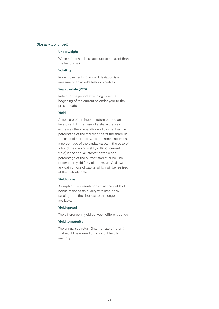#### Glossary (continued)

#### Underweight

When a fund has less exposure to an asset than the benchmark.

#### Volatility

Price movements. Standard deviation is a measure of an asset's historic volatility.

#### Year-to-date (YTD)

Refers to the period extending from the beginning of the current calendar year to the present date.

#### Yield

A measure of the income return earned on an investment. In the case of a share the yield expresses the annual dividend payment as the percentage of the market price of the share. In the case of a property, it is the rental income as a percentage of the capital value. In the case of a bond the running yield (or flat or current yield) is the annual interest payable as a percentage of the current market price. The redemption yield (or yield to maturity) allows for any gain or loss of capital which will be realised at the maturity date.

#### Yield curve

A graphical representation off all the yields of bonds of the same quality with maturities ranging from the shortest to the longest available.

#### Yield spread

The difference in yield between different bonds.

#### Yield to maturity

The annualised return (internal rate of return) that would be earned on a bond if held to maturity.